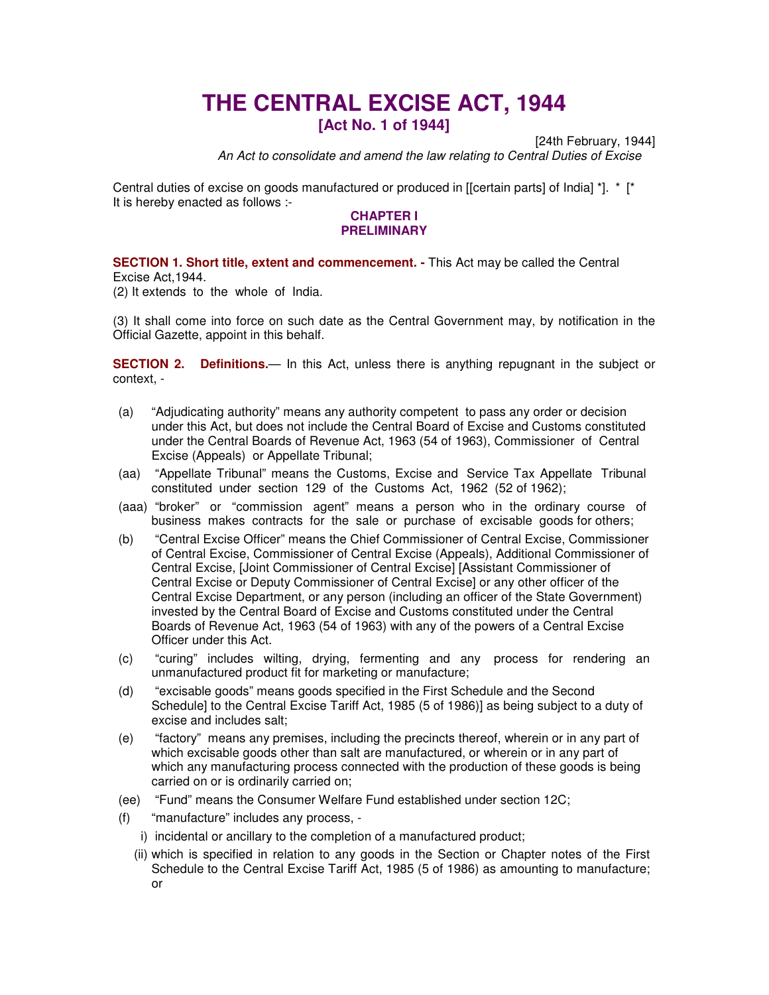# **THE CENTRAL EXCISE ACT, 1944**

**[Act No. 1 of 1944]**

[24th February, 1944]

*An Act to consolidate and amend the law relating to Central Duties of Excise*

Central duties of excise on goods manufactured or produced in [[certain parts] of India] \*]. \* [\* It is hereby enacted as follows :-

## **CHAPTER I PRELIMINARY**

**SECTION 1. Short title, extent and commencement. -** This Act may be called the Central Excise Act,1944.

(2) It extends to the whole of India.

(3) It shall come into force on such date as the Central Government may, by notification in the Official Gazette, appoint in this behalf.

**SECTION 2. Definitions.**— In this Act, unless there is anything repugnant in the subject or context, -

- (a) "Adjudicating authority" means any authority competent to pass any order or decision under this Act, but does not include the Central Board of Excise and Customs constituted under the Central Boards of Revenue Act, 1963 (54 of 1963), Commissioner of Central Excise (Appeals) or Appellate Tribunal;
- (aa) "Appellate Tribunal" means the Customs, Excise and Service Tax Appellate Tribunal constituted under section 129 of the Customs Act, 1962 (52 of 1962);
- (aaa) "broker" or "commission agent" means a person who in the ordinary course of business makes contracts for the sale or purchase of excisable goods for others;
- (b) "Central Excise Officer" means the Chief Commissioner of Central Excise, Commissioner of Central Excise, Commissioner of Central Excise (Appeals), Additional Commissioner of Central Excise, [Joint Commissioner of Central Excise] [Assistant Commissioner of Central Excise or Deputy Commissioner of Central Excise] or any other officer of the Central Excise Department, or any person (including an officer of the State Government) invested by the Central Board of Excise and Customs constituted under the Central Boards of Revenue Act, 1963 (54 of 1963) with any of the powers of a Central Excise Officer under this Act.
- (c) "curing" includes wilting, drying, fermenting and any process for rendering an unmanufactured product fit for marketing or manufacture;
- (d) "excisable goods" means goods specified in the First Schedule and the Second Schedule] to the Central Excise Tariff Act, 1985 (5 of 1986)] as being subject to a duty of excise and includes salt;
- (e) "factory" means any premises, including the precincts thereof, wherein or in any part of which excisable goods other than salt are manufactured, or wherein or in any part of which any manufacturing process connected with the production of these goods is being carried on or is ordinarily carried on;
- (ee) "Fund" means the Consumer Welfare Fund established under section 12C;
- (f) "manufacture" includes any process,
	- i) incidental or ancillary to the completion of a manufactured product;
	- (ii) which is specified in relation to any goods in the Section or Chapter notes of the First Schedule to the Central Excise Tariff Act, 1985 (5 of 1986) as amounting to manufacture; or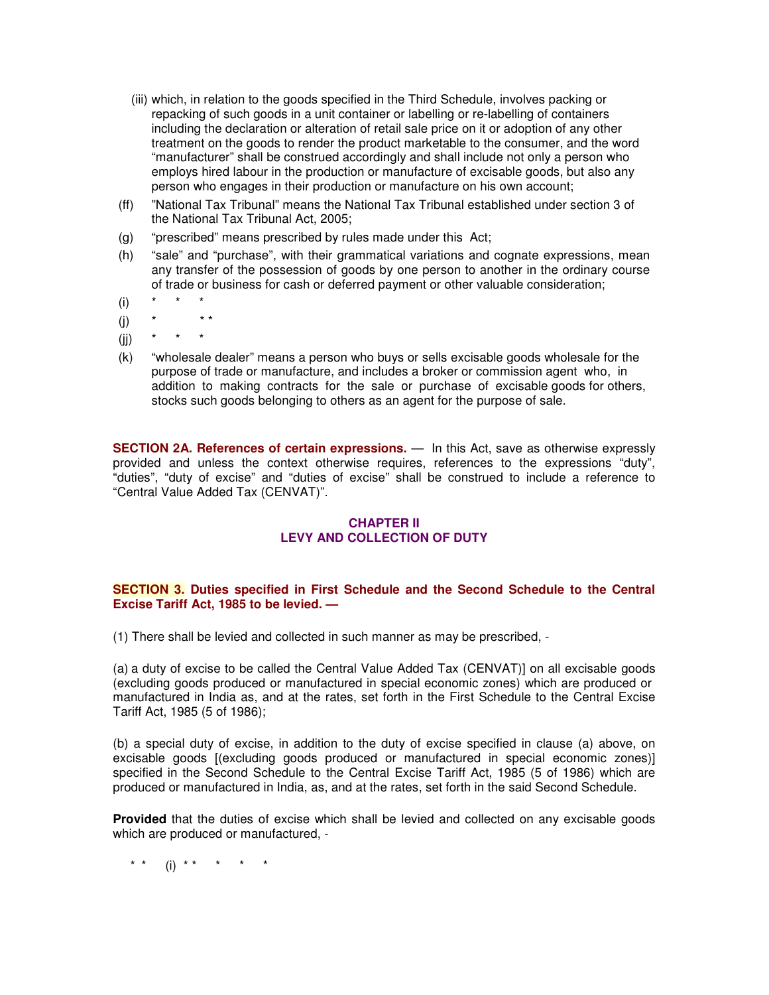- (iii) which, in relation to the goods specified in the Third Schedule, involves packing or repacking of such goods in a unit container or labelling or re-labelling of containers including the declaration or alteration of retail sale price on it or adoption of any other treatment on the goods to render the product marketable to the consumer, and the word "manufacturer" shall be construed accordingly and shall include not only a person who employs hired labour in the production or manufacture of excisable goods, but also any person who engages in their production or manufacture on his own account;
- (ff) "National Tax Tribunal" means the National Tax Tribunal established under section 3 of the National Tax Tribunal Act, 2005;
- (g) "prescribed" means prescribed by rules made under this Act;
- (h) "sale" and "purchase", with their grammatical variations and cognate expressions, mean any transfer of the possession of goods by one person to another in the ordinary course of trade or business for cash or deferred payment or other valuable consideration;
- (i) \* \* \*
- (i)  $*$  \* \*
- $(ii)$
- (k) "wholesale dealer" means a person who buys or sells excisable goods wholesale for the purpose of trade or manufacture, and includes a broker or commission agent who, in addition to making contracts for the sale or purchase of excisable goods for others, stocks such goods belonging to others as an agent for the purpose of sale.

**SECTION 2A. References of certain expressions.** — In this Act, save as otherwise expressly provided and unless the context otherwise requires, references to the expressions "duty", "duties", "duty of excise" and "duties of excise" shall be construed to include a reference to "Central Value Added Tax (CENVAT)".

## **CHAPTER II LEVY AND COLLECTION OF DUTY**

## **SECTION 3. Duties specified in First Schedule and the Second Schedule to the Central Excise Tariff Act, 1985 to be levied. —**

(1) There shall be levied and collected in such manner as may be prescribed, -

(a) a duty of excise to be called the Central Value Added Tax (CENVAT)] on all excisable goods (excluding goods produced or manufactured in special economic zones) which are produced or manufactured in India as, and at the rates, set forth in the First Schedule to the Central Excise Tariff Act, 1985 (5 of 1986);

(b) a special duty of excise, in addition to the duty of excise specified in clause (a) above, on excisable goods [(excluding goods produced or manufactured in special economic zones)] specified in the Second Schedule to the Central Excise Tariff Act, 1985 (5 of 1986) which are produced or manufactured in India, as, and at the rates, set forth in the said Second Schedule.

**Provided** that the duties of excise which shall be levied and collected on any excisable goods which are produced or manufactured, -

\* \* (i) \* \* \* \* \* \*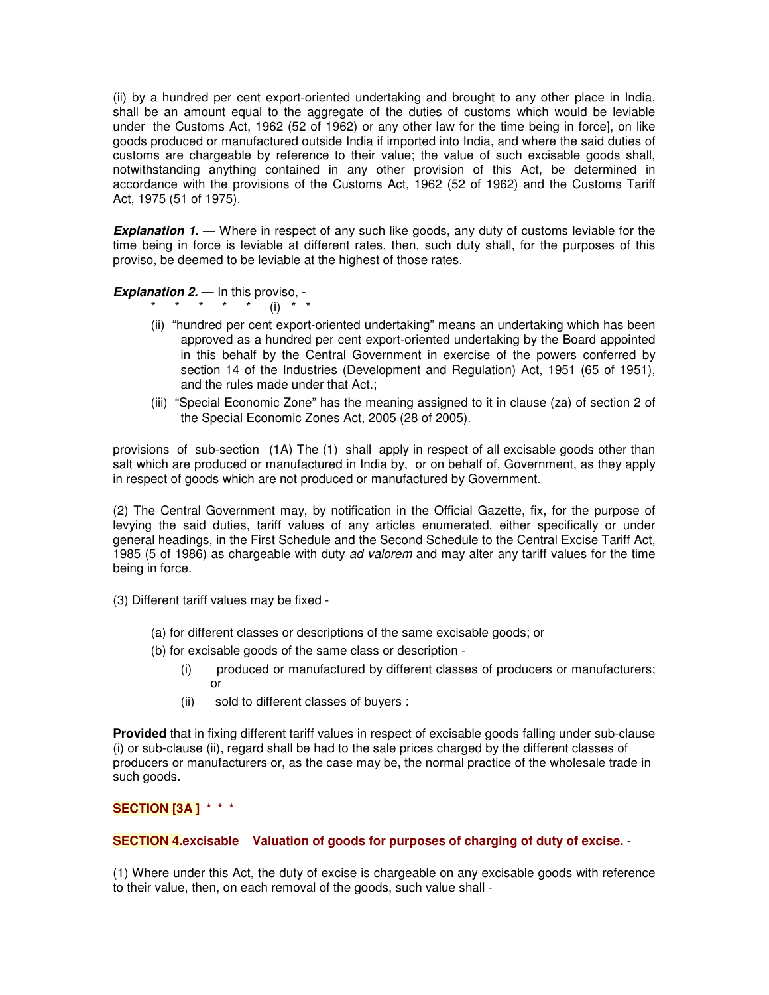(ii) by a hundred per cent export-oriented undertaking and brought to any other place in India, shall be an amount equal to the aggregate of the duties of customs which would be leviable under the Customs Act, 1962 (52 of 1962) or any other law for the time being in force], on like goods produced or manufactured outside India if imported into India, and where the said duties of customs are chargeable by reference to their value; the value of such excisable goods shall, notwithstanding anything contained in any other provision of this Act, be determined in accordance with the provisions of the Customs Act, 1962 (52 of 1962) and the Customs Tariff Act, 1975 (51 of 1975).

**Explanation 1.** — Where in respect of any such like goods, any duty of customs leviable for the time being in force is leviable at different rates, then, such duty shall, for the purposes of this proviso, be deemed to be leviable at the highest of those rates.

*Explanation 2.* — In this proviso, -

- \* \* \* \* \* (i) \* \*
- (ii) "hundred per cent export-oriented undertaking" means an undertaking which has been approved as a hundred per cent export-oriented undertaking by the Board appointed in this behalf by the Central Government in exercise of the powers conferred by section 14 of the Industries (Development and Regulation) Act, 1951 (65 of 1951), and the rules made under that Act.;
- (iii) "Special Economic Zone" has the meaning assigned to it in clause (za) of section 2 of the Special Economic Zones Act, 2005 (28 of 2005).

provisions of sub-section (1A) The (1) shall apply in respect of all excisable goods other than salt which are produced or manufactured in India by, or on behalf of, Government, as they apply in respect of goods which are not produced or manufactured by Government.

(2) The Central Government may, by notification in the Official Gazette, fix, for the purpose of levying the said duties, tariff values of any articles enumerated, either specifically or under general headings, in the First Schedule and the Second Schedule to the Central Excise Tariff Act, 1985 (5 of 1986) as chargeable with duty *ad valorem* and may alter any tariff values for the time being in force.

- (3) Different tariff values may be fixed
	- (a) for different classes or descriptions of the same excisable goods; or
	- (b) for excisable goods of the same class or description
		- (i) produced or manufactured by different classes of producers or manufacturers; or
		- (ii) sold to different classes of buyers :

**Provided** that in fixing different tariff values in respect of excisable goods falling under sub-clause (i) or sub-clause (ii), regard shall be had to the sale prices charged by the different classes of producers or manufacturers or, as the case may be, the normal practice of the wholesale trade in such goods.

## **SECTION [3A ] \* \* \***

## **SECTION 4.excisable Valuation of goods for purposes of charging of duty of excise.** -

(1) Where under this Act, the duty of excise is chargeable on any excisable goods with reference to their value, then, on each removal of the goods, such value shall -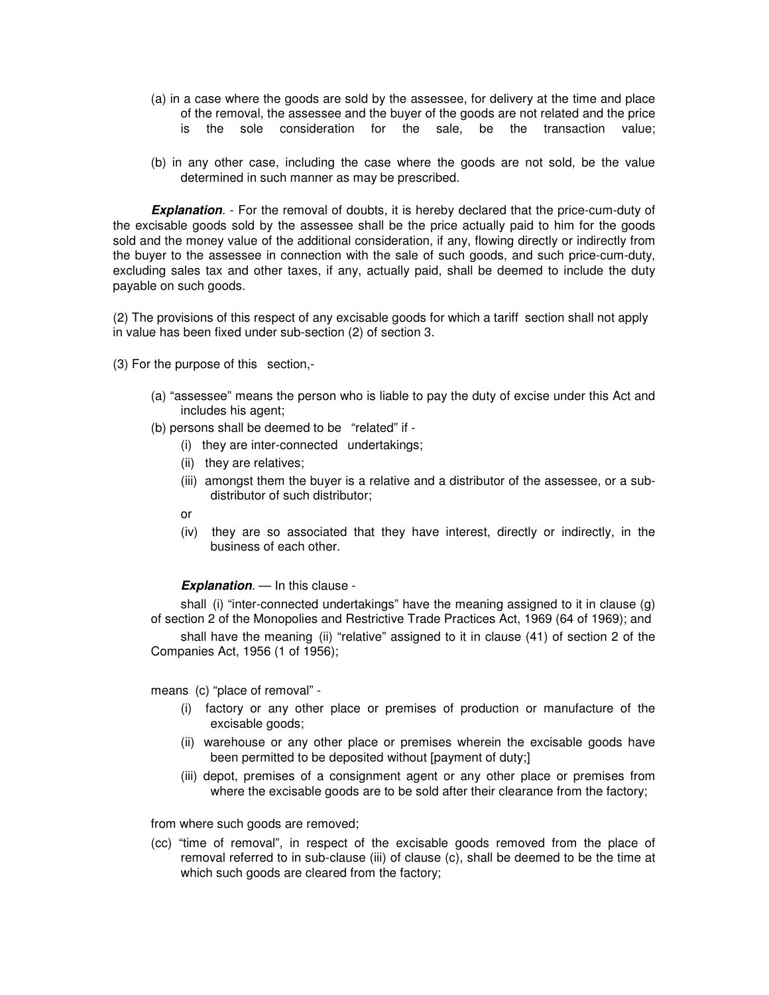- (a) in a case where the goods are sold by the assessee, for delivery at the time and place of the removal, the assessee and the buyer of the goods are not related and the price is the sole consideration for the sale, be the transaction value;
- (b) in any other case, including the case where the goods are not sold, be the value determined in such manner as may be prescribed.

**Explanation**. - For the removal of doubts, it is hereby declared that the price-cum-duty of the excisable goods sold by the assessee shall be the price actually paid to him for the goods sold and the money value of the additional consideration, if any, flowing directly or indirectly from the buyer to the assessee in connection with the sale of such goods, and such price-cum-duty, excluding sales tax and other taxes, if any, actually paid, shall be deemed to include the duty payable on such goods.

(2) The provisions of this respect of any excisable goods for which a tariff section shall not apply in value has been fixed under sub-section (2) of section 3.

(3) For the purpose of this section,-

- (a) "assessee" means the person who is liable to pay the duty of excise under this Act and includes his agent;
- (b) persons shall be deemed to be "related" if
	- (i) they are inter-connected undertakings;
	- (ii) they are relatives;
	- (iii) amongst them the buyer is a relative and a distributor of the assessee, or a subdistributor of such distributor;
	- or
	- (iv) they are so associated that they have interest, directly or indirectly, in the business of each other.

#### *Explanation.* — In this clause -

shall (i) "inter-connected undertakings" have the meaning assigned to it in clause (g) of section 2 of the Monopolies and Restrictive Trade Practices Act, 1969 (64 of 1969); and

shall have the meaning (ii) "relative" assigned to it in clause (41) of section 2 of the Companies Act, 1956 (1 of 1956);

means (c) "place of removal" -

- (i) factory or any other place or premises of production or manufacture of the excisable goods;
- (ii) warehouse or any other place or premises wherein the excisable goods have been permitted to be deposited without [payment of duty;]
- (iii) depot, premises of a consignment agent or any other place or premises from where the excisable goods are to be sold after their clearance from the factory;

from where such goods are removed;

(cc) "time of removal", in respect of the excisable goods removed from the place of removal referred to in sub-clause (iii) of clause (c), shall be deemed to be the time at which such goods are cleared from the factory;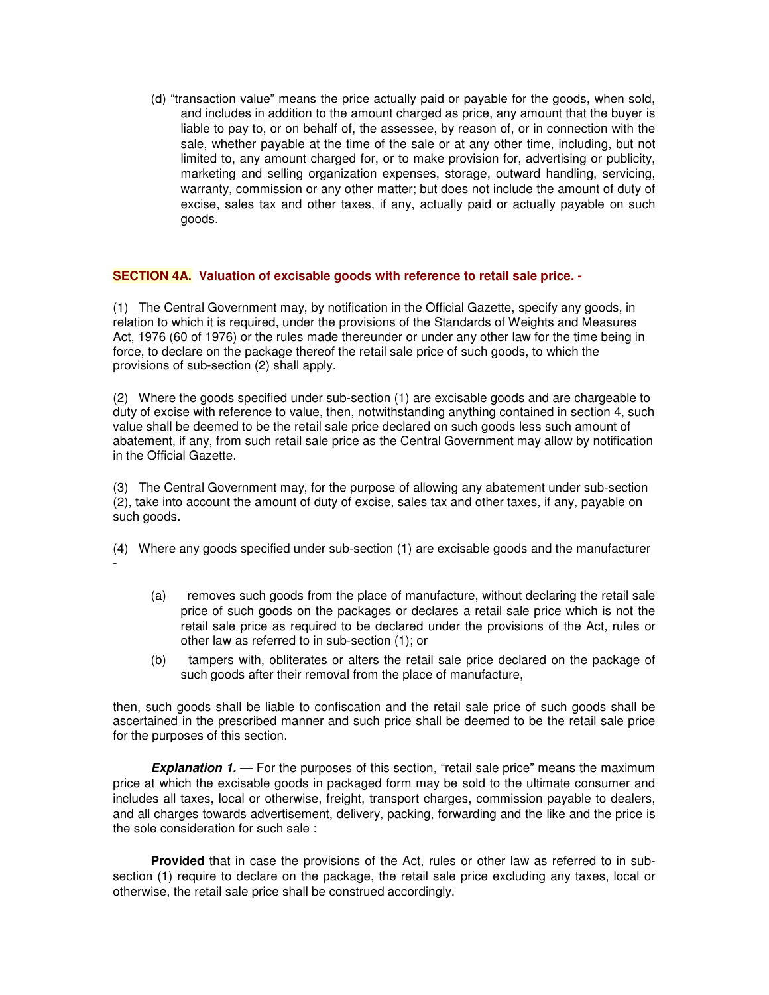(d) "transaction value" means the price actually paid or payable for the goods, when sold, and includes in addition to the amount charged as price, any amount that the buyer is liable to pay to, or on behalf of, the assessee, by reason of, or in connection with the sale, whether payable at the time of the sale or at any other time, including, but not limited to, any amount charged for, or to make provision for, advertising or publicity, marketing and selling organization expenses, storage, outward handling, servicing, warranty, commission or any other matter; but does not include the amount of duty of excise, sales tax and other taxes, if any, actually paid or actually payable on such goods.

## **SECTION 4A. Valuation of excisable goods with reference to retail sale price. -**

(1) The Central Government may, by notification in the Official Gazette, specify any goods, in relation to which it is required, under the provisions of the Standards of Weights and Measures Act, 1976 (60 of 1976) or the rules made thereunder or under any other law for the time being in force, to declare on the package thereof the retail sale price of such goods, to which the provisions of sub-section (2) shall apply.

(2) Where the goods specified under sub-section (1) are excisable goods and are chargeable to duty of excise with reference to value, then, notwithstanding anything contained in section 4, such value shall be deemed to be the retail sale price declared on such goods less such amount of abatement, if any, from such retail sale price as the Central Government may allow by notification in the Official Gazette.

(3) The Central Government may, for the purpose of allowing any abatement under sub-section (2), take into account the amount of duty of excise, sales tax and other taxes, if any, payable on such goods.

(4) Where any goods specified under sub-section (1) are excisable goods and the manufacturer -

- (a) removes such goods from the place of manufacture, without declaring the retail sale price of such goods on the packages or declares a retail sale price which is not the retail sale price as required to be declared under the provisions of the Act, rules or other law as referred to in sub-section (1); or
- (b) tampers with, obliterates or alters the retail sale price declared on the package of such goods after their removal from the place of manufacture,

then, such goods shall be liable to confiscation and the retail sale price of such goods shall be ascertained in the prescribed manner and such price shall be deemed to be the retail sale price for the purposes of this section.

**Explanation 1.** — For the purposes of this section, "retail sale price" means the maximum price at which the excisable goods in packaged form may be sold to the ultimate consumer and includes all taxes, local or otherwise, freight, transport charges, commission payable to dealers, and all charges towards advertisement, delivery, packing, forwarding and the like and the price is the sole consideration for such sale :

**Provided** that in case the provisions of the Act, rules or other law as referred to in subsection (1) require to declare on the package, the retail sale price excluding any taxes, local or otherwise, the retail sale price shall be construed accordingly.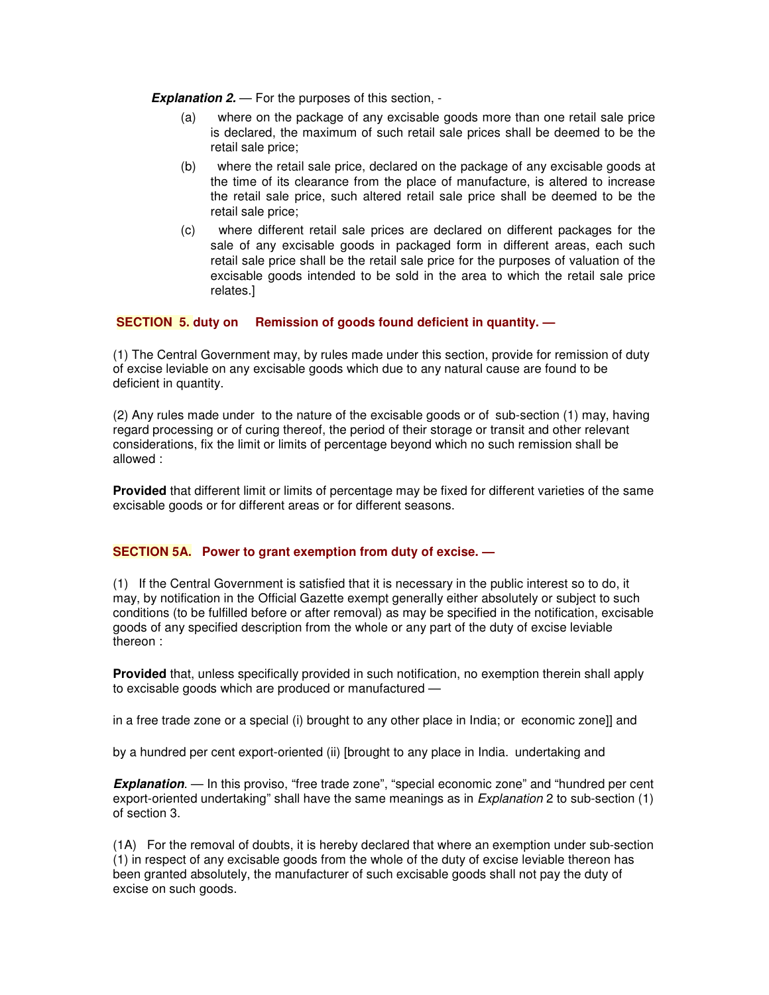*Explanation 2.* — For the purposes of this section, -

- (a) where on the package of any excisable goods more than one retail sale price is declared, the maximum of such retail sale prices shall be deemed to be the retail sale price;
- (b) where the retail sale price, declared on the package of any excisable goods at the time of its clearance from the place of manufacture, is altered to increase the retail sale price, such altered retail sale price shall be deemed to be the retail sale price;
- (c) where different retail sale prices are declared on different packages for the sale of any excisable goods in packaged form in different areas, each such retail sale price shall be the retail sale price for the purposes of valuation of the excisable goods intended to be sold in the area to which the retail sale price relates.]

# **SECTION 5. duty on Remission of goods found deficient in quantity. —**

(1) The Central Government may, by rules made under this section, provide for remission of duty of excise leviable on any excisable goods which due to any natural cause are found to be deficient in quantity.

(2) Any rules made under to the nature of the excisable goods or of sub-section (1) may, having regard processing or of curing thereof, the period of their storage or transit and other relevant considerations, fix the limit or limits of percentage beyond which no such remission shall be allowed :

**Provided** that different limit or limits of percentage may be fixed for different varieties of the same excisable goods or for different areas or for different seasons.

## **SECTION 5A. Power to grant exemption from duty of excise. —**

(1) If the Central Government is satisfied that it is necessary in the public interest so to do, it may, by notification in the Official Gazette exempt generally either absolutely or subject to such conditions (to be fulfilled before or after removal) as may be specified in the notification, excisable goods of any specified description from the whole or any part of the duty of excise leviable thereon :

**Provided** that, unless specifically provided in such notification, no exemption therein shall apply to excisable goods which are produced or manufactured —

in a free trade zone or a special (i) brought to any other place in India; or economic zone]] and

by a hundred per cent export-oriented (ii) [brought to any place in India. undertaking and

*Explanation*. — In this proviso, "free trade zone", "special economic zone" and "hundred per cent export-oriented undertaking" shall have the same meanings as in *Explanation* 2 to sub-section (1) of section 3.

(1A) For the removal of doubts, it is hereby declared that where an exemption under sub-section (1) in respect of any excisable goods from the whole of the duty of excise leviable thereon has been granted absolutely, the manufacturer of such excisable goods shall not pay the duty of excise on such goods.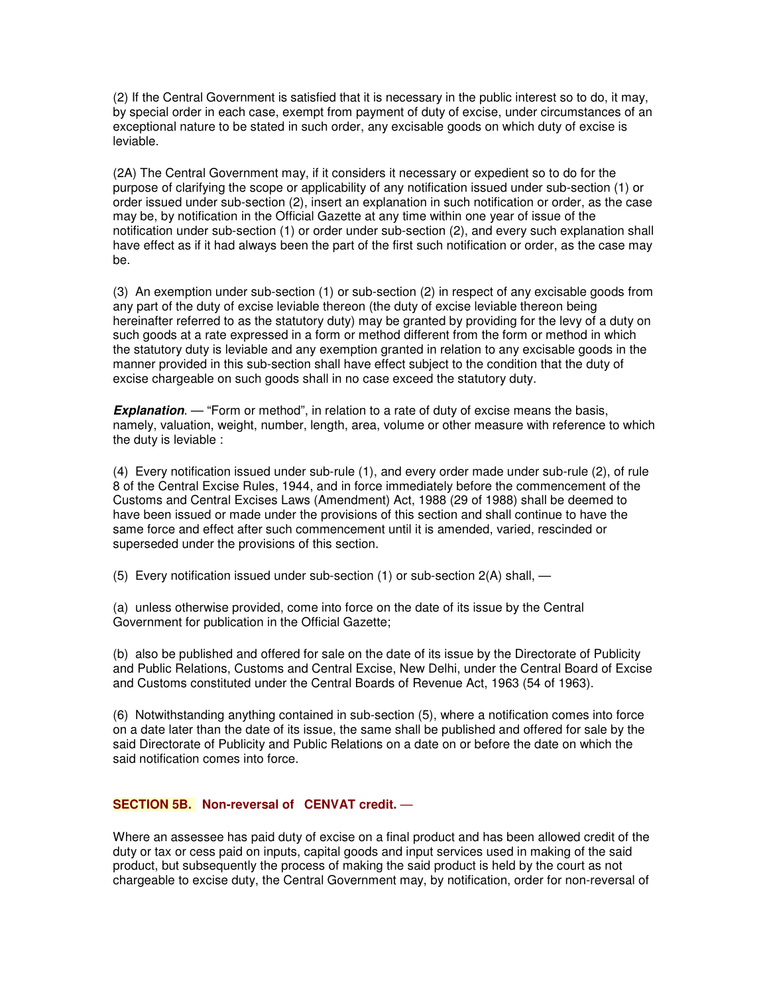(2) If the Central Government is satisfied that it is necessary in the public interest so to do, it may, by special order in each case, exempt from payment of duty of excise, under circumstances of an exceptional nature to be stated in such order, any excisable goods on which duty of excise is leviable.

(2A) The Central Government may, if it considers it necessary or expedient so to do for the purpose of clarifying the scope or applicability of any notification issued under sub-section (1) or order issued under sub-section (2), insert an explanation in such notification or order, as the case may be, by notification in the Official Gazette at any time within one year of issue of the notification under sub-section (1) or order under sub-section (2), and every such explanation shall have effect as if it had always been the part of the first such notification or order, as the case may be.

(3) An exemption under sub-section (1) or sub-section (2) in respect of any excisable goods from any part of the duty of excise leviable thereon (the duty of excise leviable thereon being hereinafter referred to as the statutory duty) may be granted by providing for the levy of a duty on such goods at a rate expressed in a form or method different from the form or method in which the statutory duty is leviable and any exemption granted in relation to any excisable goods in the manner provided in this sub-section shall have effect subject to the condition that the duty of excise chargeable on such goods shall in no case exceed the statutory duty.

**Explanation.** — "Form or method", in relation to a rate of duty of excise means the basis, namely, valuation, weight, number, length, area, volume or other measure with reference to which the duty is leviable :

(4) Every notification issued under sub-rule (1), and every order made under sub-rule (2), of rule 8 of the Central Excise Rules, 1944, and in force immediately before the commencement of the Customs and Central Excises Laws (Amendment) Act, 1988 (29 of 1988) shall be deemed to have been issued or made under the provisions of this section and shall continue to have the same force and effect after such commencement until it is amended, varied, rescinded or superseded under the provisions of this section.

(5) Every notification issued under sub-section  $(1)$  or sub-section  $2(A)$  shall, —

(a) unless otherwise provided, come into force on the date of its issue by the Central Government for publication in the Official Gazette;

(b) also be published and offered for sale on the date of its issue by the Directorate of Publicity and Public Relations, Customs and Central Excise, New Delhi, under the Central Board of Excise and Customs constituted under the Central Boards of Revenue Act, 1963 (54 of 1963).

(6) Notwithstanding anything contained in sub-section (5), where a notification comes into force on a date later than the date of its issue, the same shall be published and offered for sale by the said Directorate of Publicity and Public Relations on a date on or before the date on which the said notification comes into force.

## **SECTION 5B. Non-reversal of CENVAT credit.** —

Where an assessee has paid duty of excise on a final product and has been allowed credit of the duty or tax or cess paid on inputs, capital goods and input services used in making of the said product, but subsequently the process of making the said product is held by the court as not chargeable to excise duty, the Central Government may, by notification, order for non-reversal of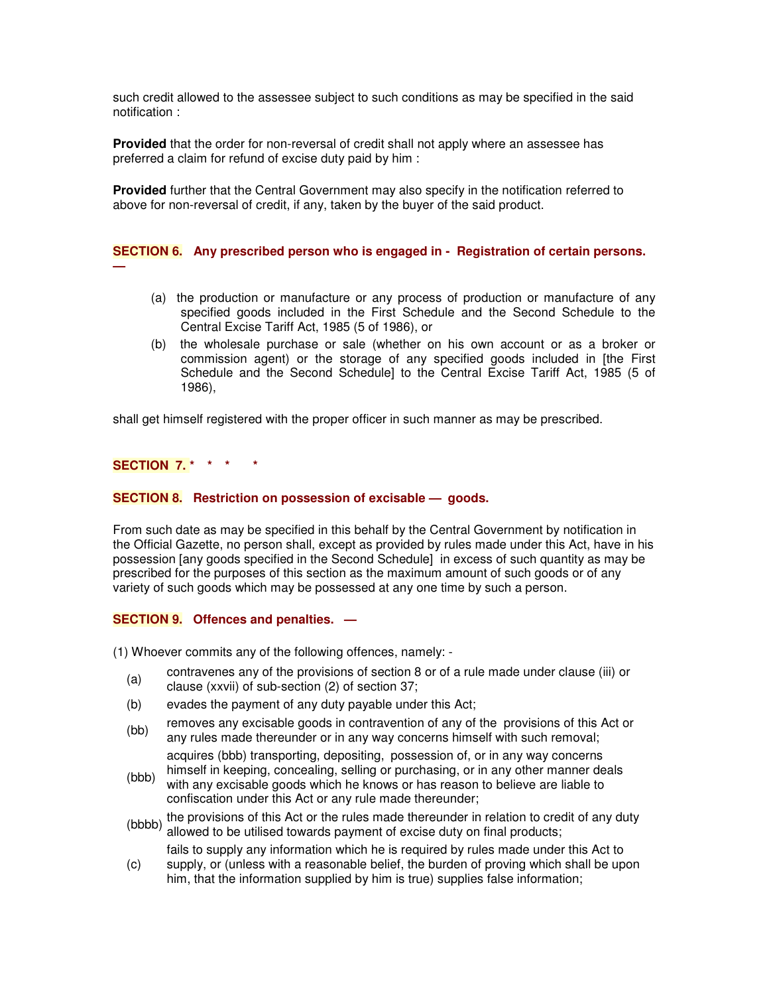such credit allowed to the assessee subject to such conditions as may be specified in the said notification :

**Provided** that the order for non-reversal of credit shall not apply where an assessee has preferred a claim for refund of excise duty paid by him :

**Provided** further that the Central Government may also specify in the notification referred to above for non-reversal of credit, if any, taken by the buyer of the said product.

**SECTION 6. Any prescribed person who is engaged in - Registration of certain persons. —**

- (a) the production or manufacture or any process of production or manufacture of any specified goods included in the First Schedule and the Second Schedule to the Central Excise Tariff Act, 1985 (5 of 1986), or
- (b) the wholesale purchase or sale (whether on his own account or as a broker or commission agent) or the storage of any specified goods included in [the First Schedule and the Second Schedule] to the Central Excise Tariff Act, 1985 (5 of 1986),

shall get himself registered with the proper officer in such manner as may be prescribed.

# **SECTION 7. \* \* \* \***

#### **SECTION 8. Restriction on possession of excisable — goods.**

From such date as may be specified in this behalf by the Central Government by notification in the Official Gazette, no person shall, except as provided by rules made under this Act, have in his possession [any goods specified in the Second Schedule] in excess of such quantity as may be prescribed for the purposes of this section as the maximum amount of such goods or of any variety of such goods which may be possessed at any one time by such a person.

#### **SECTION 9. Offences and penalties. —**

(1) Whoever commits any of the following offences, namely: -

- (a) contravenes any of the provisions of section 8 or of a rule made under clause (iii) or clause (xxvii) of sub-section (2) of section 37;
- (b) evades the payment of any duty payable under this Act;
- (bb) removes any excisable goods in contravention of any of the provisions of this Act or any rules made thereunder or in any way concerns himself with such removal;

acquires (bbb) transporting, depositing, possession of, or in any way concerns himself in keeping, concealing, selling or purchasing, or in any other manner deals

- (bbb) with any excisable goods which he knows or has reason to believe are liable to confiscation under this Act or any rule made thereunder;
- (bbbb) the provisions of this Act or the rules made thereunder in relation to credit of any duty<br>(bbbb) ellowed to be utilized towards normant of excise duty on final products: allowed to be utilised towards payment of excise duty on final products;

(c) fails to supply any information which he is required by rules made under this Act to supply, or (unless with a reasonable belief, the burden of proving which shall be upon

him, that the information supplied by him is true) supplies false information;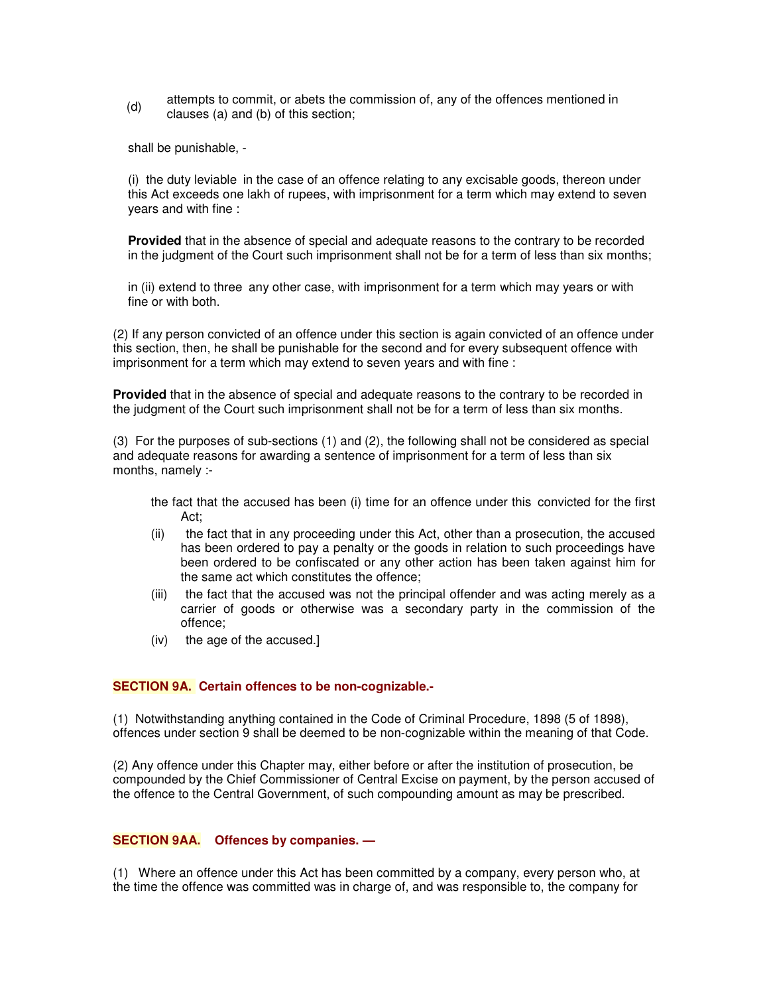(d) attempts to commit, or abets the commission of, any of the offences mentioned in clauses (a) and (b) of this section;

shall be punishable, -

(i) the duty leviable in the case of an offence relating to any excisable goods, thereon under this Act exceeds one lakh of rupees, with imprisonment for a term which may extend to seven years and with fine :

**Provided** that in the absence of special and adequate reasons to the contrary to be recorded in the judgment of the Court such imprisonment shall not be for a term of less than six months;

in (ii) extend to three any other case, with imprisonment for a term which may years or with fine or with both.

(2) If any person convicted of an offence under this section is again convicted of an offence under this section, then, he shall be punishable for the second and for every subsequent offence with imprisonment for a term which may extend to seven years and with fine :

**Provided** that in the absence of special and adequate reasons to the contrary to be recorded in the judgment of the Court such imprisonment shall not be for a term of less than six months.

(3) For the purposes of sub-sections (1) and (2), the following shall not be considered as special and adequate reasons for awarding a sentence of imprisonment for a term of less than six months, namely :-

the fact that the accused has been (i) time for an offence under this convicted for the first Act;

- (ii) the fact that in any proceeding under this Act, other than a prosecution, the accused has been ordered to pay a penalty or the goods in relation to such proceedings have been ordered to be confiscated or any other action has been taken against him for the same act which constitutes the offence;
- (iii) the fact that the accused was not the principal offender and was acting merely as a carrier of goods or otherwise was a secondary party in the commission of the offence;
- (iv) the age of the accused.]

#### **SECTION 9A. Certain offences to be non-cognizable.-**

(1) Notwithstanding anything contained in the Code of Criminal Procedure, 1898 (5 of 1898), offences under section 9 shall be deemed to be non-cognizable within the meaning of that Code.

(2) Any offence under this Chapter may, either before or after the institution of prosecution, be compounded by the Chief Commissioner of Central Excise on payment, by the person accused of the offence to the Central Government, of such compounding amount as may be prescribed.

## **SECTION 9AA. Offences by companies. —**

(1) Where an offence under this Act has been committed by a company, every person who, at the time the offence was committed was in charge of, and was responsible to, the company for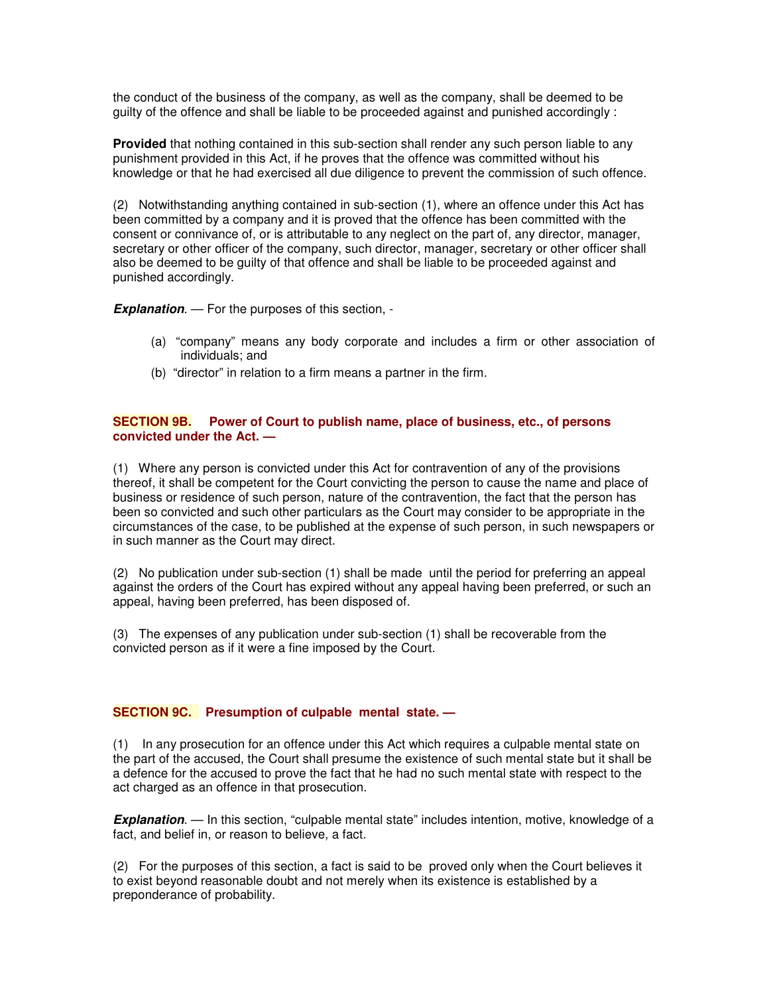the conduct of the business of the company, as well as the company, shall be deemed to be guilty of the offence and shall be liable to be proceeded against and punished accordingly :

**Provided** that nothing contained in this sub-section shall render any such person liable to any punishment provided in this Act, if he proves that the offence was committed without his knowledge or that he had exercised all due diligence to prevent the commission of such offence.

(2) Notwithstanding anything contained in sub-section (1), where an offence under this Act has been committed by a company and it is proved that the offence has been committed with the consent or connivance of, or is attributable to any neglect on the part of, any director, manager, secretary or other officer of the company, such director, manager, secretary or other officer shall also be deemed to be guilty of that offence and shall be liable to be proceeded against and punished accordingly.

*Explanation*. — For the purposes of this section, -

- (a) "company" means any body corporate and includes a firm or other association of individuals; and
- (b) "director" in relation to a firm means a partner in the firm.

# **SECTION 9B. Power of Court to publish name, place of business, etc., of persons convicted under the Act. —**

(1) Where any person is convicted under this Act for contravention of any of the provisions thereof, it shall be competent for the Court convicting the person to cause the name and place of business or residence of such person, nature of the contravention, the fact that the person has been so convicted and such other particulars as the Court may consider to be appropriate in the circumstances of the case, to be published at the expense of such person, in such newspapers or in such manner as the Court may direct.

(2) No publication under sub-section (1) shall be made until the period for preferring an appeal against the orders of the Court has expired without any appeal having been preferred, or such an appeal, having been preferred, has been disposed of.

(3) The expenses of any publication under sub-section (1) shall be recoverable from the convicted person as if it were a fine imposed by the Court.

# **SECTION 9C. Presumption of culpable mental state. —**

(1) In any prosecution for an offence under this Act which requires a culpable mental state on the part of the accused, the Court shall presume the existence of such mental state but it shall be a defence for the accused to prove the fact that he had no such mental state with respect to the act charged as an offence in that prosecution.

**Explanation.** — In this section, "culpable mental state" includes intention, motive, knowledge of a fact, and belief in, or reason to believe, a fact.

(2) For the purposes of this section, a fact is said to be proved only when the Court believes it to exist beyond reasonable doubt and not merely when its existence is established by a preponderance of probability.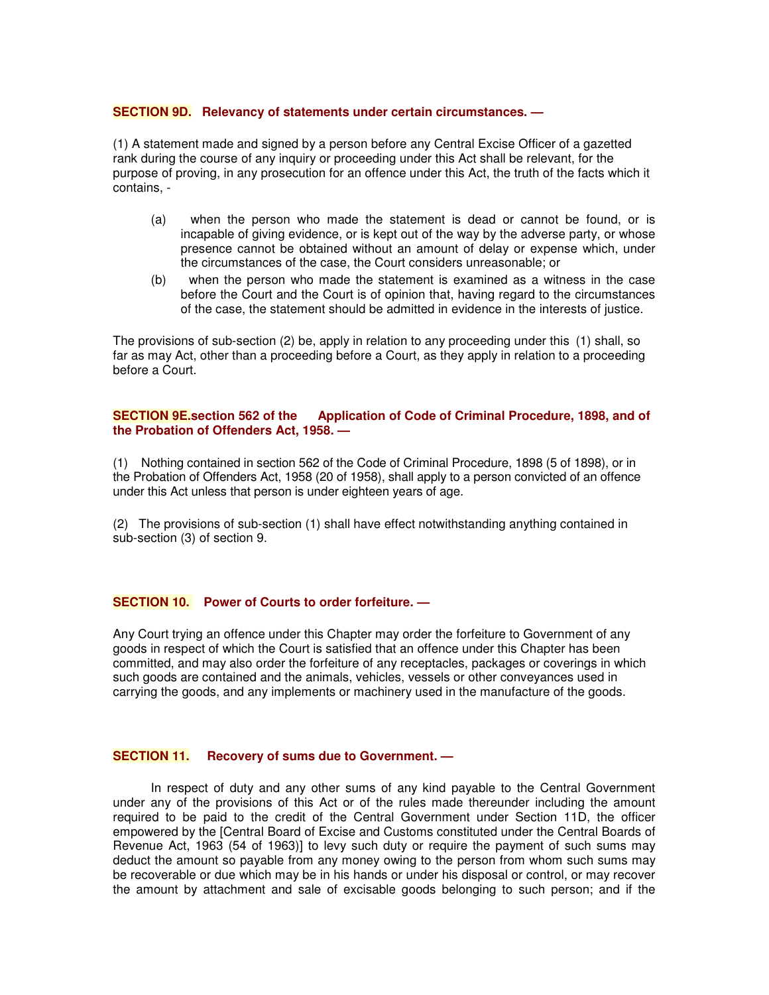#### **SECTION 9D. Relevancy of statements under certain circumstances. —**

(1) A statement made and signed by a person before any Central Excise Officer of a gazetted rank during the course of any inquiry or proceeding under this Act shall be relevant, for the purpose of proving, in any prosecution for an offence under this Act, the truth of the facts which it contains, -

- (a) when the person who made the statement is dead or cannot be found, or is incapable of giving evidence, or is kept out of the way by the adverse party, or whose presence cannot be obtained without an amount of delay or expense which, under the circumstances of the case, the Court considers unreasonable; or
- (b) when the person who made the statement is examined as a witness in the case before the Court and the Court is of opinion that, having regard to the circumstances of the case, the statement should be admitted in evidence in the interests of justice.

The provisions of sub-section (2) be, apply in relation to any proceeding under this (1) shall, so far as may Act, other than a proceeding before a Court, as they apply in relation to a proceeding before a Court.

## **SECTION 9E.section 562 of the Application of Code of Criminal Procedure, 1898, and of the Probation of Offenders Act, 1958. —**

(1) Nothing contained in section 562 of the Code of Criminal Procedure, 1898 (5 of 1898), or in the Probation of Offenders Act, 1958 (20 of 1958), shall apply to a person convicted of an offence under this Act unless that person is under eighteen years of age.

(2) The provisions of sub-section (1) shall have effect notwithstanding anything contained in sub-section (3) of section 9.

# **SECTION 10. Power of Courts to order forfeiture. —**

Any Court trying an offence under this Chapter may order the forfeiture to Government of any goods in respect of which the Court is satisfied that an offence under this Chapter has been committed, and may also order the forfeiture of any receptacles, packages or coverings in which such goods are contained and the animals, vehicles, vessels or other conveyances used in carrying the goods, and any implements or machinery used in the manufacture of the goods.

#### **SECTION 11. Recovery of sums due to Government. —**

In respect of duty and any other sums of any kind payable to the Central Government under any of the provisions of this Act or of the rules made thereunder including the amount required to be paid to the credit of the Central Government under Section 11D, the officer empowered by the [Central Board of Excise and Customs constituted under the Central Boards of Revenue Act, 1963 (54 of 1963)] to levy such duty or require the payment of such sums may deduct the amount so payable from any money owing to the person from whom such sums may be recoverable or due which may be in his hands or under his disposal or control, or may recover the amount by attachment and sale of excisable goods belonging to such person; and if the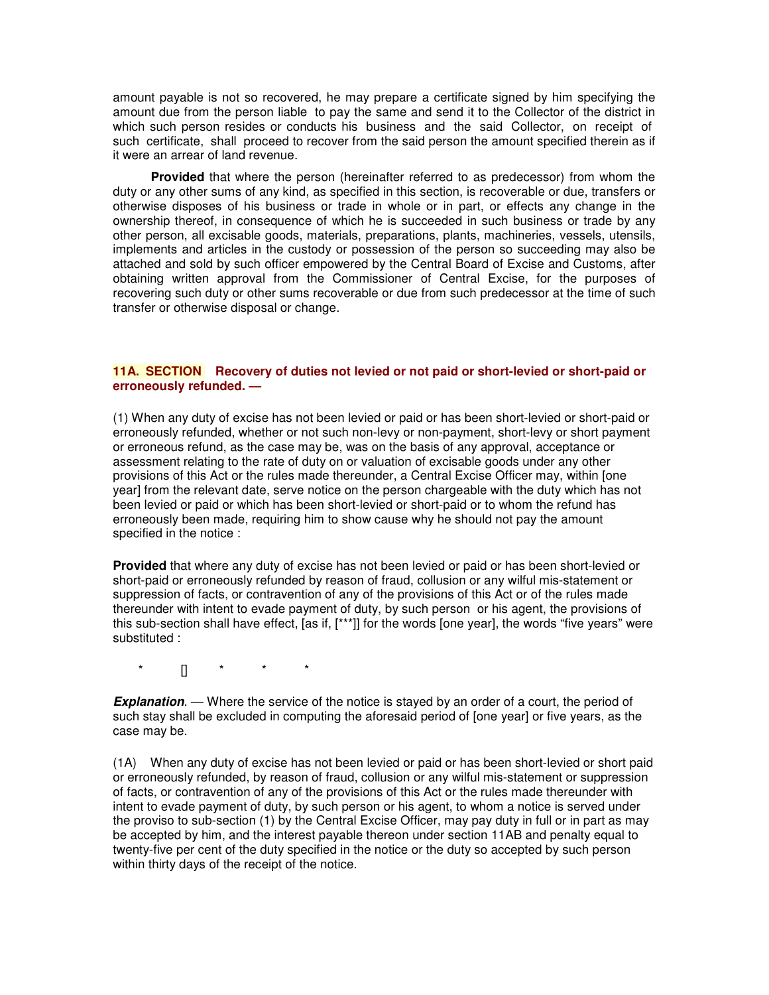amount payable is not so recovered, he may prepare a certificate signed by him specifying the amount due from the person liable to pay the same and send it to the Collector of the district in which such person resides or conducts his business and the said Collector, on receipt of such certificate, shall proceed to recover from the said person the amount specified therein as if it were an arrear of land revenue.

**Provided** that where the person (hereinafter referred to as predecessor) from whom the duty or any other sums of any kind, as specified in this section, is recoverable or due, transfers or otherwise disposes of his business or trade in whole or in part, or effects any change in the ownership thereof, in consequence of which he is succeeded in such business or trade by any other person, all excisable goods, materials, preparations, plants, machineries, vessels, utensils, implements and articles in the custody or possession of the person so succeeding may also be attached and sold by such officer empowered by the Central Board of Excise and Customs, after obtaining written approval from the Commissioner of Central Excise, for the purposes of recovering such duty or other sums recoverable or due from such predecessor at the time of such transfer or otherwise disposal or change.

## **11A. SECTION Recovery of duties not levied or not paid or short-levied or short-paid or erroneously refunded. —**

(1) When any duty of excise has not been levied or paid or has been short-levied or short-paid or erroneously refunded, whether or not such non-levy or non-payment, short-levy or short payment or erroneous refund, as the case may be, was on the basis of any approval, acceptance or assessment relating to the rate of duty on or valuation of excisable goods under any other provisions of this Act or the rules made thereunder, a Central Excise Officer may, within [one year] from the relevant date, serve notice on the person chargeable with the duty which has not been levied or paid or which has been short-levied or short-paid or to whom the refund has erroneously been made, requiring him to show cause why he should not pay the amount specified in the notice :

**Provided** that where any duty of excise has not been levied or paid or has been short-levied or short-paid or erroneously refunded by reason of fraud, collusion or any wilful mis-statement or suppression of facts, or contravention of any of the provisions of this Act or of the rules made thereunder with intent to evade payment of duty, by such person or his agent, the provisions of this sub-section shall have effect, [as if, [\*\*\*]] for the words [one year], the words "five years" were substituted :

\* [] \* \* \*

**Explanation.** — Where the service of the notice is stayed by an order of a court, the period of such stay shall be excluded in computing the aforesaid period of [one year] or five years, as the case may be.

(1A) When any duty of excise has not been levied or paid or has been short-levied or short paid or erroneously refunded, by reason of fraud, collusion or any wilful mis-statement or suppression of facts, or contravention of any of the provisions of this Act or the rules made thereunder with intent to evade payment of duty, by such person or his agent, to whom a notice is served under the proviso to sub-section (1) by the Central Excise Officer, may pay duty in full or in part as may be accepted by him, and the interest payable thereon under section 11AB and penalty equal to twenty-five per cent of the duty specified in the notice or the duty so accepted by such person within thirty days of the receipt of the notice.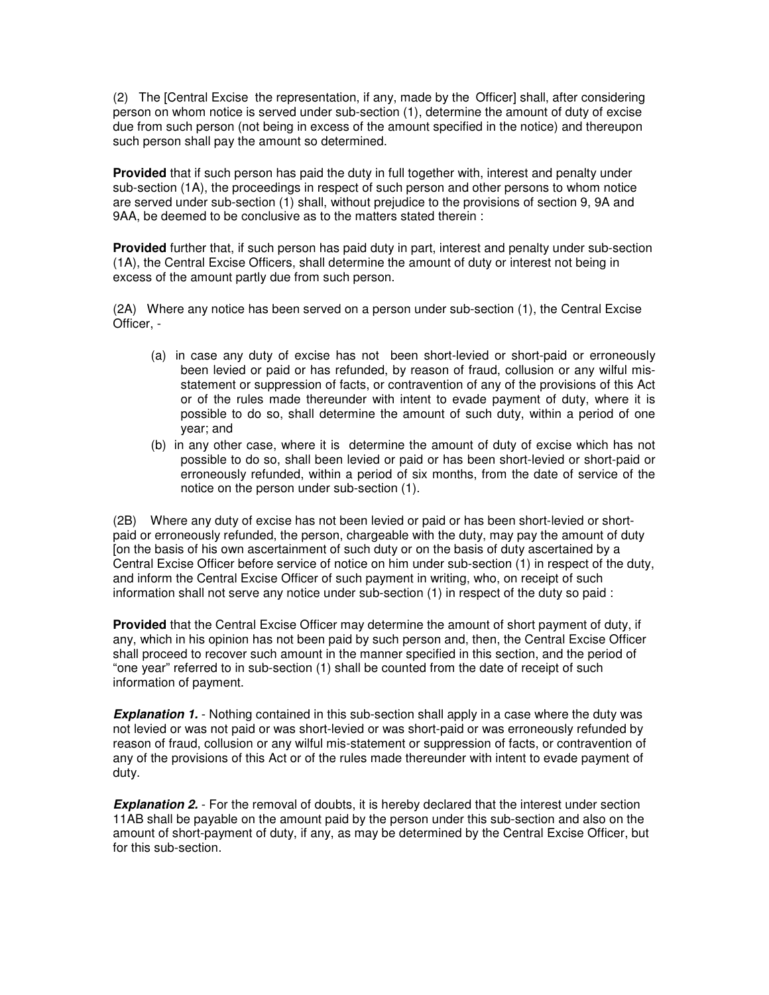(2) The [Central Excise the representation, if any, made by the Officer] shall, after considering person on whom notice is served under sub-section (1), determine the amount of duty of excise due from such person (not being in excess of the amount specified in the notice) and thereupon such person shall pay the amount so determined.

**Provided** that if such person has paid the duty in full together with, interest and penalty under sub-section (1A), the proceedings in respect of such person and other persons to whom notice are served under sub-section (1) shall, without prejudice to the provisions of section 9, 9A and 9AA, be deemed to be conclusive as to the matters stated therein :

**Provided** further that, if such person has paid duty in part, interest and penalty under sub-section (1A), the Central Excise Officers, shall determine the amount of duty or interest not being in excess of the amount partly due from such person.

(2A) Where any notice has been served on a person under sub-section (1), the Central Excise Officer, -

- (a) in case any duty of excise has not been short-levied or short-paid or erroneously been levied or paid or has refunded, by reason of fraud, collusion or any wilful misstatement or suppression of facts, or contravention of any of the provisions of this Act or of the rules made thereunder with intent to evade payment of duty, where it is possible to do so, shall determine the amount of such duty, within a period of one year; and
- (b) in any other case, where it is determine the amount of duty of excise which has not possible to do so, shall been levied or paid or has been short-levied or short-paid or erroneously refunded, within a period of six months, from the date of service of the notice on the person under sub-section (1).

(2B) Where any duty of excise has not been levied or paid or has been short-levied or shortpaid or erroneously refunded, the person, chargeable with the duty, may pay the amount of duty [on the basis of his own ascertainment of such duty or on the basis of duty ascertained by a Central Excise Officer before service of notice on him under sub-section (1) in respect of the duty, and inform the Central Excise Officer of such payment in writing, who, on receipt of such information shall not serve any notice under sub-section (1) in respect of the duty so paid :

**Provided** that the Central Excise Officer may determine the amount of short payment of duty, if any, which in his opinion has not been paid by such person and, then, the Central Excise Officer shall proceed to recover such amount in the manner specified in this section, and the period of "one year" referred to in sub-section (1) shall be counted from the date of receipt of such information of payment.

**Explanation 1.** - Nothing contained in this sub-section shall apply in a case where the duty was not levied or was not paid or was short-levied or was short-paid or was erroneously refunded by reason of fraud, collusion or any wilful mis-statement or suppression of facts, or contravention of any of the provisions of this Act or of the rules made thereunder with intent to evade payment of duty.

**Explanation 2.** - For the removal of doubts, it is hereby declared that the interest under section 11AB shall be payable on the amount paid by the person under this sub-section and also on the amount of short-payment of duty, if any, as may be determined by the Central Excise Officer, but for this sub-section.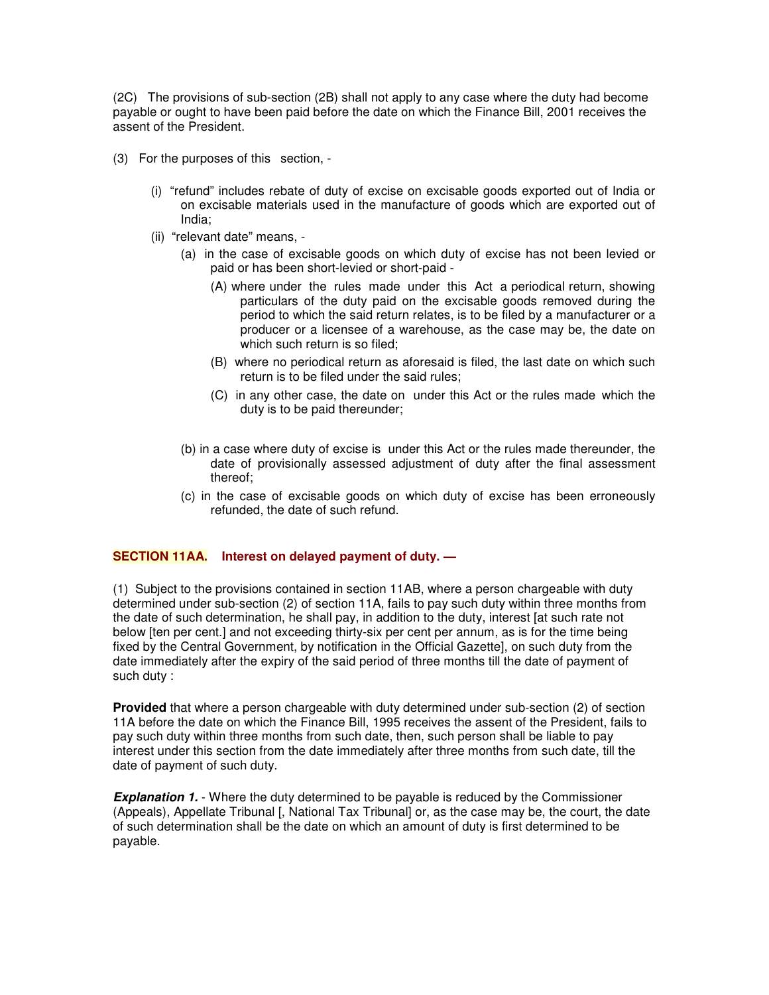(2C) The provisions of sub-section (2B) shall not apply to any case where the duty had become payable or ought to have been paid before the date on which the Finance Bill, 2001 receives the assent of the President.

- (3) For the purposes of this section,
	- (i) "refund" includes rebate of duty of excise on excisable goods exported out of India or on excisable materials used in the manufacture of goods which are exported out of India;
	- (ii) "relevant date" means,
		- (a) in the case of excisable goods on which duty of excise has not been levied or paid or has been short-levied or short-paid -
			- (A) where under the rules made under this Act a periodical return, showing particulars of the duty paid on the excisable goods removed during the period to which the said return relates, is to be filed by a manufacturer or a producer or a licensee of a warehouse, as the case may be, the date on which such return is so filed;
			- (B) where no periodical return as aforesaid is filed, the last date on which such return is to be filed under the said rules;
			- (C) in any other case, the date on under this Act or the rules made which the duty is to be paid thereunder;
		- (b) in a case where duty of excise is under this Act or the rules made thereunder, the date of provisionally assessed adjustment of duty after the final assessment thereof;
		- (c) in the case of excisable goods on which duty of excise has been erroneously refunded, the date of such refund.

# **SECTION 11AA. Interest on delayed payment of duty. —**

(1) Subject to the provisions contained in section 11AB, where a person chargeable with duty determined under sub-section (2) of section 11A, fails to pay such duty within three months from the date of such determination, he shall pay, in addition to the duty, interest [at such rate not below [ten per cent.] and not exceeding thirty-six per cent per annum, as is for the time being fixed by the Central Government, by notification in the Official Gazette], on such duty from the date immediately after the expiry of the said period of three months till the date of payment of such duty :

**Provided** that where a person chargeable with duty determined under sub-section (2) of section 11A before the date on which the Finance Bill, 1995 receives the assent of the President, fails to pay such duty within three months from such date, then, such person shall be liable to pay interest under this section from the date immediately after three months from such date, till the date of payment of such duty.

**Explanation 1.** - Where the duty determined to be payable is reduced by the Commissioner (Appeals), Appellate Tribunal [, National Tax Tribunal] or, as the case may be, the court, the date of such determination shall be the date on which an amount of duty is first determined to be payable.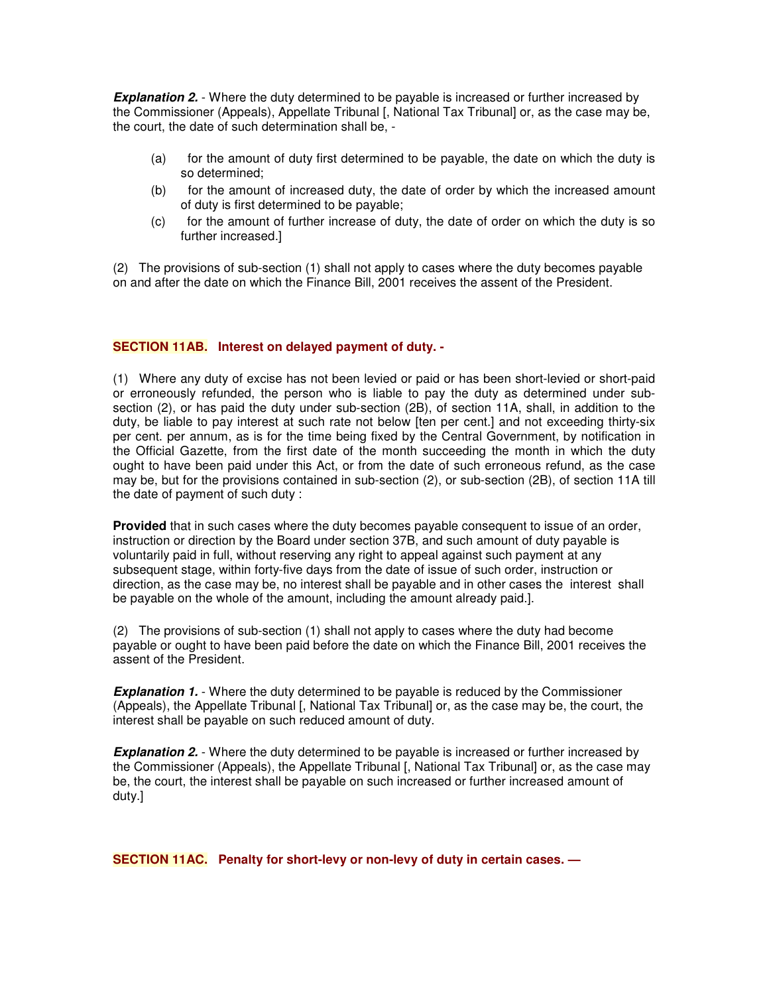**Explanation 2.** - Where the duty determined to be payable is increased or further increased by the Commissioner (Appeals), Appellate Tribunal [, National Tax Tribunal] or, as the case may be, the court, the date of such determination shall be, -

- (a) for the amount of duty first determined to be payable, the date on which the duty is so determined;
- (b) for the amount of increased duty, the date of order by which the increased amount of duty is first determined to be payable;
- (c) for the amount of further increase of duty, the date of order on which the duty is so further increased.]

(2) The provisions of sub-section (1) shall not apply to cases where the duty becomes payable on and after the date on which the Finance Bill, 2001 receives the assent of the President.

# **SECTION 11AB. Interest on delayed payment of duty. -**

(1) Where any duty of excise has not been levied or paid or has been short-levied or short-paid or erroneously refunded, the person who is liable to pay the duty as determined under subsection (2), or has paid the duty under sub-section (2B), of section 11A, shall, in addition to the duty, be liable to pay interest at such rate not below [ten per cent.] and not exceeding thirty-six per cent. per annum, as is for the time being fixed by the Central Government, by notification in the Official Gazette, from the first date of the month succeeding the month in which the duty ought to have been paid under this Act, or from the date of such erroneous refund, as the case may be, but for the provisions contained in sub-section (2), or sub-section (2B), of section 11A till the date of payment of such duty :

**Provided** that in such cases where the duty becomes payable consequent to issue of an order, instruction or direction by the Board under section 37B, and such amount of duty payable is voluntarily paid in full, without reserving any right to appeal against such payment at any subsequent stage, within forty-five days from the date of issue of such order, instruction or direction, as the case may be, no interest shall be payable and in other cases the interest shall be payable on the whole of the amount, including the amount already paid.].

(2) The provisions of sub-section (1) shall not apply to cases where the duty had become payable or ought to have been paid before the date on which the Finance Bill, 2001 receives the assent of the President.

**Explanation 1.** - Where the duty determined to be payable is reduced by the Commissioner (Appeals), the Appellate Tribunal [, National Tax Tribunal] or, as the case may be, the court, the interest shall be payable on such reduced amount of duty.

**Explanation 2.** - Where the duty determined to be payable is increased or further increased by the Commissioner (Appeals), the Appellate Tribunal [, National Tax Tribunal] or, as the case may be, the court, the interest shall be payable on such increased or further increased amount of duty.]

**SECTION 11AC. Penalty for short-levy or non-levy of duty in certain cases. —**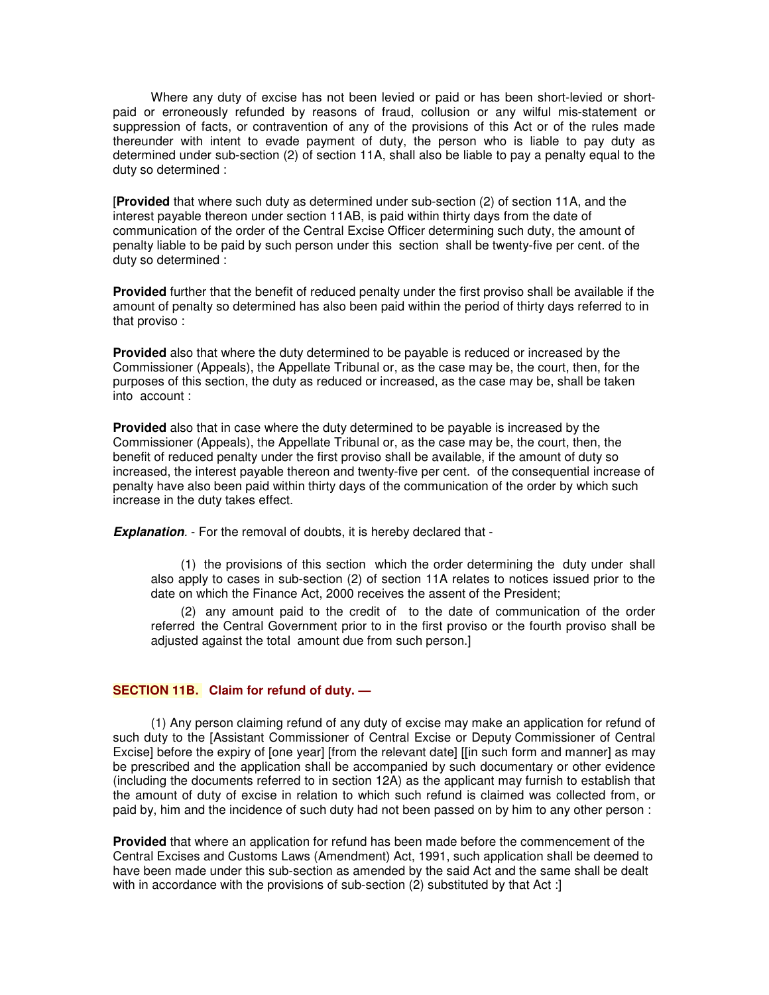Where any duty of excise has not been levied or paid or has been short-levied or shortpaid or erroneously refunded by reasons of fraud, collusion or any wilful mis-statement or suppression of facts, or contravention of any of the provisions of this Act or of the rules made thereunder with intent to evade payment of duty, the person who is liable to pay duty as determined under sub-section (2) of section 11A, shall also be liable to pay a penalty equal to the duty so determined :

[**Provided** that where such duty as determined under sub-section (2) of section 11A, and the interest payable thereon under section 11AB, is paid within thirty days from the date of communication of the order of the Central Excise Officer determining such duty, the amount of penalty liable to be paid by such person under this section shall be twenty-five per cent. of the duty so determined :

**Provided** further that the benefit of reduced penalty under the first proviso shall be available if the amount of penalty so determined has also been paid within the period of thirty days referred to in that proviso :

**Provided** also that where the duty determined to be payable is reduced or increased by the Commissioner (Appeals), the Appellate Tribunal or, as the case may be, the court, then, for the purposes of this section, the duty as reduced or increased, as the case may be, shall be taken into account :

**Provided** also that in case where the duty determined to be payable is increased by the Commissioner (Appeals), the Appellate Tribunal or, as the case may be, the court, then, the benefit of reduced penalty under the first proviso shall be available, if the amount of duty so increased, the interest payable thereon and twenty-five per cent. of the consequential increase of penalty have also been paid within thirty days of the communication of the order by which such increase in the duty takes effect.

*Explanation.* - For the removal of doubts, it is hereby declared that -

(1) the provisions of this section which the order determining the duty under shall also apply to cases in sub-section (2) of section 11A relates to notices issued prior to the date on which the Finance Act, 2000 receives the assent of the President;

(2) any amount paid to the credit of to the date of communication of the order referred the Central Government prior to in the first proviso or the fourth proviso shall be adjusted against the total amount due from such person.]

# **SECTION 11B. Claim for refund of duty. —**

(1) Any person claiming refund of any duty of excise may make an application for refund of such duty to the [Assistant Commissioner of Central Excise or Deputy Commissioner of Central Excise] before the expiry of [one year] [from the relevant date] [[in such form and manner] as may be prescribed and the application shall be accompanied by such documentary or other evidence (including the documents referred to in section 12A) as the applicant may furnish to establish that the amount of duty of excise in relation to which such refund is claimed was collected from, or paid by, him and the incidence of such duty had not been passed on by him to any other person :

**Provided** that where an application for refund has been made before the commencement of the Central Excises and Customs Laws (Amendment) Act, 1991, such application shall be deemed to have been made under this sub-section as amended by the said Act and the same shall be dealt with in accordance with the provisions of sub-section (2) substituted by that Act :]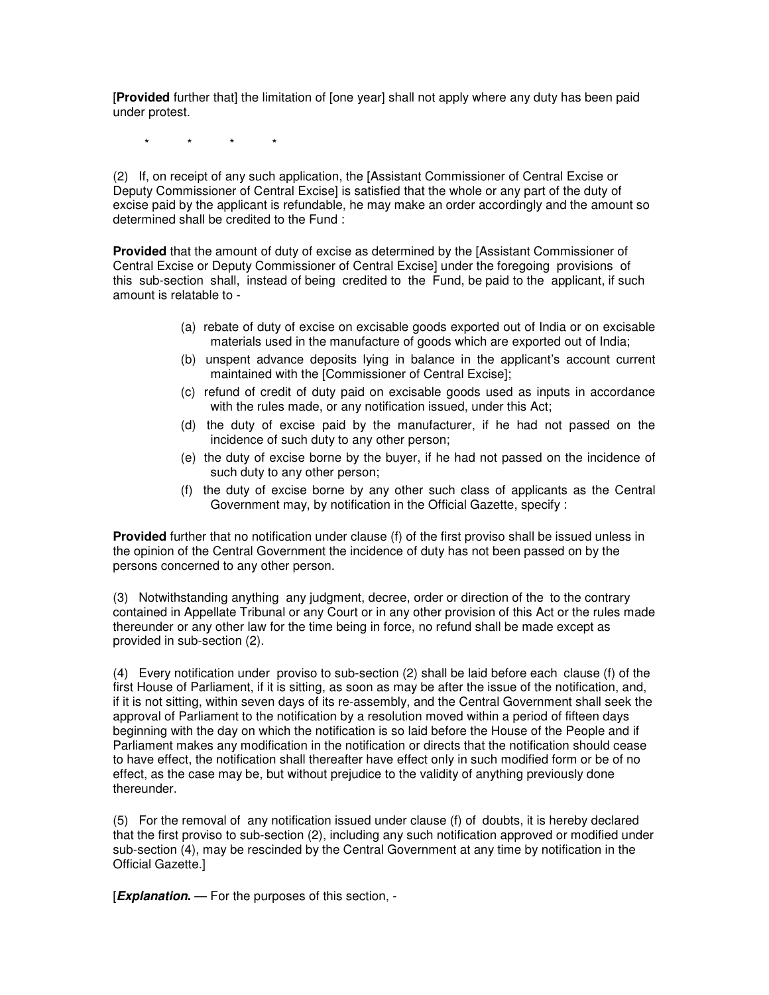[**Provided** further that] the limitation of [one year] shall not apply where any duty has been paid under protest.

\* \* \* \*

(2) If, on receipt of any such application, the [Assistant Commissioner of Central Excise or Deputy Commissioner of Central Excise] is satisfied that the whole or any part of the duty of excise paid by the applicant is refundable, he may make an order accordingly and the amount so determined shall be credited to the Fund :

**Provided** that the amount of duty of excise as determined by the [Assistant Commissioner of Central Excise or Deputy Commissioner of Central Excise] under the foregoing provisions of this sub-section shall, instead of being credited to the Fund, be paid to the applicant, if such amount is relatable to -

- (a) rebate of duty of excise on excisable goods exported out of India or on excisable materials used in the manufacture of goods which are exported out of India;
- (b) unspent advance deposits lying in balance in the applicant's account current maintained with the [Commissioner of Central Excise];
- (c) refund of credit of duty paid on excisable goods used as inputs in accordance with the rules made, or any notification issued, under this Act;
- (d) the duty of excise paid by the manufacturer, if he had not passed on the incidence of such duty to any other person;
- (e) the duty of excise borne by the buyer, if he had not passed on the incidence of such duty to any other person;
- (f) the duty of excise borne by any other such class of applicants as the Central Government may, by notification in the Official Gazette, specify :

**Provided** further that no notification under clause (f) of the first proviso shall be issued unless in the opinion of the Central Government the incidence of duty has not been passed on by the persons concerned to any other person.

(3) Notwithstanding anything any judgment, decree, order or direction of the to the contrary contained in Appellate Tribunal or any Court or in any other provision of this Act or the rules made thereunder or any other law for the time being in force, no refund shall be made except as provided in sub-section (2).

(4) Every notification under proviso to sub-section (2) shall be laid before each clause (f) of the first House of Parliament, if it is sitting, as soon as may be after the issue of the notification, and, if it is not sitting, within seven days of its re-assembly, and the Central Government shall seek the approval of Parliament to the notification by a resolution moved within a period of fifteen days beginning with the day on which the notification is so laid before the House of the People and if Parliament makes any modification in the notification or directs that the notification should cease to have effect, the notification shall thereafter have effect only in such modified form or be of no effect, as the case may be, but without prejudice to the validity of anything previously done thereunder.

(5) For the removal of any notification issued under clause (f) of doubts, it is hereby declared that the first proviso to sub-section (2), including any such notification approved or modified under sub-section (4), may be rescinded by the Central Government at any time by notification in the Official Gazette.]

[*Explanation***.** — For the purposes of this section, -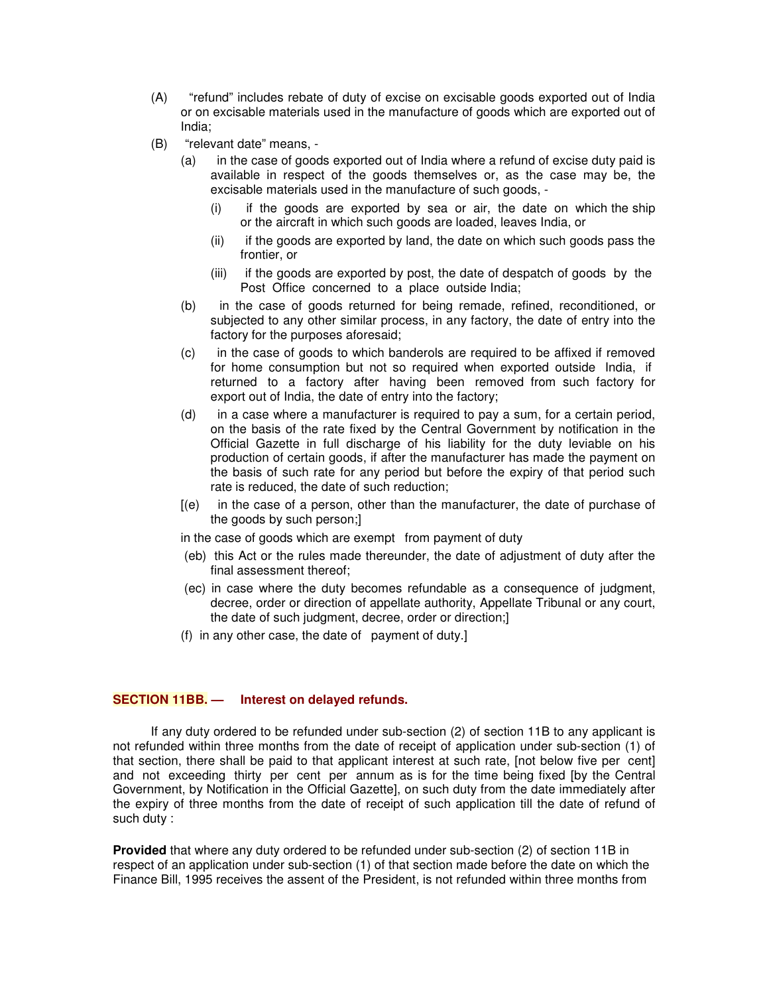- (A) "refund" includes rebate of duty of excise on excisable goods exported out of India or on excisable materials used in the manufacture of goods which are exported out of India;
- (B) "relevant date" means,
	- (a) in the case of goods exported out of India where a refund of excise duty paid is available in respect of the goods themselves or, as the case may be, the excisable materials used in the manufacture of such goods, -
		- (i) if the goods are exported by sea or air, the date on which the ship or the aircraft in which such goods are loaded, leaves India, or
		- (ii) if the goods are exported by land, the date on which such goods pass the frontier, or
		- (iii) if the goods are exported by post, the date of despatch of goods by the Post Office concerned to a place outside India;
	- (b) in the case of goods returned for being remade, refined, reconditioned, or subjected to any other similar process, in any factory, the date of entry into the factory for the purposes aforesaid;
	- (c) in the case of goods to which banderols are required to be affixed if removed for home consumption but not so required when exported outside India, if returned to a factory after having been removed from such factory for export out of India, the date of entry into the factory;
	- (d) in a case where a manufacturer is required to pay a sum, for a certain period, on the basis of the rate fixed by the Central Government by notification in the Official Gazette in full discharge of his liability for the duty leviable on his production of certain goods, if after the manufacturer has made the payment on the basis of such rate for any period but before the expiry of that period such rate is reduced, the date of such reduction;
	- [(e) in the case of a person, other than the manufacturer, the date of purchase of the goods by such person;]

in the case of goods which are exempt from payment of duty

- (eb) this Act or the rules made thereunder, the date of adjustment of duty after the final assessment thereof;
- (ec) in case where the duty becomes refundable as a consequence of judgment, decree, order or direction of appellate authority, Appellate Tribunal or any court, the date of such judgment, decree, order or direction;]
- (f) in any other case, the date of payment of duty.]

## **SECTION 11BB. — Interest on delayed refunds.**

If any duty ordered to be refunded under sub-section (2) of section 11B to any applicant is not refunded within three months from the date of receipt of application under sub-section (1) of that section, there shall be paid to that applicant interest at such rate, [not below five per cent] and not exceeding thirty per cent per annum as is for the time being fixed [by the Central Government, by Notification in the Official Gazette], on such duty from the date immediately after the expiry of three months from the date of receipt of such application till the date of refund of such duty :

**Provided** that where any duty ordered to be refunded under sub-section (2) of section 11B in respect of an application under sub-section (1) of that section made before the date on which the Finance Bill, 1995 receives the assent of the President, is not refunded within three months from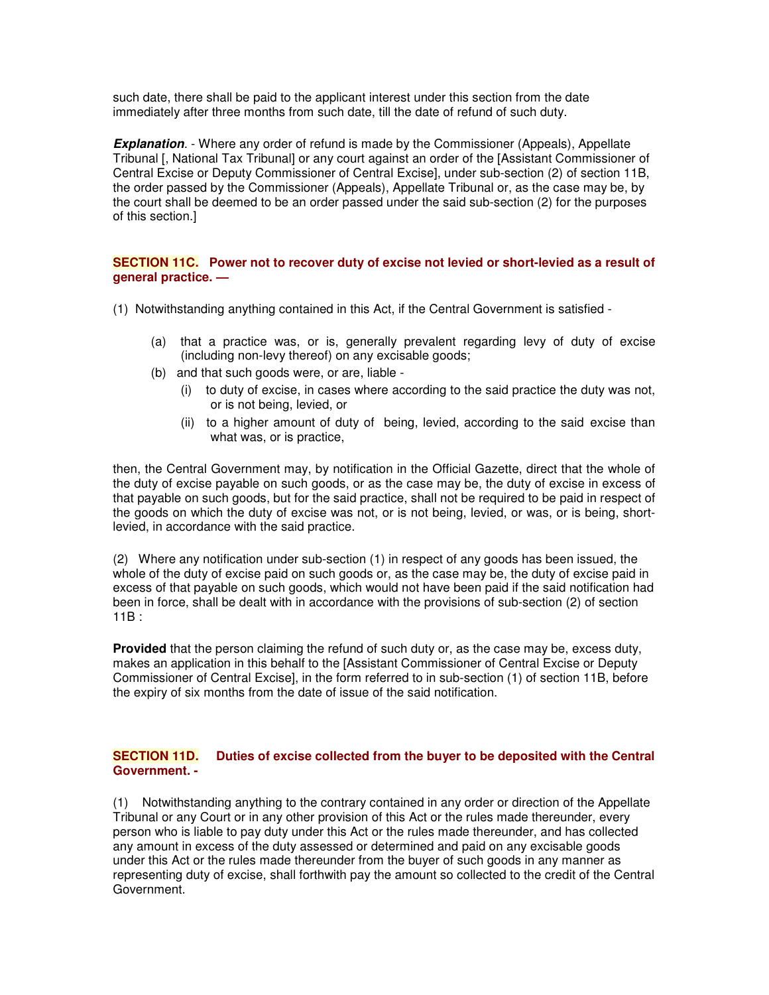such date, there shall be paid to the applicant interest under this section from the date immediately after three months from such date, till the date of refund of such duty.

**Explanation**. - Where any order of refund is made by the Commissioner (Appeals), Appellate Tribunal [, National Tax Tribunal] or any court against an order of the [Assistant Commissioner of Central Excise or Deputy Commissioner of Central Excise], under sub-section (2) of section 11B, the order passed by the Commissioner (Appeals), Appellate Tribunal or, as the case may be, by the court shall be deemed to be an order passed under the said sub-section (2) for the purposes of this section.]

# **SECTION 11C. Power not to recover duty of excise not levied or short-levied as a result of general practice. —**

- (1) Notwithstanding anything contained in this Act, if the Central Government is satisfied
	- (a) that a practice was, or is, generally prevalent regarding levy of duty of excise (including non-levy thereof) on any excisable goods;
	- (b) and that such goods were, or are, liable
		- (i) to duty of excise, in cases where according to the said practice the duty was not, or is not being, levied, or
		- (ii) to a higher amount of duty of being, levied, according to the said excise than what was, or is practice,

then, the Central Government may, by notification in the Official Gazette, direct that the whole of the duty of excise payable on such goods, or as the case may be, the duty of excise in excess of that payable on such goods, but for the said practice, shall not be required to be paid in respect of the goods on which the duty of excise was not, or is not being, levied, or was, or is being, shortlevied, in accordance with the said practice.

(2) Where any notification under sub-section (1) in respect of any goods has been issued, the whole of the duty of excise paid on such goods or, as the case may be, the duty of excise paid in excess of that payable on such goods, which would not have been paid if the said notification had been in force, shall be dealt with in accordance with the provisions of sub-section (2) of section 11B :

**Provided** that the person claiming the refund of such duty or, as the case may be, excess duty, makes an application in this behalf to the [Assistant Commissioner of Central Excise or Deputy Commissioner of Central Excise], in the form referred to in sub-section (1) of section 11B, before the expiry of six months from the date of issue of the said notification.

# **SECTION 11D. Duties of excise collected from the buyer to be deposited with the Central Government. -**

(1) Notwithstanding anything to the contrary contained in any order or direction of the Appellate Tribunal or any Court or in any other provision of this Act or the rules made thereunder, every person who is liable to pay duty under this Act or the rules made thereunder, and has collected any amount in excess of the duty assessed or determined and paid on any excisable goods under this Act or the rules made thereunder from the buyer of such goods in any manner as representing duty of excise, shall forthwith pay the amount so collected to the credit of the Central Government.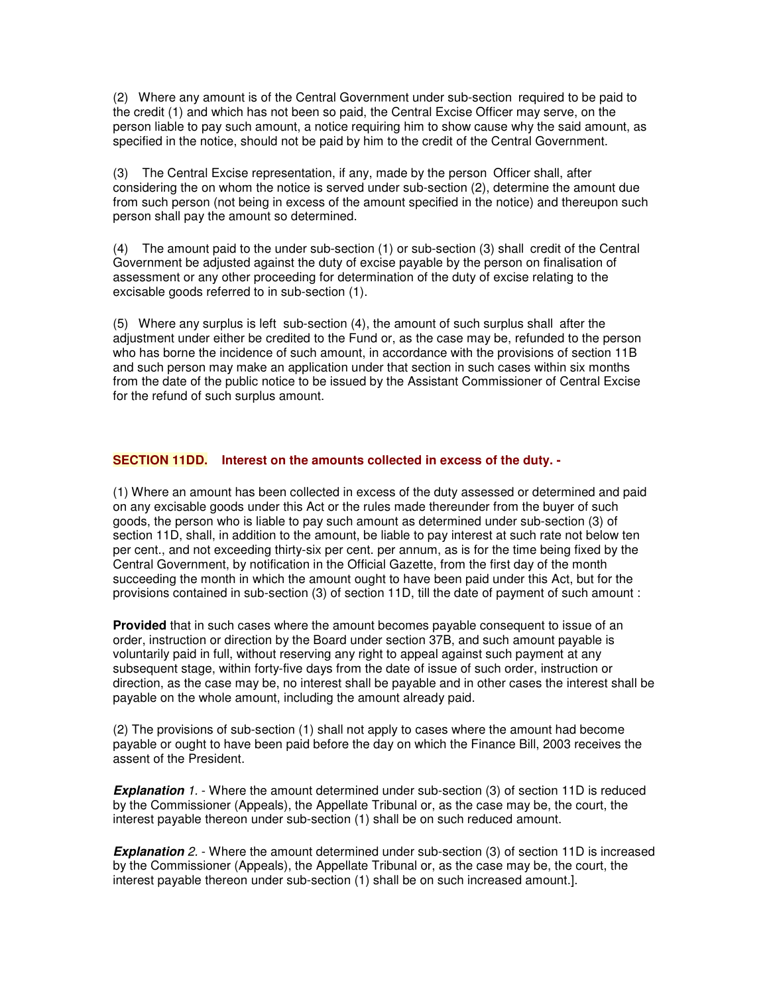(2) Where any amount is of the Central Government under sub-section required to be paid to the credit (1) and which has not been so paid, the Central Excise Officer may serve, on the person liable to pay such amount, a notice requiring him to show cause why the said amount, as specified in the notice, should not be paid by him to the credit of the Central Government.

(3) The Central Excise representation, if any, made by the person Officer shall, after considering the on whom the notice is served under sub-section (2), determine the amount due from such person (not being in excess of the amount specified in the notice) and thereupon such person shall pay the amount so determined.

(4) The amount paid to the under sub-section (1) or sub-section (3) shall credit of the Central Government be adjusted against the duty of excise payable by the person on finalisation of assessment or any other proceeding for determination of the duty of excise relating to the excisable goods referred to in sub-section (1).

(5) Where any surplus is left sub-section (4), the amount of such surplus shall after the adjustment under either be credited to the Fund or, as the case may be, refunded to the person who has borne the incidence of such amount, in accordance with the provisions of section 11B and such person may make an application under that section in such cases within six months from the date of the public notice to be issued by the Assistant Commissioner of Central Excise for the refund of such surplus amount.

# **SECTION 11DD. Interest on the amounts collected in excess of the duty. -**

(1) Where an amount has been collected in excess of the duty assessed or determined and paid on any excisable goods under this Act or the rules made thereunder from the buyer of such goods, the person who is liable to pay such amount as determined under sub-section (3) of section 11D, shall, in addition to the amount, be liable to pay interest at such rate not below ten per cent., and not exceeding thirty-six per cent. per annum, as is for the time being fixed by the Central Government, by notification in the Official Gazette, from the first day of the month succeeding the month in which the amount ought to have been paid under this Act, but for the provisions contained in sub-section (3) of section 11D, till the date of payment of such amount :

**Provided** that in such cases where the amount becomes payable consequent to issue of an order, instruction or direction by the Board under section 37B, and such amount payable is voluntarily paid in full, without reserving any right to appeal against such payment at any subsequent stage, within forty-five days from the date of issue of such order, instruction or direction, as the case may be, no interest shall be payable and in other cases the interest shall be payable on the whole amount, including the amount already paid.

(2) The provisions of sub-section (1) shall not apply to cases where the amount had become payable or ought to have been paid before the day on which the Finance Bill, 2003 receives the assent of the President.

**Explanation** 1. - Where the amount determined under sub-section (3) of section 11D is reduced by the Commissioner (Appeals), the Appellate Tribunal or, as the case may be, the court, the interest payable thereon under sub-section (1) shall be on such reduced amount.

*Explanation 2.* - Where the amount determined under sub-section (3) of section 11D is increased by the Commissioner (Appeals), the Appellate Tribunal or, as the case may be, the court, the interest payable thereon under sub-section (1) shall be on such increased amount.].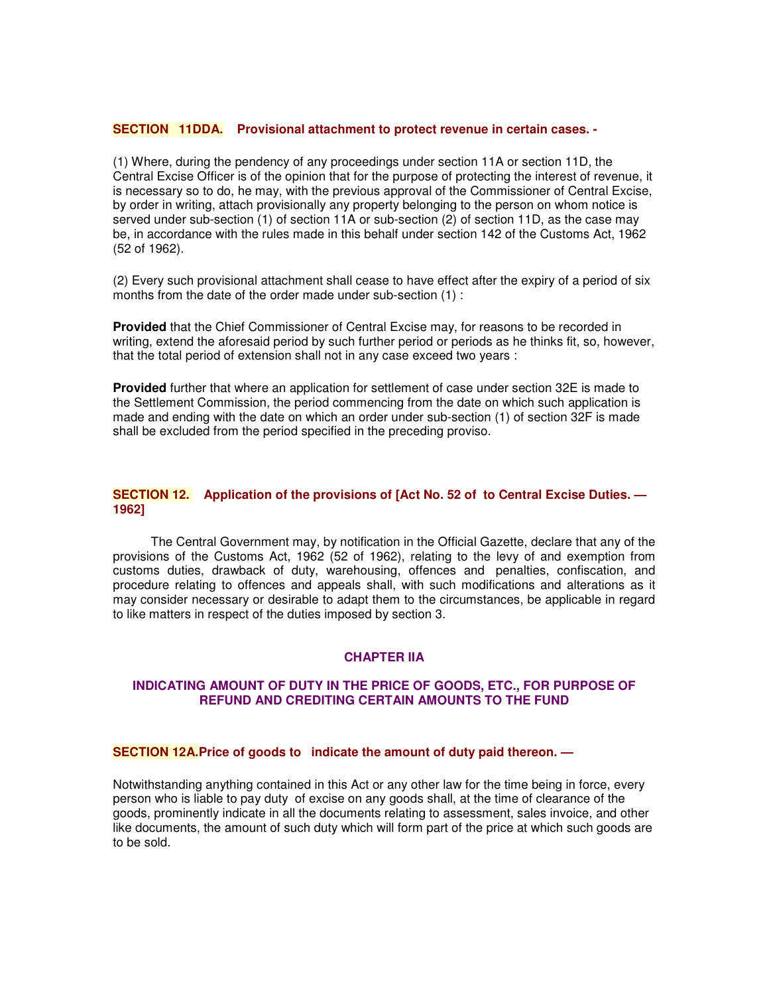#### **SECTION 11DDA. Provisional attachment to protect revenue in certain cases. -**

(1) Where, during the pendency of any proceedings under section 11A or section 11D, the Central Excise Officer is of the opinion that for the purpose of protecting the interest of revenue, it is necessary so to do, he may, with the previous approval of the Commissioner of Central Excise, by order in writing, attach provisionally any property belonging to the person on whom notice is served under sub-section (1) of section 11A or sub-section (2) of section 11D, as the case may be, in accordance with the rules made in this behalf under section 142 of the Customs Act, 1962 (52 of 1962).

(2) Every such provisional attachment shall cease to have effect after the expiry of a period of six months from the date of the order made under sub-section (1) :

**Provided** that the Chief Commissioner of Central Excise may, for reasons to be recorded in writing, extend the aforesaid period by such further period or periods as he thinks fit, so, however, that the total period of extension shall not in any case exceed two years :

**Provided** further that where an application for settlement of case under section 32E is made to the Settlement Commission, the period commencing from the date on which such application is made and ending with the date on which an order under sub-section (1) of section 32F is made shall be excluded from the period specified in the preceding proviso.

## **SECTION 12. Application of the provisions of [Act No. 52 of to Central Excise Duties. — 1962]**

The Central Government may, by notification in the Official Gazette, declare that any of the provisions of the Customs Act, 1962 (52 of 1962), relating to the levy of and exemption from customs duties, drawback of duty, warehousing, offences and penalties, confiscation, and procedure relating to offences and appeals shall, with such modifications and alterations as it may consider necessary or desirable to adapt them to the circumstances, be applicable in regard to like matters in respect of the duties imposed by section 3.

## **CHAPTER IIA**

## **INDICATING AMOUNT OF DUTY IN THE PRICE OF GOODS, ETC., FOR PURPOSE OF REFUND AND CREDITING CERTAIN AMOUNTS TO THE FUND**

#### **SECTION 12A.Price of goods to indicate the amount of duty paid thereon. —**

Notwithstanding anything contained in this Act or any other law for the time being in force, every person who is liable to pay duty of excise on any goods shall, at the time of clearance of the goods, prominently indicate in all the documents relating to assessment, sales invoice, and other like documents, the amount of such duty which will form part of the price at which such goods are to be sold.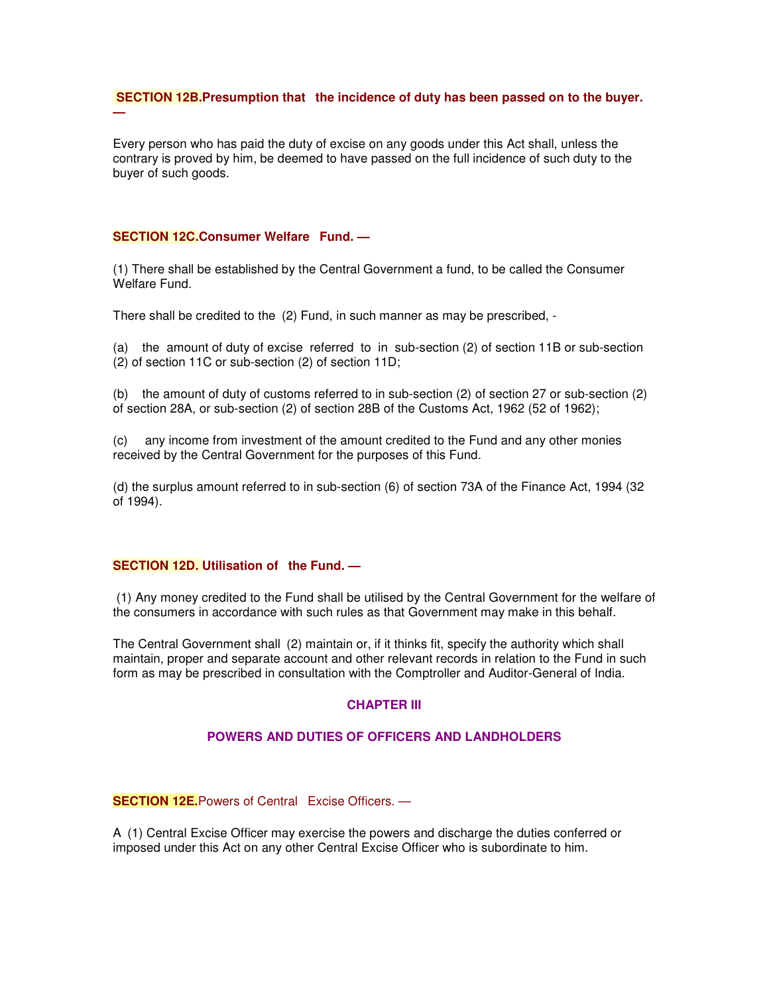## **SECTION 12B.Presumption that the incidence of duty has been passed on to the buyer.**

Every person who has paid the duty of excise on any goods under this Act shall, unless the contrary is proved by him, be deemed to have passed on the full incidence of such duty to the buyer of such goods.

## **SECTION 12C.Consumer Welfare Fund. —**

**—**

(1) There shall be established by the Central Government a fund, to be called the Consumer Welfare Fund.

There shall be credited to the (2) Fund, in such manner as may be prescribed, -

(a) the amount of duty of excise referred to in sub-section (2) of section 11B or sub-section (2) of section 11C or sub-section (2) of section 11D;

(b) the amount of duty of customs referred to in sub-section (2) of section 27 or sub-section (2) of section 28A, or sub-section (2) of section 28B of the Customs Act, 1962 (52 of 1962);

(c) any income from investment of the amount credited to the Fund and any other monies received by the Central Government for the purposes of this Fund.

(d) the surplus amount referred to in sub-section (6) of section 73A of the Finance Act, 1994 (32 of 1994).

## **SECTION 12D. Utilisation of the Fund. —**

(1) Any money credited to the Fund shall be utilised by the Central Government for the welfare of the consumers in accordance with such rules as that Government may make in this behalf.

The Central Government shall (2) maintain or, if it thinks fit, specify the authority which shall maintain, proper and separate account and other relevant records in relation to the Fund in such form as may be prescribed in consultation with the Comptroller and Auditor-General of India.

## **CHAPTER III**

## **POWERS AND DUTIES OF OFFICERS AND LANDHOLDERS**

# **SECTION 12E.**Powers of Central Excise Officers. —

A (1) Central Excise Officer may exercise the powers and discharge the duties conferred or imposed under this Act on any other Central Excise Officer who is subordinate to him.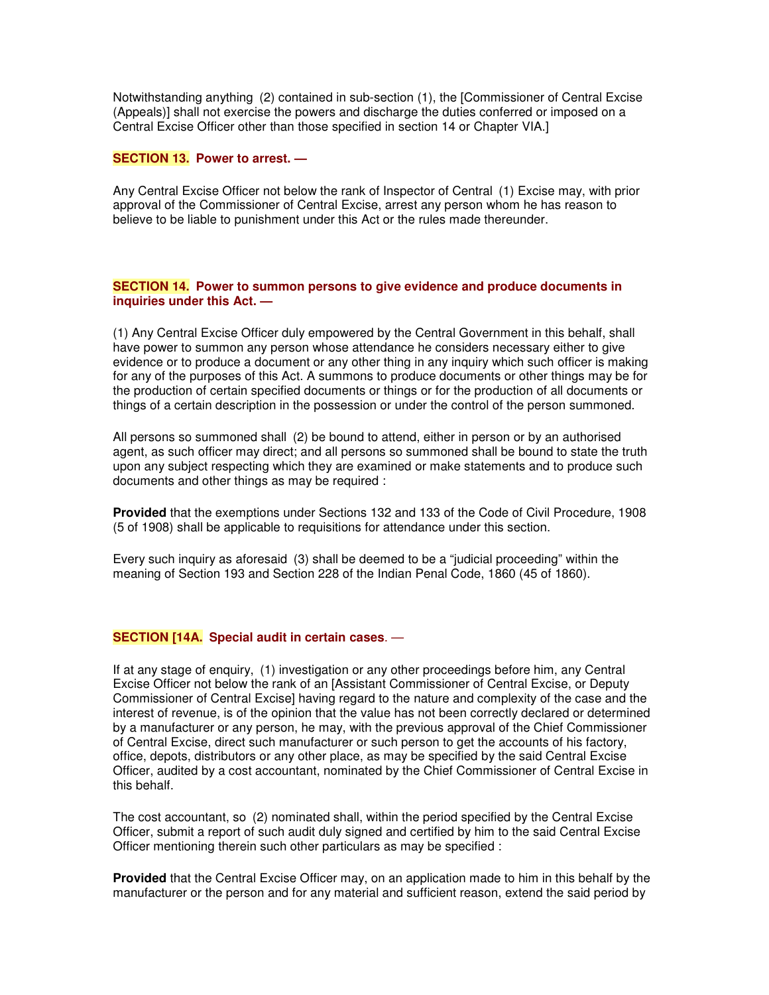Notwithstanding anything (2) contained in sub-section (1), the [Commissioner of Central Excise (Appeals)] shall not exercise the powers and discharge the duties conferred or imposed on a Central Excise Officer other than those specified in section 14 or Chapter VIA.]

# **SECTION 13. Power to arrest. —**

Any Central Excise Officer not below the rank of Inspector of Central (1) Excise may, with prior approval of the Commissioner of Central Excise, arrest any person whom he has reason to believe to be liable to punishment under this Act or the rules made thereunder.

## **SECTION 14. Power to summon persons to give evidence and produce documents in inquiries under this Act. —**

(1) Any Central Excise Officer duly empowered by the Central Government in this behalf, shall have power to summon any person whose attendance he considers necessary either to give evidence or to produce a document or any other thing in any inquiry which such officer is making for any of the purposes of this Act. A summons to produce documents or other things may be for the production of certain specified documents or things or for the production of all documents or things of a certain description in the possession or under the control of the person summoned.

All persons so summoned shall (2) be bound to attend, either in person or by an authorised agent, as such officer may direct; and all persons so summoned shall be bound to state the truth upon any subject respecting which they are examined or make statements and to produce such documents and other things as may be required :

**Provided** that the exemptions under Sections 132 and 133 of the Code of Civil Procedure, 1908 (5 of 1908) shall be applicable to requisitions for attendance under this section.

Every such inquiry as aforesaid (3) shall be deemed to be a "judicial proceeding" within the meaning of Section 193 and Section 228 of the Indian Penal Code, 1860 (45 of 1860).

#### **SECTION [14A. Special audit in certain cases**. —

If at any stage of enquiry, (1) investigation or any other proceedings before him, any Central Excise Officer not below the rank of an [Assistant Commissioner of Central Excise, or Deputy Commissioner of Central Excise] having regard to the nature and complexity of the case and the interest of revenue, is of the opinion that the value has not been correctly declared or determined by a manufacturer or any person, he may, with the previous approval of the Chief Commissioner of Central Excise, direct such manufacturer or such person to get the accounts of his factory, office, depots, distributors or any other place, as may be specified by the said Central Excise Officer, audited by a cost accountant, nominated by the Chief Commissioner of Central Excise in this behalf.

The cost accountant, so (2) nominated shall, within the period specified by the Central Excise Officer, submit a report of such audit duly signed and certified by him to the said Central Excise Officer mentioning therein such other particulars as may be specified :

**Provided** that the Central Excise Officer may, on an application made to him in this behalf by the manufacturer or the person and for any material and sufficient reason, extend the said period by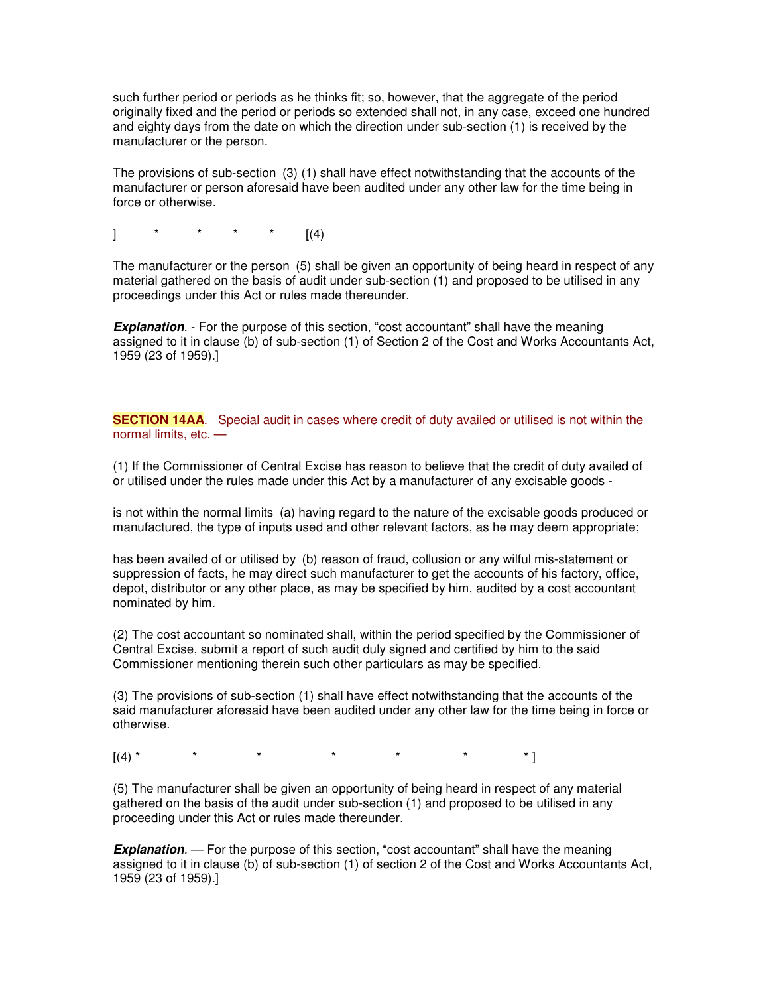such further period or periods as he thinks fit; so, however, that the aggregate of the period originally fixed and the period or periods so extended shall not, in any case, exceed one hundred and eighty days from the date on which the direction under sub-section (1) is received by the manufacturer or the person.

The provisions of sub-section (3) (1) shall have effect notwithstanding that the accounts of the manufacturer or person aforesaid have been audited under any other law for the time being in force or otherwise.

] \* \* \* \* [(4)

The manufacturer or the person (5) shall be given an opportunity of being heard in respect of any material gathered on the basis of audit under sub-section (1) and proposed to be utilised in any proceedings under this Act or rules made thereunder.

**Explanation**. - For the purpose of this section, "cost accountant" shall have the meaning assigned to it in clause (b) of sub-section (1) of Section 2 of the Cost and Works Accountants Act, 1959 (23 of 1959).]

**SECTION 14AA**. Special audit in cases where credit of duty availed or utilised is not within the normal limits, etc. —

(1) If the Commissioner of Central Excise has reason to believe that the credit of duty availed of or utilised under the rules made under this Act by a manufacturer of any excisable goods -

is not within the normal limits (a) having regard to the nature of the excisable goods produced or manufactured, the type of inputs used and other relevant factors, as he may deem appropriate;

has been availed of or utilised by (b) reason of fraud, collusion or any wilful mis-statement or suppression of facts, he may direct such manufacturer to get the accounts of his factory, office, depot, distributor or any other place, as may be specified by him, audited by a cost accountant nominated by him.

(2) The cost accountant so nominated shall, within the period specified by the Commissioner of Central Excise, submit a report of such audit duly signed and certified by him to the said Commissioner mentioning therein such other particulars as may be specified.

(3) The provisions of sub-section (1) shall have effect notwithstanding that the accounts of the said manufacturer aforesaid have been audited under any other law for the time being in force or otherwise.

 $[(4)$ \* \* \* \* \* \* \* \* \*

(5) The manufacturer shall be given an opportunity of being heard in respect of any material gathered on the basis of the audit under sub-section (1) and proposed to be utilised in any proceeding under this Act or rules made thereunder.

*Explanation.* — For the purpose of this section, "cost accountant" shall have the meaning assigned to it in clause (b) of sub-section (1) of section 2 of the Cost and Works Accountants Act, 1959 (23 of 1959).]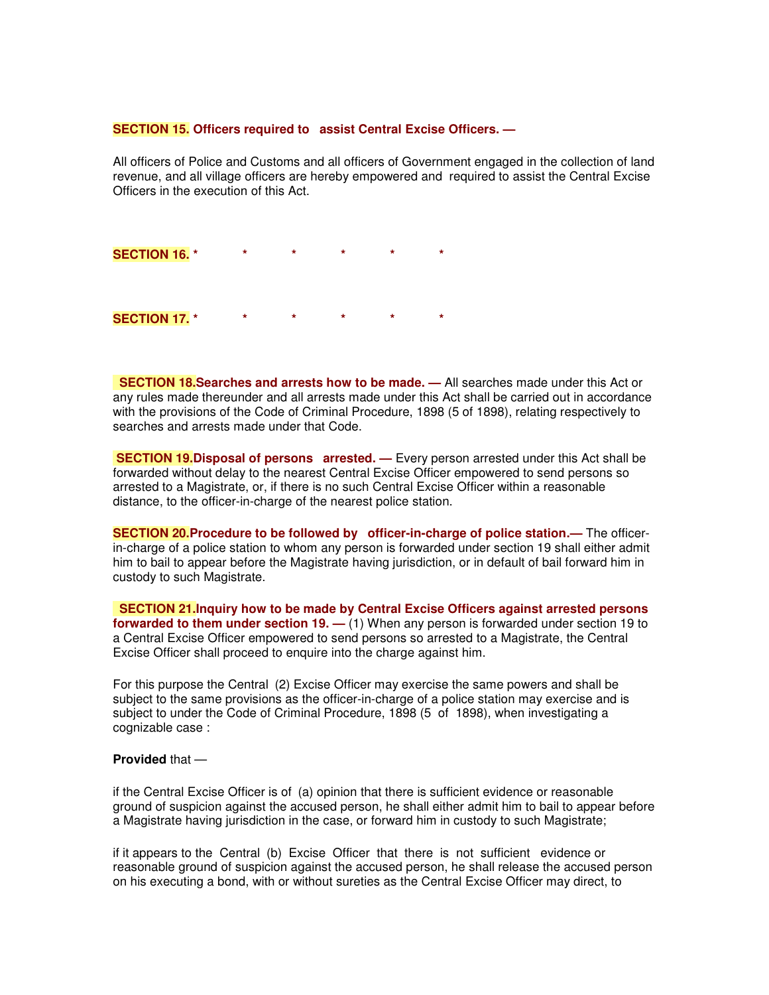#### **SECTION 15. Officers required to assist Central Excise Officers. —**

All officers of Police and Customs and all officers of Government engaged in the collection of land revenue, and all village officers are hereby empowered and required to assist the Central Excise Officers in the execution of this Act.

| <b>SECTION 16. *</b> | * | * |  |
|----------------------|---|---|--|
|                      |   |   |  |
|                      |   |   |  |
| <b>SECTION 17. *</b> | * | * |  |

**SECTION 18.Searches and arrests how to be made. —** All searches made under this Act or any rules made thereunder and all arrests made under this Act shall be carried out in accordance with the provisions of the Code of Criminal Procedure, 1898 (5 of 1898), relating respectively to searches and arrests made under that Code.

**SECTION 19.Disposal of persons arrested. —** Every person arrested under this Act shall be forwarded without delay to the nearest Central Excise Officer empowered to send persons so arrested to a Magistrate, or, if there is no such Central Excise Officer within a reasonable distance, to the officer-in-charge of the nearest police station.

**SECTION 20.Procedure to be followed by officer-in-charge of police station.—** The officerin-charge of a police station to whom any person is forwarded under section 19 shall either admit him to bail to appear before the Magistrate having jurisdiction, or in default of bail forward him in custody to such Magistrate.

**SECTION 21.Inquiry how to be made by Central Excise Officers against arrested persons forwarded to them under section 19. —** (1) When any person is forwarded under section 19 to a Central Excise Officer empowered to send persons so arrested to a Magistrate, the Central Excise Officer shall proceed to enquire into the charge against him.

For this purpose the Central (2) Excise Officer may exercise the same powers and shall be subject to the same provisions as the officer-in-charge of a police station may exercise and is subject to under the Code of Criminal Procedure, 1898 (5 of 1898), when investigating a cognizable case :

#### **Provided** that —

if the Central Excise Officer is of (a) opinion that there is sufficient evidence or reasonable ground of suspicion against the accused person, he shall either admit him to bail to appear before a Magistrate having jurisdiction in the case, or forward him in custody to such Magistrate;

if it appears to the Central (b) Excise Officer that there is not sufficient evidence or reasonable ground of suspicion against the accused person, he shall release the accused person on his executing a bond, with or without sureties as the Central Excise Officer may direct, to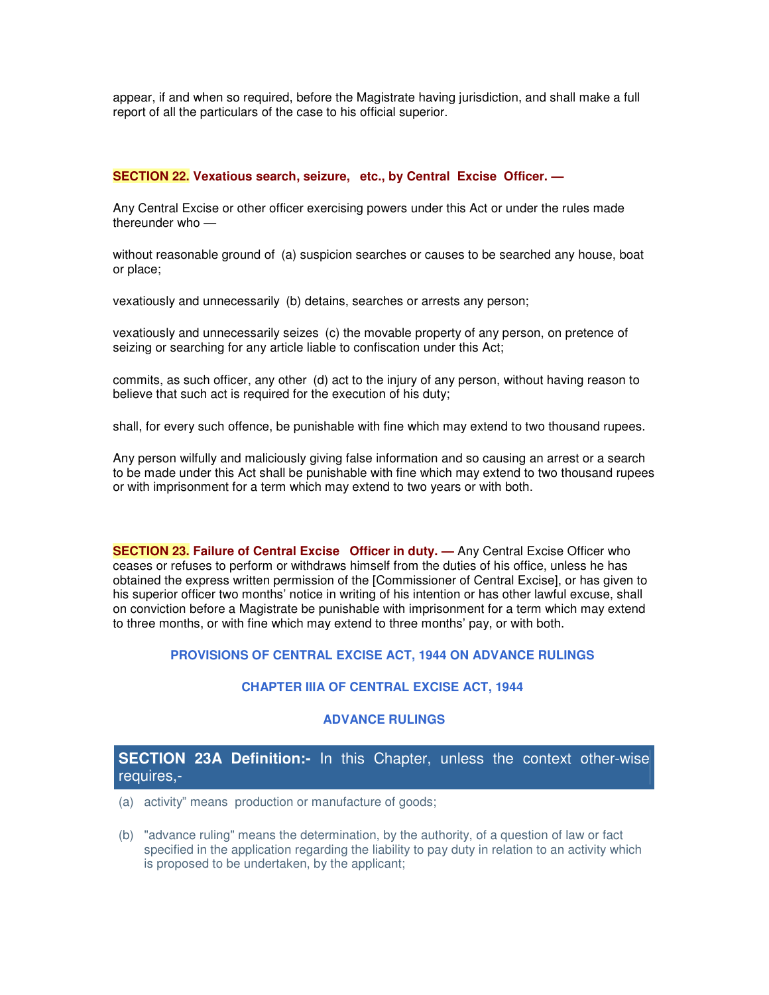appear, if and when so required, before the Magistrate having jurisdiction, and shall make a full report of all the particulars of the case to his official superior.

# **SECTION 22. Vexatious search, seizure, etc., by Central Excise Officer. —**

Any Central Excise or other officer exercising powers under this Act or under the rules made thereunder who —

without reasonable ground of (a) suspicion searches or causes to be searched any house, boat or place;

vexatiously and unnecessarily (b) detains, searches or arrests any person;

vexatiously and unnecessarily seizes (c) the movable property of any person, on pretence of seizing or searching for any article liable to confiscation under this Act;

commits, as such officer, any other (d) act to the injury of any person, without having reason to believe that such act is required for the execution of his duty;

shall, for every such offence, be punishable with fine which may extend to two thousand rupees.

Any person wilfully and maliciously giving false information and so causing an arrest or a search to be made under this Act shall be punishable with fine which may extend to two thousand rupees or with imprisonment for a term which may extend to two years or with both.

**SECTION 23. Failure of Central Excise Officer in duty. —** Any Central Excise Officer who ceases or refuses to perform or withdraws himself from the duties of his office, unless he has obtained the express written permission of the [Commissioner of Central Excise], or has given to his superior officer two months' notice in writing of his intention or has other lawful excuse, shall on conviction before a Magistrate be punishable with imprisonment for a term which may extend to three months, or with fine which may extend to three months' pay, or with both.

## **PROVISIONS OF CENTRAL EXCISE ACT, 1944 ON ADVANCE RULINGS**

# **CHAPTER IIIA OF CENTRAL EXCISE ACT, 1944**

## **ADVANCE RULINGS**

# **SECTION 23A Definition:-** In this Chapter, unless the context other-wise requires,-

- (a) activity" means production or manufacture of goods;
- (b) "advance ruling" means the determination, by the authority, of a question of law or fact specified in the application regarding the liability to pay duty in relation to an activity which is proposed to be undertaken, by the applicant;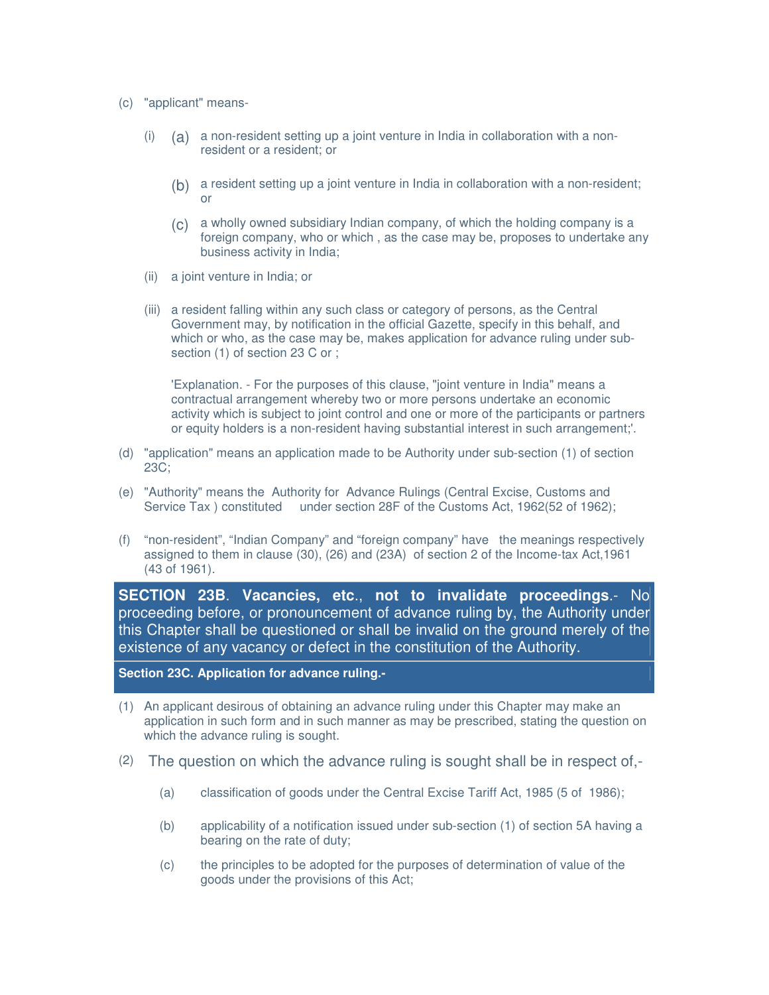- (c) "applicant" means-
	- (i) (a) a non-resident setting up a joint venture in India in collaboration with a nonresident or a resident; or
		- (b) a resident setting up a joint venture in India in collaboration with a non-resident; or
		- (c) a wholly owned subsidiary Indian company, of which the holding company is a foreign company, who or which , as the case may be, proposes to undertake any business activity in India;
	- (ii) a joint venture in India; or
	- (iii) a resident falling within any such class or category of persons, as the Central Government may, by notification in the official Gazette, specify in this behalf, and which or who, as the case may be, makes application for advance ruling under subsection (1) of section 23 C or ;

'Explanation. - For the purposes of this clause, "joint venture in India" means a contractual arrangement whereby two or more persons undertake an economic activity which is subject to joint control and one or more of the participants or partners or equity holders is a non-resident having substantial interest in such arrangement;'.

- (d) "application" means an application made to be Authority under sub-section (1) of section 23C;
- (e) "Authority" means the Authority for Advance Rulings (Central Excise, Customs and Service Tax ) constituted under section 28F of the Customs Act, 1962(52 of 1962);
- (f) "non-resident", "Indian Company" and "foreign company" have the meanings respectively assigned to them in clause (30), (26) and (23A) of section 2 of the Income-tax Act,1961 (43 of 1961).

**SECTION 23B**. **Vacancies, etc**., **not to invalidate proceedings**.- No proceeding before, or pronouncement of advance ruling by, the Authority under this Chapter shall be questioned or shall be invalid on the ground merely of the existence of any vacancy or defect in the constitution of the Authority.

**Section 23C. Application for advance ruling.-**

- (1) An applicant desirous of obtaining an advance ruling under this Chapter may make an application in such form and in such manner as may be prescribed, stating the question on which the advance ruling is sought.
- (2) The question on which the advance ruling is sought shall be in respect of,-
	- (a) classification of goods under the Central Excise Tariff Act, 1985 (5 of 1986);
	- (b) applicability of a notification issued under sub-section (1) of section 5A having a bearing on the rate of duty;
	- (c) the principles to be adopted for the purposes of determination of value of the goods under the provisions of this Act;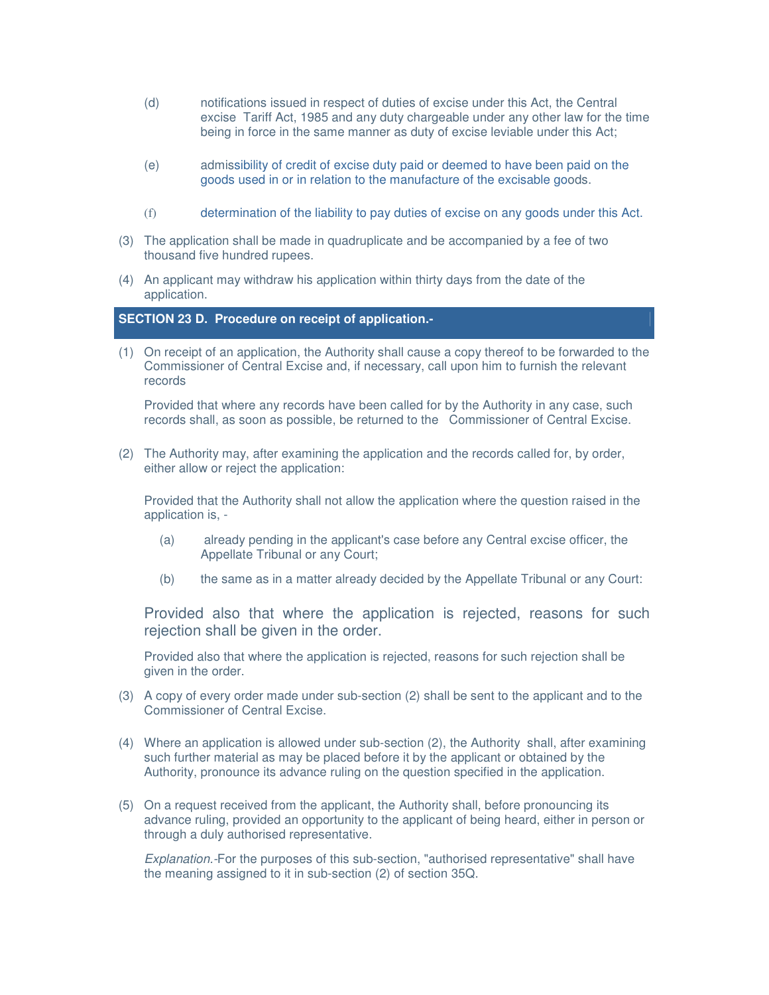- (d) notifications issued in respect of duties of excise under this Act, the Central excise Tariff Act, 1985 and any duty chargeable under any other law for the time being in force in the same manner as duty of excise leviable under this Act;
- (e) admissibility of credit of excise duty paid or deemed to have been paid on the goods used in or in relation to the manufacture of the excisable goods.
- (f) determination of the liability to pay duties of excise on any goods under this Act.
- (3) The application shall be made in quadruplicate and be accompanied by a fee of two thousand five hundred rupees.
- (4) An applicant may withdraw his application within thirty days from the date of the application.

## **SECTION 23 D. Procedure on receipt of application.-**

(1) On receipt of an application, the Authority shall cause a copy thereof to be forwarded to the Commissioner of Central Excise and, if necessary, call upon him to furnish the relevant records

Provided that where any records have been called for by the Authority in any case, such records shall, as soon as possible, be returned to the Commissioner of Central Excise.

(2) The Authority may, after examining the application and the records called for, by order, either allow or reject the application:

Provided that the Authority shall not allow the application where the question raised in the application is, -

- (a) already pending in the applicant's case before any Central excise officer, the Appellate Tribunal or any Court;
- (b) the same as in a matter already decided by the Appellate Tribunal or any Court:

Provided also that where the application is rejected, reasons for such rejection shall be given in the order.

Provided also that where the application is rejected, reasons for such rejection shall be given in the order.

- (3) A copy of every order made under sub-section (2) shall be sent to the applicant and to the Commissioner of Central Excise.
- (4) Where an application is allowed under sub-section (2), the Authority shall, after examining such further material as may be placed before it by the applicant or obtained by the Authority, pronounce its advance ruling on the question specified in the application.
- (5) On a request received from the applicant, the Authority shall, before pronouncing its advance ruling, provided an opportunity to the applicant of being heard, either in person or through a duly authorised representative.

*Explanation.-*For the purposes of this sub-section, "authorised representative" shall have the meaning assigned to it in sub-section (2) of section 35Q.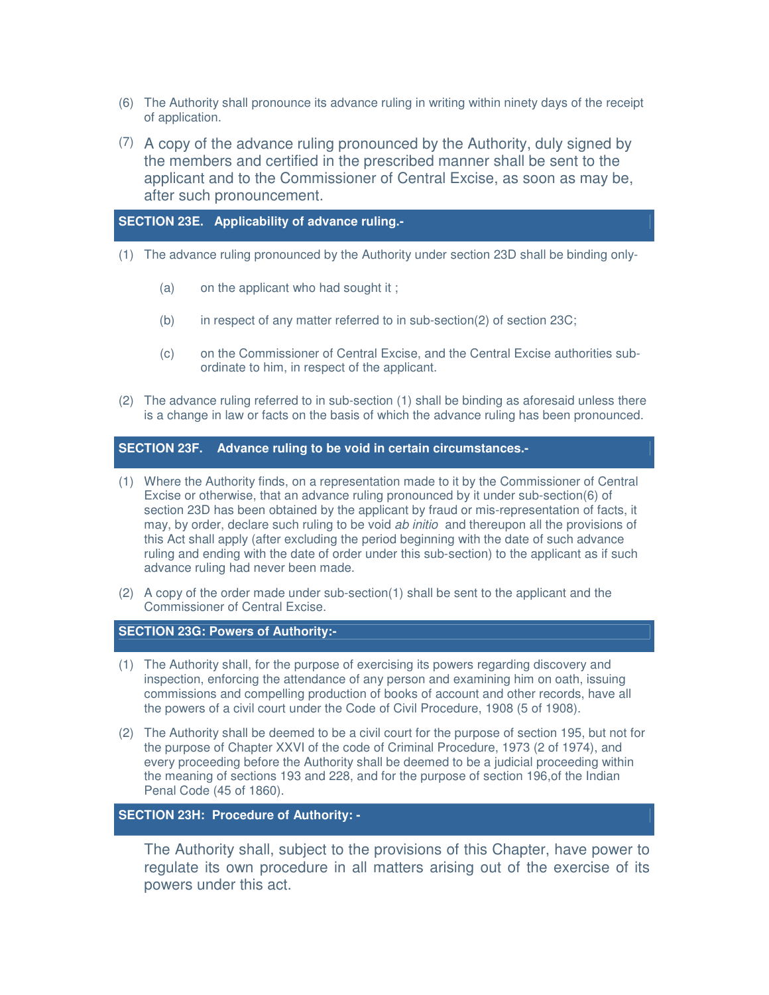- (6) The Authority shall pronounce its advance ruling in writing within ninety days of the receipt of application.
- (7) A copy of the advance ruling pronounced by the Authority, duly signed by the members and certified in the prescribed manner shall be sent to the applicant and to the Commissioner of Central Excise, as soon as may be, after such pronouncement.

# **SECTION 23E. Applicability of advance ruling.-**

- (1) The advance ruling pronounced by the Authority under section 23D shall be binding only-
	- (a) on the applicant who had sought it ;
	- (b) in respect of any matter referred to in sub-section(2) of section 23C;
	- (c) on the Commissioner of Central Excise, and the Central Excise authorities subordinate to him, in respect of the applicant.
- (2) The advance ruling referred to in sub-section (1) shall be binding as aforesaid unless there is a change in law or facts on the basis of which the advance ruling has been pronounced.

## **SECTION 23F. Advance ruling to be void in certain circumstances.-**

- (1) Where the Authority finds, on a representation made to it by the Commissioner of Central Excise or otherwise, that an advance ruling pronounced by it under sub-section(6) of section 23D has been obtained by the applicant by fraud or mis-representation of facts, it may, by order, declare such ruling to be void *ab initio* and thereupon all the provisions of this Act shall apply (after excluding the period beginning with the date of such advance ruling and ending with the date of order under this sub-section) to the applicant as if such advance ruling had never been made.
- (2) A copy of the order made under sub-section(1) shall be sent to the applicant and the Commissioner of Central Excise.

## **SECTION 23G: Powers of Authority:-**

- (1) The Authority shall, for the purpose of exercising its powers regarding discovery and inspection, enforcing the attendance of any person and examining him on oath, issuing commissions and compelling production of books of account and other records, have all the powers of a civil court under the Code of Civil Procedure, 1908 (5 of 1908).
- (2) The Authority shall be deemed to be a civil court for the purpose of section 195, but not for the purpose of Chapter XXVI of the code of Criminal Procedure, 1973 (2 of 1974), and every proceeding before the Authority shall be deemed to be a judicial proceeding within the meaning of sections 193 and 228, and for the purpose of section 196,of the Indian Penal Code (45 of 1860).

# **SECTION 23H: Procedure of Authority: -**

The Authority shall, subject to the provisions of this Chapter, have power to regulate its own procedure in all matters arising out of the exercise of its powers under this act.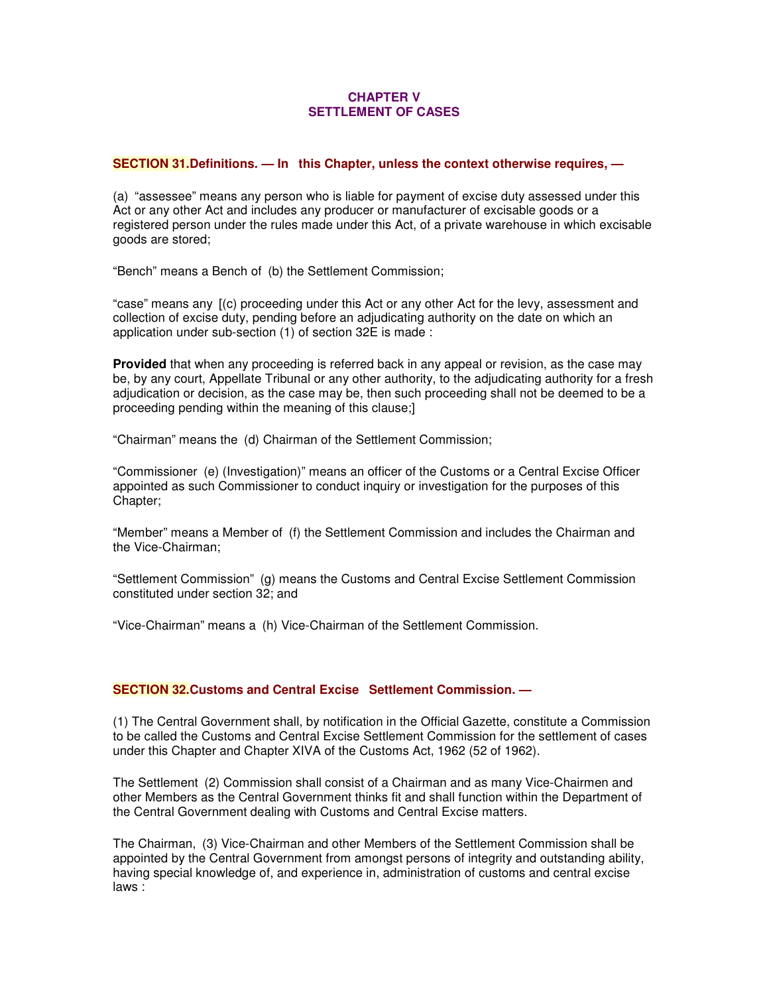## **CHAPTER V SETTLEMENT OF CASES**

## **SECTION 31.Definitions. — In this Chapter, unless the context otherwise requires, —**

(a) "assessee" means any person who is liable for payment of excise duty assessed under this Act or any other Act and includes any producer or manufacturer of excisable goods or a registered person under the rules made under this Act, of a private warehouse in which excisable goods are stored;

"Bench" means a Bench of (b) the Settlement Commission;

"case" means any [(c) proceeding under this Act or any other Act for the levy, assessment and collection of excise duty, pending before an adjudicating authority on the date on which an application under sub-section (1) of section 32E is made :

**Provided** that when any proceeding is referred back in any appeal or revision, as the case may be, by any court, Appellate Tribunal or any other authority, to the adjudicating authority for a fresh adjudication or decision, as the case may be, then such proceeding shall not be deemed to be a proceeding pending within the meaning of this clause;]

"Chairman" means the (d) Chairman of the Settlement Commission;

"Commissioner (e) (Investigation)" means an officer of the Customs or a Central Excise Officer appointed as such Commissioner to conduct inquiry or investigation for the purposes of this Chapter;

"Member" means a Member of (f) the Settlement Commission and includes the Chairman and the Vice-Chairman;

"Settlement Commission" (g) means the Customs and Central Excise Settlement Commission constituted under section 32; and

"Vice-Chairman" means a (h) Vice-Chairman of the Settlement Commission.

## **SECTION 32.Customs and Central Excise Settlement Commission. —**

(1) The Central Government shall, by notification in the Official Gazette, constitute a Commission to be called the Customs and Central Excise Settlement Commission for the settlement of cases under this Chapter and Chapter XIVA of the Customs Act, 1962 (52 of 1962).

The Settlement (2) Commission shall consist of a Chairman and as many Vice-Chairmen and other Members as the Central Government thinks fit and shall function within the Department of the Central Government dealing with Customs and Central Excise matters.

The Chairman, (3) Vice-Chairman and other Members of the Settlement Commission shall be appointed by the Central Government from amongst persons of integrity and outstanding ability, having special knowledge of, and experience in, administration of customs and central excise laws :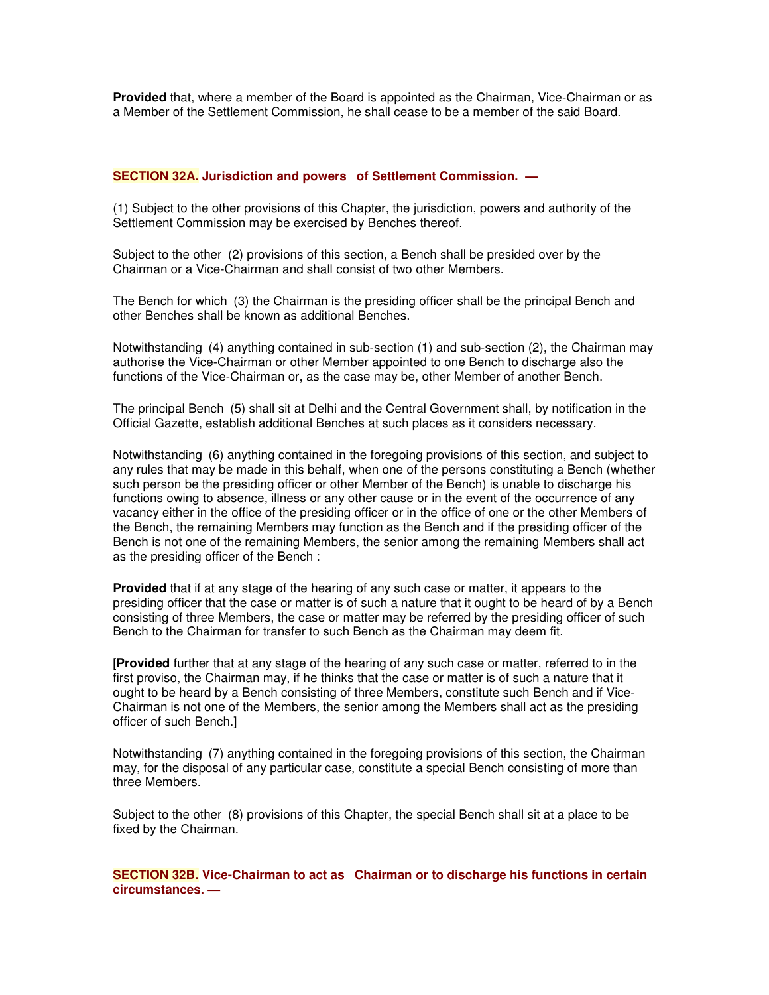**Provided** that, where a member of the Board is appointed as the Chairman, Vice-Chairman or as a Member of the Settlement Commission, he shall cease to be a member of the said Board.

## **SECTION 32A. Jurisdiction and powers of Settlement Commission. —**

(1) Subject to the other provisions of this Chapter, the jurisdiction, powers and authority of the Settlement Commission may be exercised by Benches thereof.

Subject to the other (2) provisions of this section, a Bench shall be presided over by the Chairman or a Vice-Chairman and shall consist of two other Members.

The Bench for which (3) the Chairman is the presiding officer shall be the principal Bench and other Benches shall be known as additional Benches.

Notwithstanding (4) anything contained in sub-section (1) and sub-section (2), the Chairman may authorise the Vice-Chairman or other Member appointed to one Bench to discharge also the functions of the Vice-Chairman or, as the case may be, other Member of another Bench.

The principal Bench (5) shall sit at Delhi and the Central Government shall, by notification in the Official Gazette, establish additional Benches at such places as it considers necessary.

Notwithstanding (6) anything contained in the foregoing provisions of this section, and subject to any rules that may be made in this behalf, when one of the persons constituting a Bench (whether such person be the presiding officer or other Member of the Bench) is unable to discharge his functions owing to absence, illness or any other cause or in the event of the occurrence of any vacancy either in the office of the presiding officer or in the office of one or the other Members of the Bench, the remaining Members may function as the Bench and if the presiding officer of the Bench is not one of the remaining Members, the senior among the remaining Members shall act as the presiding officer of the Bench :

**Provided** that if at any stage of the hearing of any such case or matter, it appears to the presiding officer that the case or matter is of such a nature that it ought to be heard of by a Bench consisting of three Members, the case or matter may be referred by the presiding officer of such Bench to the Chairman for transfer to such Bench as the Chairman may deem fit.

[**Provided** further that at any stage of the hearing of any such case or matter, referred to in the first proviso, the Chairman may, if he thinks that the case or matter is of such a nature that it ought to be heard by a Bench consisting of three Members, constitute such Bench and if Vice-Chairman is not one of the Members, the senior among the Members shall act as the presiding officer of such Bench.]

Notwithstanding (7) anything contained in the foregoing provisions of this section, the Chairman may, for the disposal of any particular case, constitute a special Bench consisting of more than three Members.

Subject to the other (8) provisions of this Chapter, the special Bench shall sit at a place to be fixed by the Chairman.

**SECTION 32B. Vice-Chairman to act as Chairman or to discharge his functions in certain circumstances. —**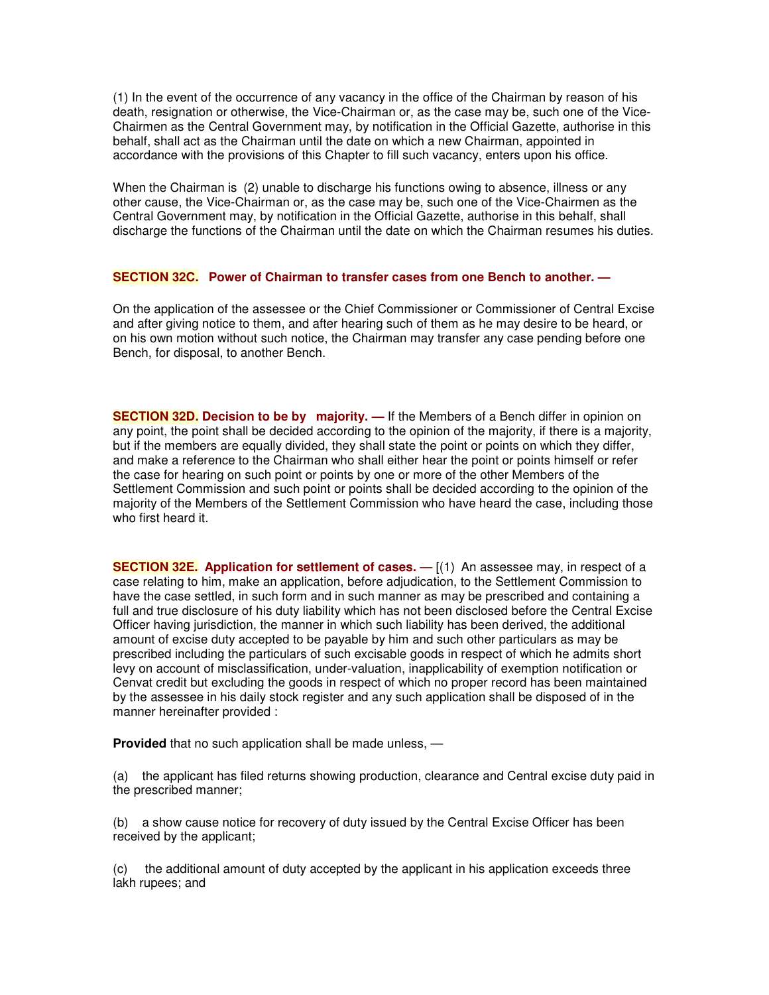(1) In the event of the occurrence of any vacancy in the office of the Chairman by reason of his death, resignation or otherwise, the Vice-Chairman or, as the case may be, such one of the Vice-Chairmen as the Central Government may, by notification in the Official Gazette, authorise in this behalf, shall act as the Chairman until the date on which a new Chairman, appointed in accordance with the provisions of this Chapter to fill such vacancy, enters upon his office.

When the Chairman is (2) unable to discharge his functions owing to absence, illness or any other cause, the Vice-Chairman or, as the case may be, such one of the Vice-Chairmen as the Central Government may, by notification in the Official Gazette, authorise in this behalf, shall discharge the functions of the Chairman until the date on which the Chairman resumes his duties.

#### **SECTION 32C. Power of Chairman to transfer cases from one Bench to another. —**

On the application of the assessee or the Chief Commissioner or Commissioner of Central Excise and after giving notice to them, and after hearing such of them as he may desire to be heard, or on his own motion without such notice, the Chairman may transfer any case pending before one Bench, for disposal, to another Bench.

**SECTION 32D. Decision to be by majority. —** If the Members of a Bench differ in opinion on any point, the point shall be decided according to the opinion of the majority, if there is a majority, but if the members are equally divided, they shall state the point or points on which they differ, and make a reference to the Chairman who shall either hear the point or points himself or refer the case for hearing on such point or points by one or more of the other Members of the Settlement Commission and such point or points shall be decided according to the opinion of the majority of the Members of the Settlement Commission who have heard the case, including those who first heard it.

**SECTION 32E. Application for settlement of cases.** — [(1) An assessee may, in respect of a case relating to him, make an application, before adjudication, to the Settlement Commission to have the case settled, in such form and in such manner as may be prescribed and containing a full and true disclosure of his duty liability which has not been disclosed before the Central Excise Officer having jurisdiction, the manner in which such liability has been derived, the additional amount of excise duty accepted to be payable by him and such other particulars as may be prescribed including the particulars of such excisable goods in respect of which he admits short levy on account of misclassification, under-valuation, inapplicability of exemption notification or Cenvat credit but excluding the goods in respect of which no proper record has been maintained by the assessee in his daily stock register and any such application shall be disposed of in the manner hereinafter provided :

**Provided** that no such application shall be made unless, —

(a) the applicant has filed returns showing production, clearance and Central excise duty paid in the prescribed manner;

(b) a show cause notice for recovery of duty issued by the Central Excise Officer has been received by the applicant;

(c) the additional amount of duty accepted by the applicant in his application exceeds three lakh rupees; and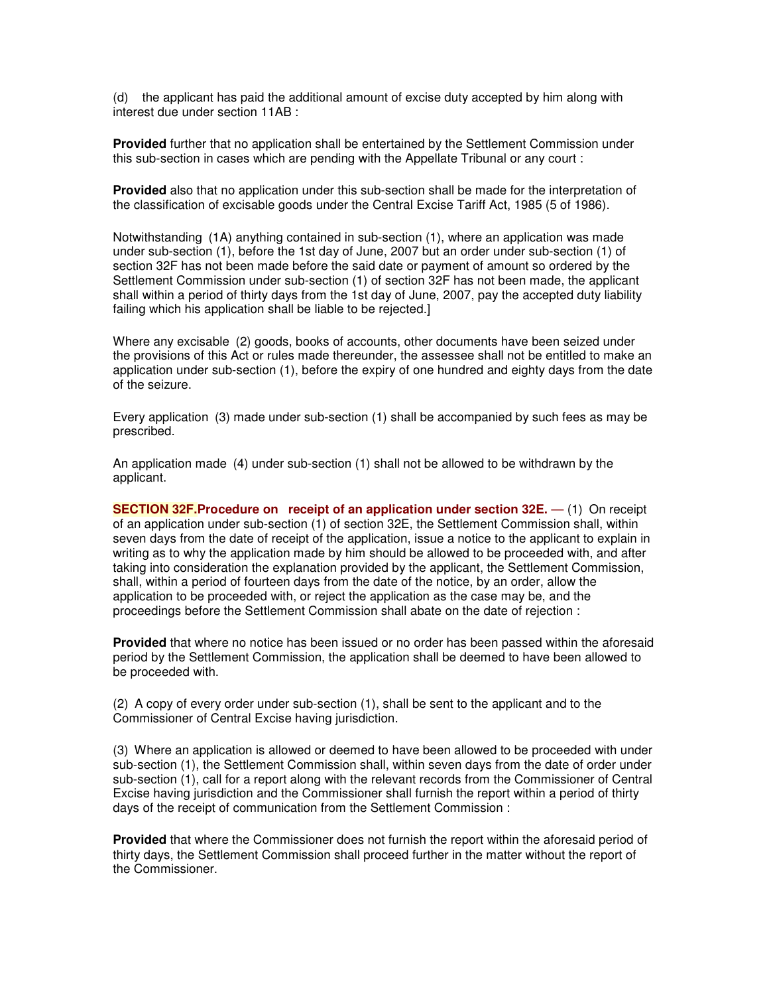(d) the applicant has paid the additional amount of excise duty accepted by him along with interest due under section 11AB :

**Provided** further that no application shall be entertained by the Settlement Commission under this sub-section in cases which are pending with the Appellate Tribunal or any court :

**Provided** also that no application under this sub-section shall be made for the interpretation of the classification of excisable goods under the Central Excise Tariff Act, 1985 (5 of 1986).

Notwithstanding (1A) anything contained in sub-section (1), where an application was made under sub-section (1), before the 1st day of June, 2007 but an order under sub-section (1) of section 32F has not been made before the said date or payment of amount so ordered by the Settlement Commission under sub-section (1) of section 32F has not been made, the applicant shall within a period of thirty days from the 1st day of June, 2007, pay the accepted duty liability failing which his application shall be liable to be rejected.]

Where any excisable (2) goods, books of accounts, other documents have been seized under the provisions of this Act or rules made thereunder, the assessee shall not be entitled to make an application under sub-section (1), before the expiry of one hundred and eighty days from the date of the seizure.

Every application (3) made under sub-section (1) shall be accompanied by such fees as may be prescribed.

An application made (4) under sub-section (1) shall not be allowed to be withdrawn by the applicant.

**SECTION 32F.Procedure on receipt of an application under section 32E.** — (1) On receipt of an application under sub-section (1) of section 32E, the Settlement Commission shall, within seven days from the date of receipt of the application, issue a notice to the applicant to explain in writing as to why the application made by him should be allowed to be proceeded with, and after taking into consideration the explanation provided by the applicant, the Settlement Commission, shall, within a period of fourteen days from the date of the notice, by an order, allow the application to be proceeded with, or reject the application as the case may be, and the proceedings before the Settlement Commission shall abate on the date of rejection :

**Provided** that where no notice has been issued or no order has been passed within the aforesaid period by the Settlement Commission, the application shall be deemed to have been allowed to be proceeded with.

(2) A copy of every order under sub-section (1), shall be sent to the applicant and to the Commissioner of Central Excise having jurisdiction.

(3) Where an application is allowed or deemed to have been allowed to be proceeded with under sub-section (1), the Settlement Commission shall, within seven days from the date of order under sub-section (1), call for a report along with the relevant records from the Commissioner of Central Excise having jurisdiction and the Commissioner shall furnish the report within a period of thirty days of the receipt of communication from the Settlement Commission :

**Provided** that where the Commissioner does not furnish the report within the aforesaid period of thirty days, the Settlement Commission shall proceed further in the matter without the report of the Commissioner.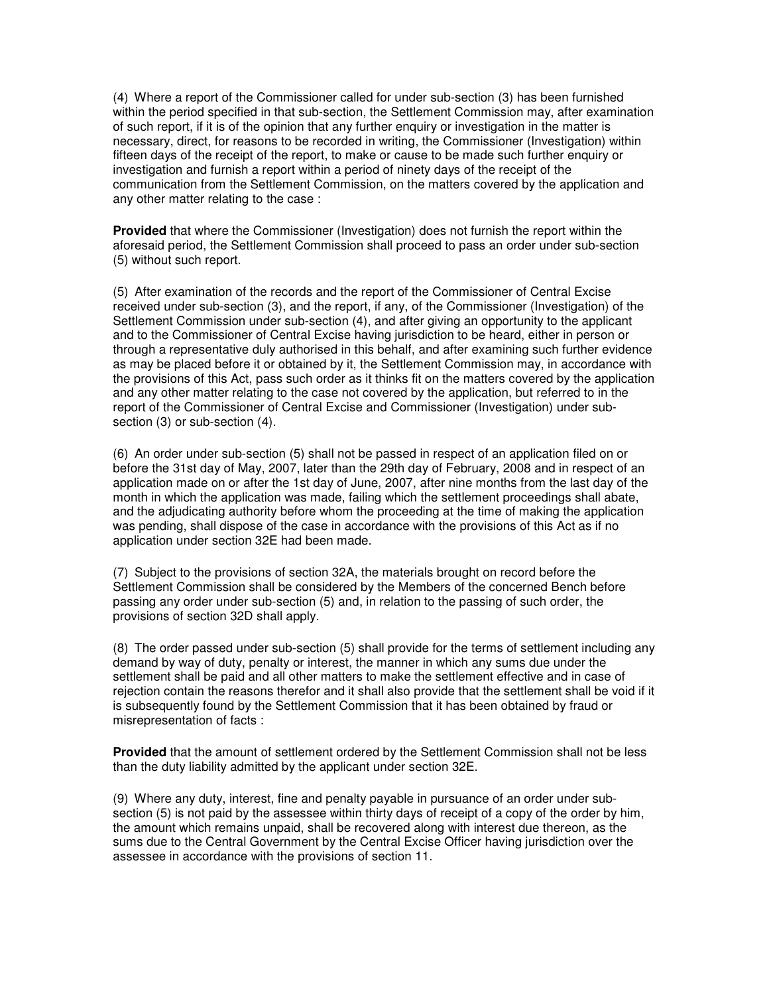(4) Where a report of the Commissioner called for under sub-section (3) has been furnished within the period specified in that sub-section, the Settlement Commission may, after examination of such report, if it is of the opinion that any further enquiry or investigation in the matter is necessary, direct, for reasons to be recorded in writing, the Commissioner (Investigation) within fifteen days of the receipt of the report, to make or cause to be made such further enquiry or investigation and furnish a report within a period of ninety days of the receipt of the communication from the Settlement Commission, on the matters covered by the application and any other matter relating to the case :

**Provided** that where the Commissioner (Investigation) does not furnish the report within the aforesaid period, the Settlement Commission shall proceed to pass an order under sub-section (5) without such report.

(5) After examination of the records and the report of the Commissioner of Central Excise received under sub-section (3), and the report, if any, of the Commissioner (Investigation) of the Settlement Commission under sub-section (4), and after giving an opportunity to the applicant and to the Commissioner of Central Excise having jurisdiction to be heard, either in person or through a representative duly authorised in this behalf, and after examining such further evidence as may be placed before it or obtained by it, the Settlement Commission may, in accordance with the provisions of this Act, pass such order as it thinks fit on the matters covered by the application and any other matter relating to the case not covered by the application, but referred to in the report of the Commissioner of Central Excise and Commissioner (Investigation) under subsection (3) or sub-section (4).

(6) An order under sub-section (5) shall not be passed in respect of an application filed on or before the 31st day of May, 2007, later than the 29th day of February, 2008 and in respect of an application made on or after the 1st day of June, 2007, after nine months from the last day of the month in which the application was made, failing which the settlement proceedings shall abate, and the adjudicating authority before whom the proceeding at the time of making the application was pending, shall dispose of the case in accordance with the provisions of this Act as if no application under section 32E had been made.

(7) Subject to the provisions of section 32A, the materials brought on record before the Settlement Commission shall be considered by the Members of the concerned Bench before passing any order under sub-section (5) and, in relation to the passing of such order, the provisions of section 32D shall apply.

(8) The order passed under sub-section (5) shall provide for the terms of settlement including any demand by way of duty, penalty or interest, the manner in which any sums due under the settlement shall be paid and all other matters to make the settlement effective and in case of rejection contain the reasons therefor and it shall also provide that the settlement shall be void if it is subsequently found by the Settlement Commission that it has been obtained by fraud or misrepresentation of facts :

**Provided** that the amount of settlement ordered by the Settlement Commission shall not be less than the duty liability admitted by the applicant under section 32E.

(9) Where any duty, interest, fine and penalty payable in pursuance of an order under subsection (5) is not paid by the assessee within thirty days of receipt of a copy of the order by him, the amount which remains unpaid, shall be recovered along with interest due thereon, as the sums due to the Central Government by the Central Excise Officer having jurisdiction over the assessee in accordance with the provisions of section 11.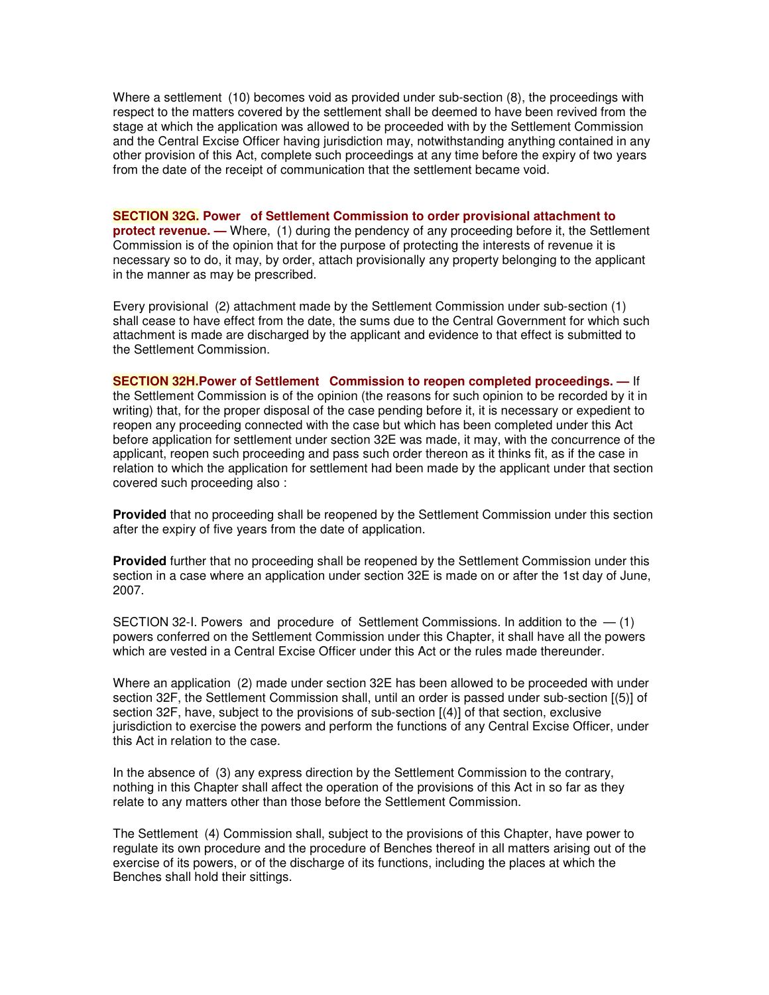Where a settlement (10) becomes void as provided under sub-section (8), the proceedings with respect to the matters covered by the settlement shall be deemed to have been revived from the stage at which the application was allowed to be proceeded with by the Settlement Commission and the Central Excise Officer having jurisdiction may, notwithstanding anything contained in any other provision of this Act, complete such proceedings at any time before the expiry of two years from the date of the receipt of communication that the settlement became void.

**SECTION 32G. Power of Settlement Commission to order provisional attachment to protect revenue. —** Where, (1) during the pendency of any proceeding before it, the Settlement Commission is of the opinion that for the purpose of protecting the interests of revenue it is necessary so to do, it may, by order, attach provisionally any property belonging to the applicant in the manner as may be prescribed.

Every provisional (2) attachment made by the Settlement Commission under sub-section (1) shall cease to have effect from the date, the sums due to the Central Government for which such attachment is made are discharged by the applicant and evidence to that effect is submitted to the Settlement Commission.

**SECTION 32H.Power of Settlement Commission to reopen completed proceedings. —** If the Settlement Commission is of the opinion (the reasons for such opinion to be recorded by it in writing) that, for the proper disposal of the case pending before it, it is necessary or expedient to reopen any proceeding connected with the case but which has been completed under this Act before application for settlement under section 32E was made, it may, with the concurrence of the applicant, reopen such proceeding and pass such order thereon as it thinks fit, as if the case in relation to which the application for settlement had been made by the applicant under that section covered such proceeding also :

**Provided** that no proceeding shall be reopened by the Settlement Commission under this section after the expiry of five years from the date of application.

**Provided** further that no proceeding shall be reopened by the Settlement Commission under this section in a case where an application under section 32E is made on or after the 1st day of June, 2007.

SECTION 32-I. Powers and procedure of Settlement Commissions. In addition to the  $-$  (1) powers conferred on the Settlement Commission under this Chapter, it shall have all the powers which are vested in a Central Excise Officer under this Act or the rules made thereunder.

Where an application (2) made under section 32E has been allowed to be proceeded with under section 32F, the Settlement Commission shall, until an order is passed under sub-section [(5)] of section 32F, have, subject to the provisions of sub-section  $[(4)]$  of that section, exclusive jurisdiction to exercise the powers and perform the functions of any Central Excise Officer, under this Act in relation to the case.

In the absence of (3) any express direction by the Settlement Commission to the contrary, nothing in this Chapter shall affect the operation of the provisions of this Act in so far as they relate to any matters other than those before the Settlement Commission.

The Settlement (4) Commission shall, subject to the provisions of this Chapter, have power to regulate its own procedure and the procedure of Benches thereof in all matters arising out of the exercise of its powers, or of the discharge of its functions, including the places at which the Benches shall hold their sittings.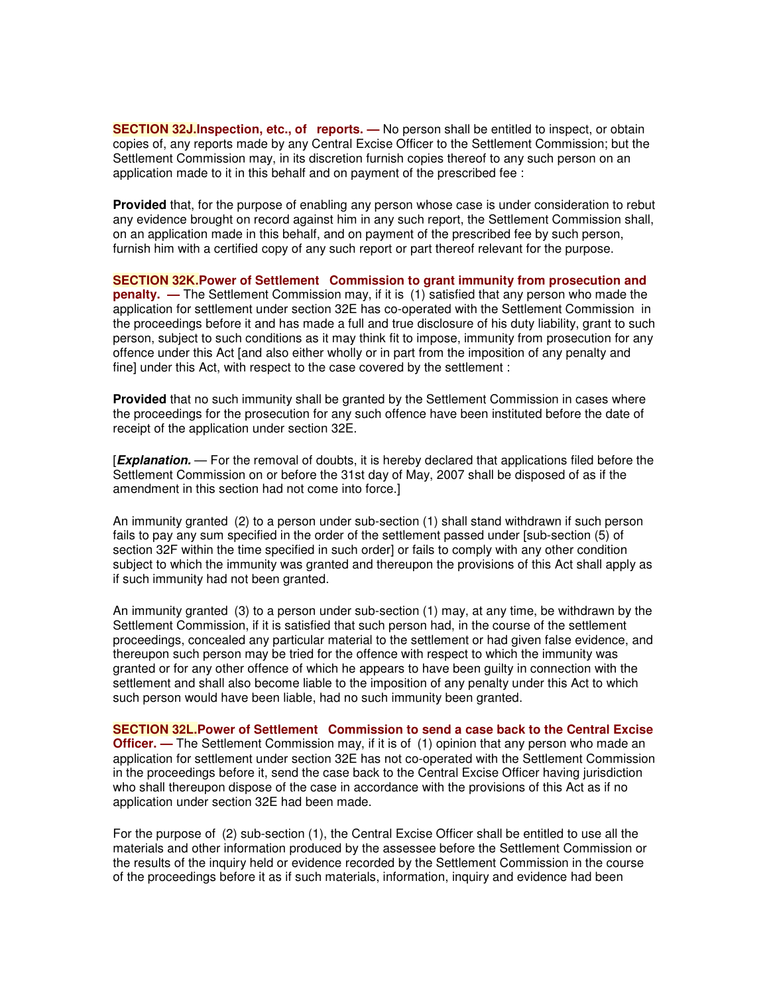**SECTION 32J.Inspection, etc., of reports. —** No person shall be entitled to inspect, or obtain copies of, any reports made by any Central Excise Officer to the Settlement Commission; but the Settlement Commission may, in its discretion furnish copies thereof to any such person on an application made to it in this behalf and on payment of the prescribed fee :

**Provided** that, for the purpose of enabling any person whose case is under consideration to rebut any evidence brought on record against him in any such report, the Settlement Commission shall, on an application made in this behalf, and on payment of the prescribed fee by such person, furnish him with a certified copy of any such report or part thereof relevant for the purpose.

**SECTION 32K.Power of Settlement Commission to grant immunity from prosecution and penalty. —** The Settlement Commission may, if it is (1) satisfied that any person who made the application for settlement under section 32E has co-operated with the Settlement Commission in the proceedings before it and has made a full and true disclosure of his duty liability, grant to such person, subject to such conditions as it may think fit to impose, immunity from prosecution for any offence under this Act [and also either wholly or in part from the imposition of any penalty and fine] under this Act, with respect to the case covered by the settlement :

**Provided** that no such immunity shall be granted by the Settlement Commission in cases where the proceedings for the prosecution for any such offence have been instituted before the date of receipt of the application under section 32E.

[*Explanation.* — For the removal of doubts, it is hereby declared that applications filed before the Settlement Commission on or before the 31st day of May, 2007 shall be disposed of as if the amendment in this section had not come into force.]

An immunity granted (2) to a person under sub-section (1) shall stand withdrawn if such person fails to pay any sum specified in the order of the settlement passed under [sub-section (5) of section 32F within the time specified in such order] or fails to comply with any other condition subject to which the immunity was granted and thereupon the provisions of this Act shall apply as if such immunity had not been granted.

An immunity granted (3) to a person under sub-section (1) may, at any time, be withdrawn by the Settlement Commission, if it is satisfied that such person had, in the course of the settlement proceedings, concealed any particular material to the settlement or had given false evidence, and thereupon such person may be tried for the offence with respect to which the immunity was granted or for any other offence of which he appears to have been guilty in connection with the settlement and shall also become liable to the imposition of any penalty under this Act to which such person would have been liable, had no such immunity been granted.

**SECTION 32L.Power of Settlement Commission to send a case back to the Central Excise Officer.** — The Settlement Commission may, if it is of (1) opinion that any person who made an application for settlement under section 32E has not co-operated with the Settlement Commission in the proceedings before it, send the case back to the Central Excise Officer having jurisdiction who shall thereupon dispose of the case in accordance with the provisions of this Act as if no application under section 32E had been made.

For the purpose of (2) sub-section (1), the Central Excise Officer shall be entitled to use all the materials and other information produced by the assessee before the Settlement Commission or the results of the inquiry held or evidence recorded by the Settlement Commission in the course of the proceedings before it as if such materials, information, inquiry and evidence had been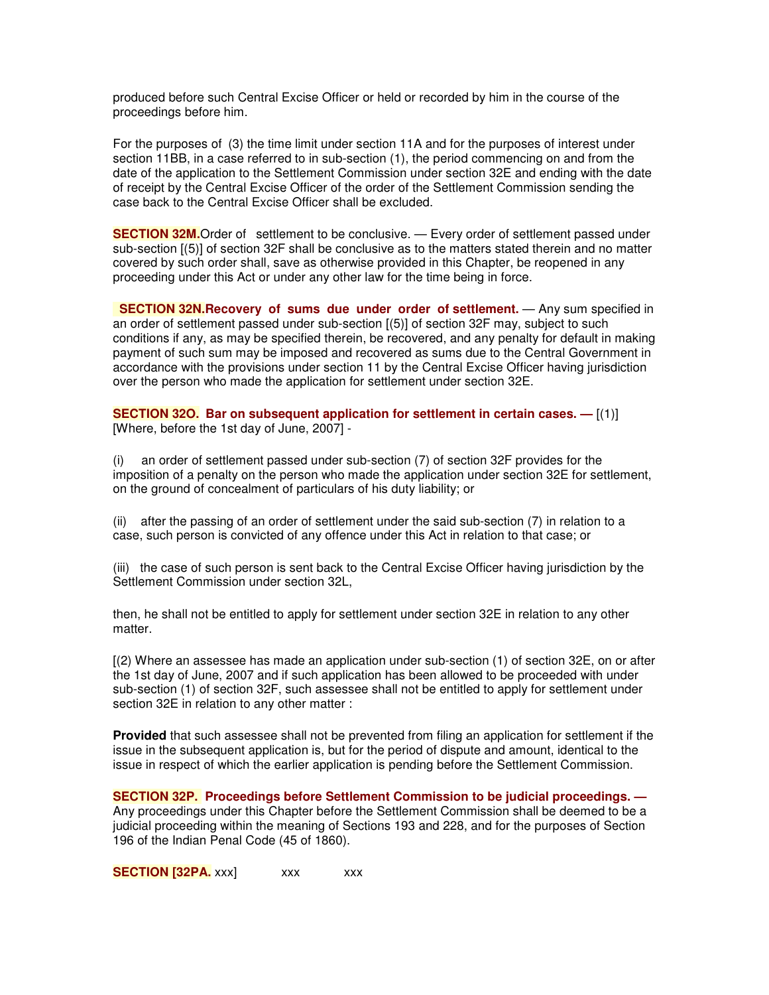produced before such Central Excise Officer or held or recorded by him in the course of the proceedings before him.

For the purposes of (3) the time limit under section 11A and for the purposes of interest under section 11BB, in a case referred to in sub-section (1), the period commencing on and from the date of the application to the Settlement Commission under section 32E and ending with the date of receipt by the Central Excise Officer of the order of the Settlement Commission sending the case back to the Central Excise Officer shall be excluded.

**SECTION 32M.**Order of settlement to be conclusive. — Every order of settlement passed under sub-section [(5)] of section 32F shall be conclusive as to the matters stated therein and no matter covered by such order shall, save as otherwise provided in this Chapter, be reopened in any proceeding under this Act or under any other law for the time being in force.

**SECTION 32N.Recovery of sums due under order of settlement.** — Any sum specified in an order of settlement passed under sub-section [(5)] of section 32F may, subject to such conditions if any, as may be specified therein, be recovered, and any penalty for default in making payment of such sum may be imposed and recovered as sums due to the Central Government in accordance with the provisions under section 11 by the Central Excise Officer having jurisdiction over the person who made the application for settlement under section 32E.

**SECTION 32O. Bar on subsequent application for settlement in certain cases. —** [(1)] [Where, before the 1st day of June, 2007] -

(i) an order of settlement passed under sub-section (7) of section 32F provides for the imposition of a penalty on the person who made the application under section 32E for settlement, on the ground of concealment of particulars of his duty liability; or

(ii) after the passing of an order of settlement under the said sub-section (7) in relation to a case, such person is convicted of any offence under this Act in relation to that case; or

(iii) the case of such person is sent back to the Central Excise Officer having jurisdiction by the Settlement Commission under section 32L,

then, he shall not be entitled to apply for settlement under section 32E in relation to any other matter.

[(2) Where an assessee has made an application under sub-section (1) of section 32E, on or after the 1st day of June, 2007 and if such application has been allowed to be proceeded with under sub-section (1) of section 32F, such assessee shall not be entitled to apply for settlement under section 32E in relation to any other matter :

**Provided** that such assessee shall not be prevented from filing an application for settlement if the issue in the subsequent application is, but for the period of dispute and amount, identical to the issue in respect of which the earlier application is pending before the Settlement Commission.

**SECTION 32P. Proceedings before Settlement Commission to be judicial proceedings. —** Any proceedings under this Chapter before the Settlement Commission shall be deemed to be a judicial proceeding within the meaning of Sections 193 and 228, and for the purposes of Section 196 of the Indian Penal Code (45 of 1860).

**SECTION [32PA.** xxx] xxx xxx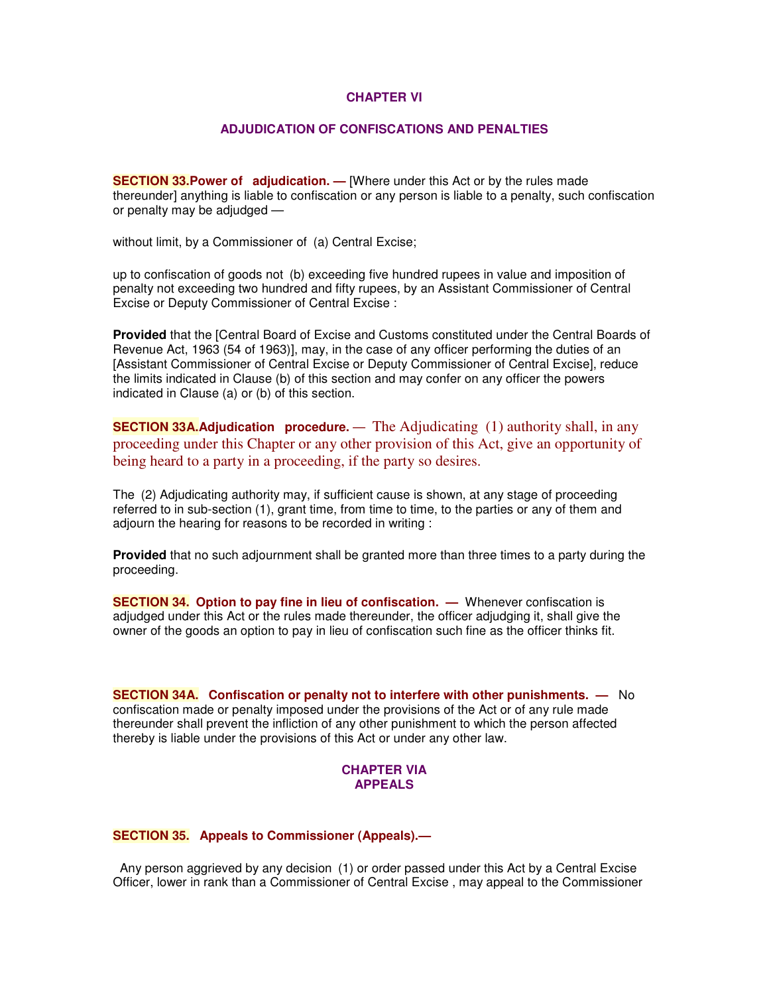#### **CHAPTER VI**

#### **ADJUDICATION OF CONFISCATIONS AND PENALTIES**

**SECTION 33.Power of adjudication. —** [Where under this Act or by the rules made thereunder] anything is liable to confiscation or any person is liable to a penalty, such confiscation or penalty may be adjudged —

without limit, by a Commissioner of (a) Central Excise;

up to confiscation of goods not (b) exceeding five hundred rupees in value and imposition of penalty not exceeding two hundred and fifty rupees, by an Assistant Commissioner of Central Excise or Deputy Commissioner of Central Excise :

**Provided** that the [Central Board of Excise and Customs constituted under the Central Boards of Revenue Act, 1963 (54 of 1963)], may, in the case of any officer performing the duties of an [Assistant Commissioner of Central Excise or Deputy Commissioner of Central Excise], reduce the limits indicated in Clause (b) of this section and may confer on any officer the powers indicated in Clause (a) or (b) of this section.

**SECTION 33A.Adjudication procedure.** — The Adjudicating (1) authority shall, in any proceeding under this Chapter or any other provision of this Act, give an opportunity of being heard to a party in a proceeding, if the party so desires.

The (2) Adjudicating authority may, if sufficient cause is shown, at any stage of proceeding referred to in sub-section (1), grant time, from time to time, to the parties or any of them and adjourn the hearing for reasons to be recorded in writing :

**Provided** that no such adjournment shall be granted more than three times to a party during the proceeding.

**SECTION 34. Option to pay fine in lieu of confiscation. —** Whenever confiscation is adjudged under this Act or the rules made thereunder, the officer adjudging it, shall give the owner of the goods an option to pay in lieu of confiscation such fine as the officer thinks fit.

**SECTION 34A. Confiscation or penalty not to interfere with other punishments. —** No confiscation made or penalty imposed under the provisions of the Act or of any rule made thereunder shall prevent the infliction of any other punishment to which the person affected thereby is liable under the provisions of this Act or under any other law.

#### **CHAPTER VIA APPEALS**

**SECTION 35. Appeals to Commissioner (Appeals).—**

Any person aggrieved by any decision (1) or order passed under this Act by a Central Excise Officer, lower in rank than a Commissioner of Central Excise , may appeal to the Commissioner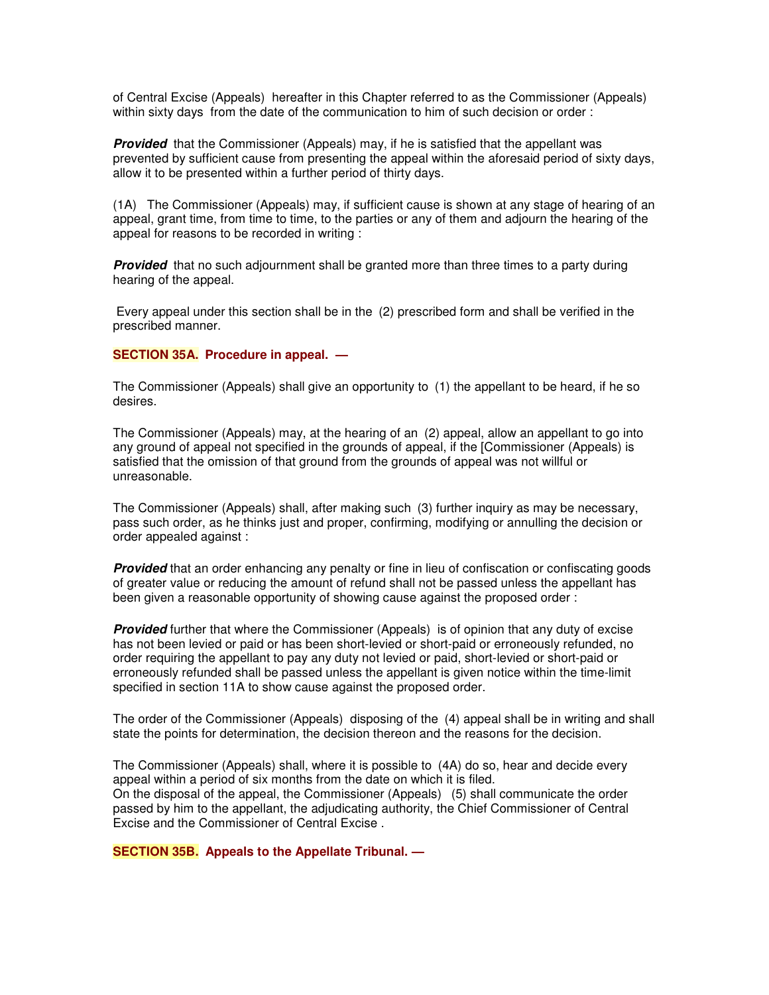of Central Excise (Appeals) hereafter in this Chapter referred to as the Commissioner (Appeals) within sixty days from the date of the communication to him of such decision or order :

**Provided** that the Commissioner (Appeals) may, if he is satisfied that the appellant was prevented by sufficient cause from presenting the appeal within the aforesaid period of sixty days, allow it to be presented within a further period of thirty days.

(1A) The Commissioner (Appeals) may, if sufficient cause is shown at any stage of hearing of an appeal, grant time, from time to time, to the parties or any of them and adjourn the hearing of the appeal for reasons to be recorded in writing :

**Provided** that no such adjournment shall be granted more than three times to a party during hearing of the appeal.

Every appeal under this section shall be in the (2) prescribed form and shall be verified in the prescribed manner.

#### **SECTION 35A. Procedure in appeal. —**

The Commissioner (Appeals) shall give an opportunity to (1) the appellant to be heard, if he so desires.

The Commissioner (Appeals) may, at the hearing of an (2) appeal, allow an appellant to go into any ground of appeal not specified in the grounds of appeal, if the [Commissioner (Appeals) is satisfied that the omission of that ground from the grounds of appeal was not willful or unreasonable.

The Commissioner (Appeals) shall, after making such (3) further inquiry as may be necessary, pass such order, as he thinks just and proper, confirming, modifying or annulling the decision or order appealed against :

**Provided** that an order enhancing any penalty or fine in lieu of confiscation or confiscating goods of greater value or reducing the amount of refund shall not be passed unless the appellant has been given a reasonable opportunity of showing cause against the proposed order :

*Provided* further that where the Commissioner (Appeals) is of opinion that any duty of excise has not been levied or paid or has been short-levied or short-paid or erroneously refunded, no order requiring the appellant to pay any duty not levied or paid, short-levied or short-paid or erroneously refunded shall be passed unless the appellant is given notice within the time-limit specified in section 11A to show cause against the proposed order.

The order of the Commissioner (Appeals) disposing of the (4) appeal shall be in writing and shall state the points for determination, the decision thereon and the reasons for the decision.

The Commissioner (Appeals) shall, where it is possible to (4A) do so, hear and decide every appeal within a period of six months from the date on which it is filed. On the disposal of the appeal, the Commissioner (Appeals) (5) shall communicate the order passed by him to the appellant, the adjudicating authority, the Chief Commissioner of Central Excise and the Commissioner of Central Excise .

**SECTION 35B. Appeals to the Appellate Tribunal. —**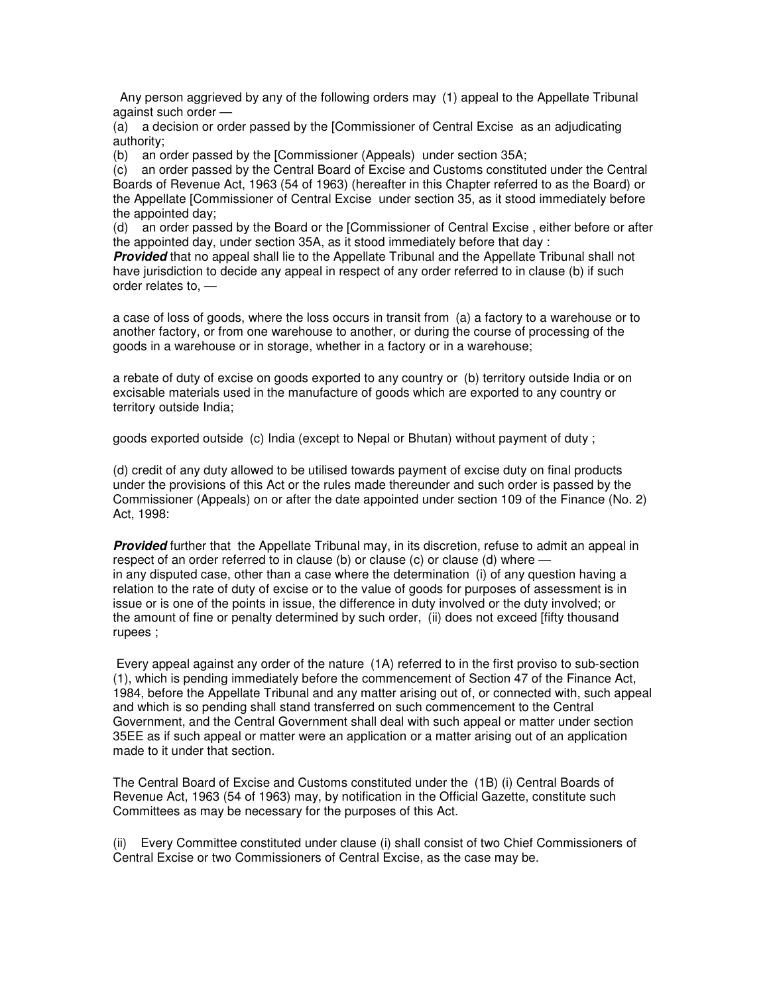Any person aggrieved by any of the following orders may (1) appeal to the Appellate Tribunal against such order —

(a) a decision or order passed by the [Commissioner of Central Excise as an adjudicating authority;

(b) an order passed by the [Commissioner (Appeals) under section 35A;

(c) an order passed by the Central Board of Excise and Customs constituted under the Central Boards of Revenue Act, 1963 (54 of 1963) (hereafter in this Chapter referred to as the Board) or the Appellate [Commissioner of Central Excise under section 35, as it stood immediately before the appointed day;

(d) an order passed by the Board or the [Commissioner of Central Excise , either before or after the appointed day, under section 35A, as it stood immediately before that day :

*Provided* that no appeal shall lie to the Appellate Tribunal and the Appellate Tribunal shall not have jurisdiction to decide any appeal in respect of any order referred to in clause (b) if such order relates to, —

a case of loss of goods, where the loss occurs in transit from (a) a factory to a warehouse or to another factory, or from one warehouse to another, or during the course of processing of the goods in a warehouse or in storage, whether in a factory or in a warehouse;

a rebate of duty of excise on goods exported to any country or (b) territory outside India or on excisable materials used in the manufacture of goods which are exported to any country or territory outside India;

goods exported outside (c) India (except to Nepal or Bhutan) without payment of duty ;

(d) credit of any duty allowed to be utilised towards payment of excise duty on final products under the provisions of this Act or the rules made thereunder and such order is passed by the Commissioner (Appeals) on or after the date appointed under section 109 of the Finance (No. 2) Act, 1998:

*Provided* further that the Appellate Tribunal may, in its discretion, refuse to admit an appeal in respect of an order referred to in clause (b) or clause (c) or clause (d) where  $$ in any disputed case, other than a case where the determination (i) of any question having a relation to the rate of duty of excise or to the value of goods for purposes of assessment is in issue or is one of the points in issue, the difference in duty involved or the duty involved; or the amount of fine or penalty determined by such order, (ii) does not exceed [fifty thousand rupees ;

Every appeal against any order of the nature (1A) referred to in the first proviso to sub-section (1), which is pending immediately before the commencement of Section 47 of the Finance Act, 1984, before the Appellate Tribunal and any matter arising out of, or connected with, such appeal and which is so pending shall stand transferred on such commencement to the Central Government, and the Central Government shall deal with such appeal or matter under section 35EE as if such appeal or matter were an application or a matter arising out of an application made to it under that section.

The Central Board of Excise and Customs constituted under the (1B) (i) Central Boards of Revenue Act, 1963 (54 of 1963) may, by notification in the Official Gazette, constitute such Committees as may be necessary for the purposes of this Act.

(ii) Every Committee constituted under clause (i) shall consist of two Chief Commissioners of Central Excise or two Commissioners of Central Excise, as the case may be.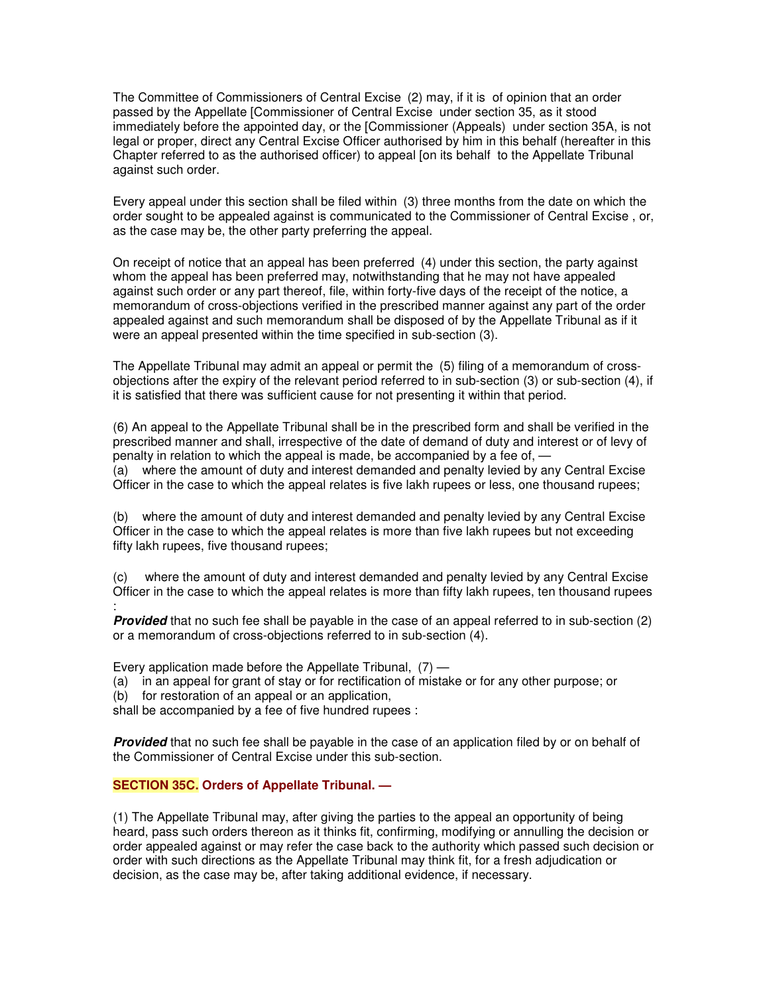The Committee of Commissioners of Central Excise (2) may, if it is of opinion that an order passed by the Appellate [Commissioner of Central Excise under section 35, as it stood immediately before the appointed day, or the [Commissioner (Appeals) under section 35A, is not legal or proper, direct any Central Excise Officer authorised by him in this behalf (hereafter in this Chapter referred to as the authorised officer) to appeal [on its behalf to the Appellate Tribunal against such order.

Every appeal under this section shall be filed within (3) three months from the date on which the order sought to be appealed against is communicated to the Commissioner of Central Excise , or, as the case may be, the other party preferring the appeal.

On receipt of notice that an appeal has been preferred (4) under this section, the party against whom the appeal has been preferred may, notwithstanding that he may not have appealed against such order or any part thereof, file, within forty-five days of the receipt of the notice, a memorandum of cross-objections verified in the prescribed manner against any part of the order appealed against and such memorandum shall be disposed of by the Appellate Tribunal as if it were an appeal presented within the time specified in sub-section (3).

The Appellate Tribunal may admit an appeal or permit the (5) filing of a memorandum of crossobjections after the expiry of the relevant period referred to in sub-section (3) or sub-section (4), if it is satisfied that there was sufficient cause for not presenting it within that period.

(6) An appeal to the Appellate Tribunal shall be in the prescribed form and shall be verified in the prescribed manner and shall, irrespective of the date of demand of duty and interest or of levy of penalty in relation to which the appeal is made, be accompanied by a fee of, — (a) where the amount of duty and interest demanded and penalty levied by any Central Excise Officer in the case to which the appeal relates is five lakh rupees or less, one thousand rupees;

(b) where the amount of duty and interest demanded and penalty levied by any Central Excise Officer in the case to which the appeal relates is more than five lakh rupees but not exceeding fifty lakh rupees, five thousand rupees;

(c) where the amount of duty and interest demanded and penalty levied by any Central Excise Officer in the case to which the appeal relates is more than fifty lakh rupees, ten thousand rupees :

*Provided* that no such fee shall be payable in the case of an appeal referred to in sub-section (2) or a memorandum of cross-objections referred to in sub-section (4).

Every application made before the Appellate Tribunal,  $(7)$  —

- (a) in an appeal for grant of stay or for rectification of mistake or for any other purpose; or
- (b) for restoration of an appeal or an application,

shall be accompanied by a fee of five hundred rupees :

*Provided* that no such fee shall be payable in the case of an application filed by or on behalf of the Commissioner of Central Excise under this sub-section.

## **SECTION 35C. Orders of Appellate Tribunal. —**

(1) The Appellate Tribunal may, after giving the parties to the appeal an opportunity of being heard, pass such orders thereon as it thinks fit, confirming, modifying or annulling the decision or order appealed against or may refer the case back to the authority which passed such decision or order with such directions as the Appellate Tribunal may think fit, for a fresh adjudication or decision, as the case may be, after taking additional evidence, if necessary.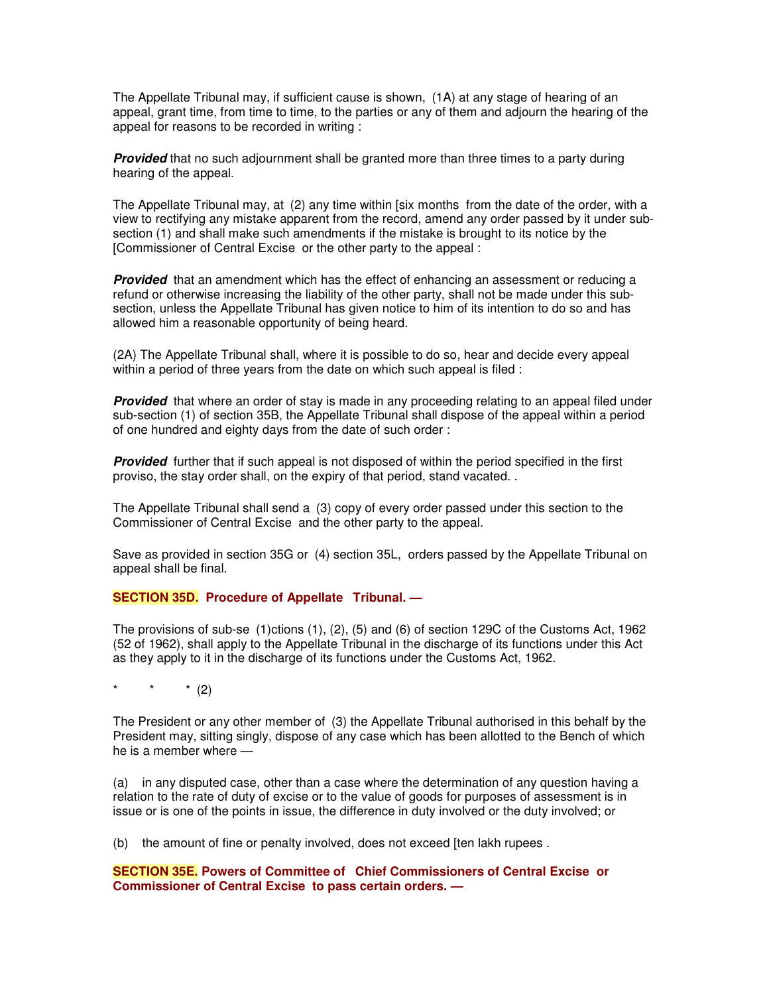The Appellate Tribunal may, if sufficient cause is shown, (1A) at any stage of hearing of an appeal, grant time, from time to time, to the parties or any of them and adjourn the hearing of the appeal for reasons to be recorded in writing :

**Provided** that no such adjournment shall be granted more than three times to a party during hearing of the appeal.

The Appellate Tribunal may, at (2) any time within [six months from the date of the order, with a view to rectifying any mistake apparent from the record, amend any order passed by it under subsection (1) and shall make such amendments if the mistake is brought to its notice by the [Commissioner of Central Excise or the other party to the appeal :

**Provided** that an amendment which has the effect of enhancing an assessment or reducing a refund or otherwise increasing the liability of the other party, shall not be made under this subsection, unless the Appellate Tribunal has given notice to him of its intention to do so and has allowed him a reasonable opportunity of being heard.

(2A) The Appellate Tribunal shall, where it is possible to do so, hear and decide every appeal within a period of three years from the date on which such appeal is filed :

**Provided** that where an order of stay is made in any proceeding relating to an appeal filed under sub-section (1) of section 35B, the Appellate Tribunal shall dispose of the appeal within a period of one hundred and eighty days from the date of such order :

*Provided* further that if such appeal is not disposed of within the period specified in the first proviso, the stay order shall, on the expiry of that period, stand vacated. .

The Appellate Tribunal shall send a (3) copy of every order passed under this section to the Commissioner of Central Excise and the other party to the appeal.

Save as provided in section 35G or (4) section 35L, orders passed by the Appellate Tribunal on appeal shall be final.

## **SECTION 35D. Procedure of Appellate Tribunal. —**

The provisions of sub-se (1)ctions (1), (2), (5) and (6) of section 129C of the Customs Act, 1962 (52 of 1962), shall apply to the Appellate Tribunal in the discharge of its functions under this Act as they apply to it in the discharge of its functions under the Customs Act, 1962.

 $*$  (2)

The President or any other member of (3) the Appellate Tribunal authorised in this behalf by the President may, sitting singly, dispose of any case which has been allotted to the Bench of which he is a member where —

(a) in any disputed case, other than a case where the determination of any question having a relation to the rate of duty of excise or to the value of goods for purposes of assessment is in issue or is one of the points in issue, the difference in duty involved or the duty involved; or

(b) the amount of fine or penalty involved, does not exceed [ten lakh rupees .

## **SECTION 35E. Powers of Committee of Chief Commissioners of Central Excise or Commissioner of Central Excise to pass certain orders. —**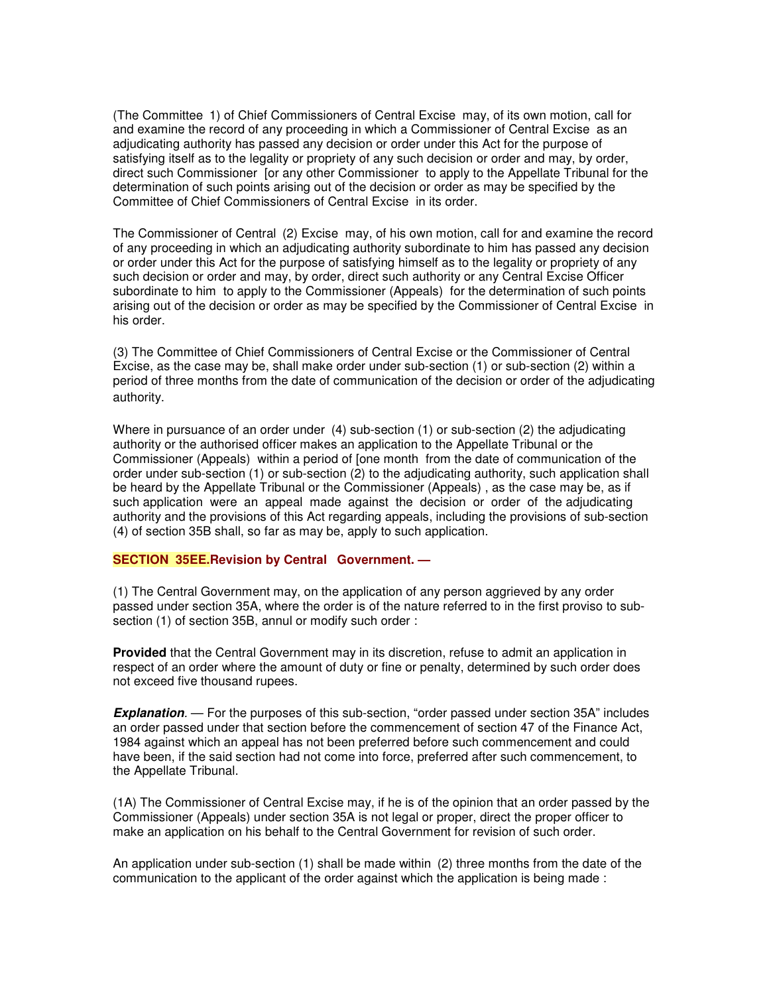(The Committee 1) of Chief Commissioners of Central Excise may, of its own motion, call for and examine the record of any proceeding in which a Commissioner of Central Excise as an adjudicating authority has passed any decision or order under this Act for the purpose of satisfying itself as to the legality or propriety of any such decision or order and may, by order, direct such Commissioner [or any other Commissioner to apply to the Appellate Tribunal for the determination of such points arising out of the decision or order as may be specified by the Committee of Chief Commissioners of Central Excise in its order.

The Commissioner of Central (2) Excise may, of his own motion, call for and examine the record of any proceeding in which an adjudicating authority subordinate to him has passed any decision or order under this Act for the purpose of satisfying himself as to the legality or propriety of any such decision or order and may, by order, direct such authority or any Central Excise Officer subordinate to him to apply to the Commissioner (Appeals) for the determination of such points arising out of the decision or order as may be specified by the Commissioner of Central Excise in his order.

(3) The Committee of Chief Commissioners of Central Excise or the Commissioner of Central Excise, as the case may be, shall make order under sub-section (1) or sub-section (2) within a period of three months from the date of communication of the decision or order of the adjudicating authority.

Where in pursuance of an order under (4) sub-section (1) or sub-section (2) the adjudicating authority or the authorised officer makes an application to the Appellate Tribunal or the Commissioner (Appeals) within a period of [one month from the date of communication of the order under sub-section (1) or sub-section (2) to the adjudicating authority, such application shall be heard by the Appellate Tribunal or the Commissioner (Appeals) , as the case may be, as if such application were an appeal made against the decision or order of the adjudicating authority and the provisions of this Act regarding appeals, including the provisions of sub-section (4) of section 35B shall, so far as may be, apply to such application.

## **SECTION 35EE.Revision by Central Government. —**

(1) The Central Government may, on the application of any person aggrieved by any order passed under section 35A, where the order is of the nature referred to in the first proviso to subsection (1) of section 35B, annul or modify such order :

**Provided** that the Central Government may in its discretion, refuse to admit an application in respect of an order where the amount of duty or fine or penalty, determined by such order does not exceed five thousand rupees.

*Explanation.* — For the purposes of this sub-section, "order passed under section 35A" includes an order passed under that section before the commencement of section 47 of the Finance Act, 1984 against which an appeal has not been preferred before such commencement and could have been, if the said section had not come into force, preferred after such commencement, to the Appellate Tribunal.

(1A) The Commissioner of Central Excise may, if he is of the opinion that an order passed by the Commissioner (Appeals) under section 35A is not legal or proper, direct the proper officer to make an application on his behalf to the Central Government for revision of such order.

An application under sub-section (1) shall be made within (2) three months from the date of the communication to the applicant of the order against which the application is being made :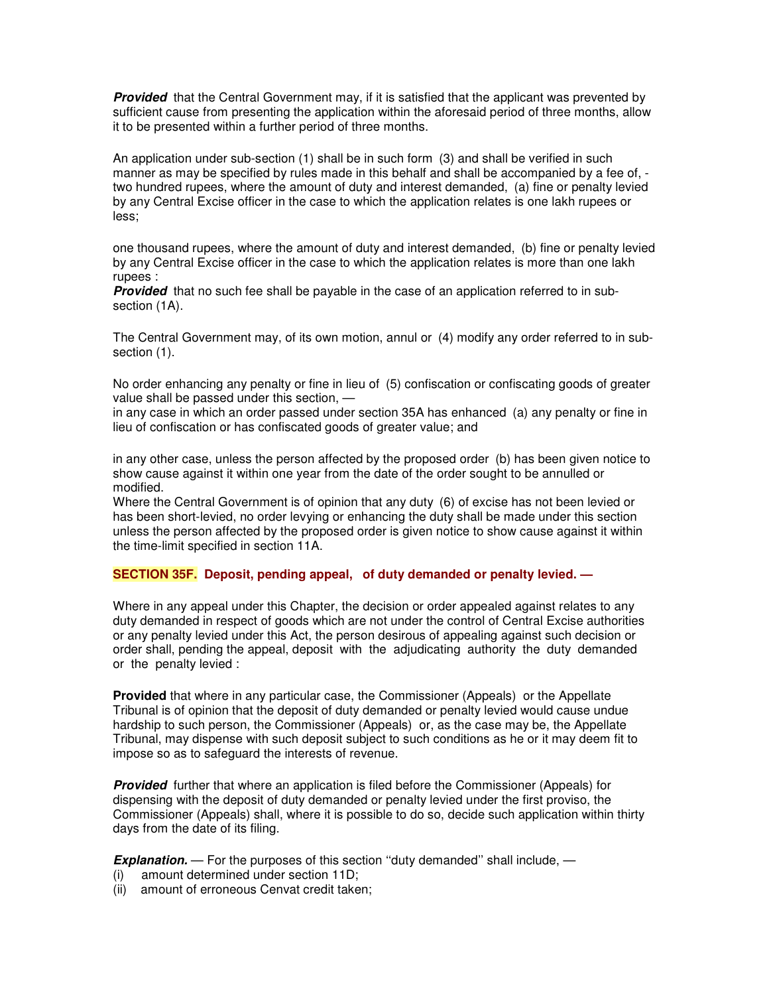**Provided** that the Central Government may, if it is satisfied that the applicant was prevented by sufficient cause from presenting the application within the aforesaid period of three months, allow it to be presented within a further period of three months.

An application under sub-section (1) shall be in such form (3) and shall be verified in such manner as may be specified by rules made in this behalf and shall be accompanied by a fee of, two hundred rupees, where the amount of duty and interest demanded, (a) fine or penalty levied by any Central Excise officer in the case to which the application relates is one lakh rupees or less;

one thousand rupees, where the amount of duty and interest demanded, (b) fine or penalty levied by any Central Excise officer in the case to which the application relates is more than one lakh rupees :

*Provided* that no such fee shall be payable in the case of an application referred to in subsection (1A).

The Central Government may, of its own motion, annul or (4) modify any order referred to in subsection  $(1)$ .

No order enhancing any penalty or fine in lieu of (5) confiscation or confiscating goods of greater value shall be passed under this section, —

in any case in which an order passed under section 35A has enhanced (a) any penalty or fine in lieu of confiscation or has confiscated goods of greater value; and

in any other case, unless the person affected by the proposed order (b) has been given notice to show cause against it within one year from the date of the order sought to be annulled or modified.

Where the Central Government is of opinion that any duty (6) of excise has not been levied or has been short-levied, no order levying or enhancing the duty shall be made under this section unless the person affected by the proposed order is given notice to show cause against it within the time-limit specified in section 11A.

## **SECTION 35F. Deposit, pending appeal, of duty demanded or penalty levied. —**

Where in any appeal under this Chapter, the decision or order appealed against relates to any duty demanded in respect of goods which are not under the control of Central Excise authorities or any penalty levied under this Act, the person desirous of appealing against such decision or order shall, pending the appeal, deposit with the adjudicating authority the duty demanded or the penalty levied :

**Provided** that where in any particular case, the Commissioner (Appeals) or the Appellate Tribunal is of opinion that the deposit of duty demanded or penalty levied would cause undue hardship to such person, the Commissioner (Appeals) or, as the case may be, the Appellate Tribunal, may dispense with such deposit subject to such conditions as he or it may deem fit to impose so as to safeguard the interests of revenue.

*Provided* further that where an application is filed before the Commissioner (Appeals) for dispensing with the deposit of duty demanded or penalty levied under the first proviso, the Commissioner (Appeals) shall, where it is possible to do so, decide such application within thirty days from the date of its filing.

**Explanation.** — For the purposes of this section "duty demanded" shall include, —

- (i) amount determined under section 11D;
- (ii) amount of erroneous Cenvat credit taken;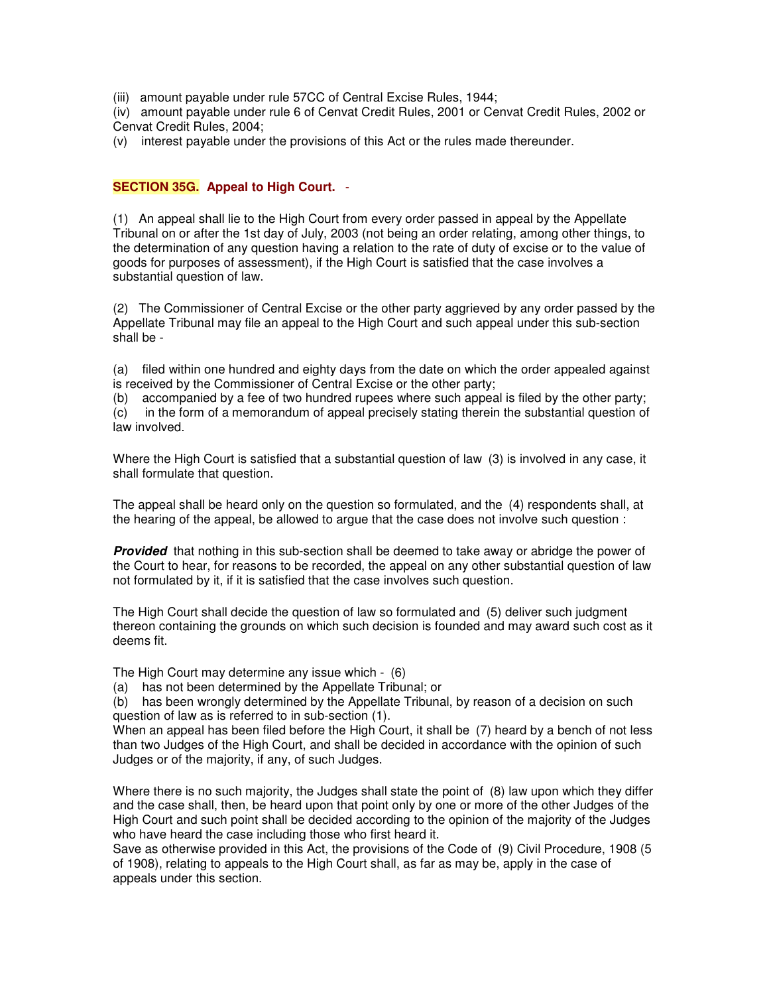(iii) amount payable under rule 57CC of Central Excise Rules, 1944;

(iv) amount payable under rule 6 of Cenvat Credit Rules, 2001 or Cenvat Credit Rules, 2002 or Cenvat Credit Rules, 2004;

(v) interest payable under the provisions of this Act or the rules made thereunder.

# **SECTION 35G. Appeal to High Court.** -

(1) An appeal shall lie to the High Court from every order passed in appeal by the Appellate Tribunal on or after the 1st day of July, 2003 (not being an order relating, among other things, to the determination of any question having a relation to the rate of duty of excise or to the value of goods for purposes of assessment), if the High Court is satisfied that the case involves a substantial question of law.

(2) The Commissioner of Central Excise or the other party aggrieved by any order passed by the Appellate Tribunal may file an appeal to the High Court and such appeal under this sub-section shall be -

(a) filed within one hundred and eighty days from the date on which the order appealed against is received by the Commissioner of Central Excise or the other party;

(b) accompanied by a fee of two hundred rupees where such appeal is filed by the other party; (c) in the form of a memorandum of appeal precisely stating therein the substantial question of law involved.

Where the High Court is satisfied that a substantial question of law (3) is involved in any case, it shall formulate that question.

The appeal shall be heard only on the question so formulated, and the (4) respondents shall, at the hearing of the appeal, be allowed to argue that the case does not involve such question :

*Provided* that nothing in this sub-section shall be deemed to take away or abridge the power of the Court to hear, for reasons to be recorded, the appeal on any other substantial question of law not formulated by it, if it is satisfied that the case involves such question.

The High Court shall decide the question of law so formulated and (5) deliver such judgment thereon containing the grounds on which such decision is founded and may award such cost as it deems fit.

The High Court may determine any issue which - (6)

(a) has not been determined by the Appellate Tribunal; or

(b) has been wrongly determined by the Appellate Tribunal, by reason of a decision on such question of law as is referred to in sub-section (1).

When an appeal has been filed before the High Court, it shall be (7) heard by a bench of not less than two Judges of the High Court, and shall be decided in accordance with the opinion of such Judges or of the majority, if any, of such Judges.

Where there is no such majority, the Judges shall state the point of (8) law upon which they differ and the case shall, then, be heard upon that point only by one or more of the other Judges of the High Court and such point shall be decided according to the opinion of the majority of the Judges who have heard the case including those who first heard it.

Save as otherwise provided in this Act, the provisions of the Code of (9) Civil Procedure, 1908 (5 of 1908), relating to appeals to the High Court shall, as far as may be, apply in the case of appeals under this section.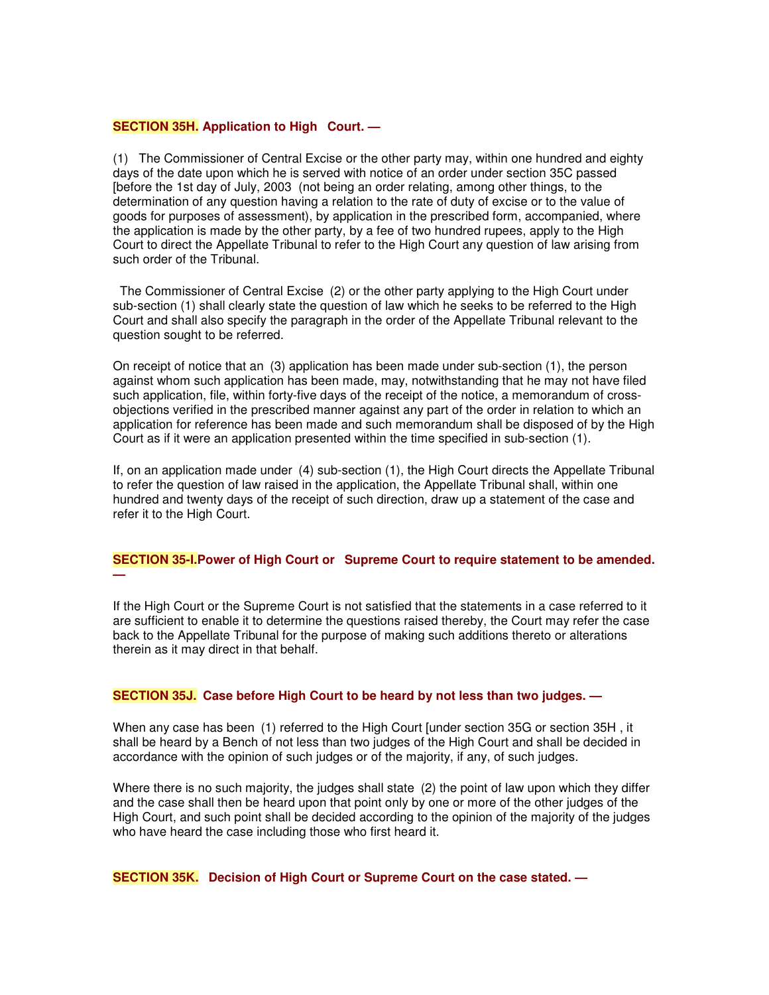#### **SECTION 35H. Application to High Court. —**

(1) The Commissioner of Central Excise or the other party may, within one hundred and eighty days of the date upon which he is served with notice of an order under section 35C passed [before the 1st day of July, 2003 (not being an order relating, among other things, to the determination of any question having a relation to the rate of duty of excise or to the value of goods for purposes of assessment), by application in the prescribed form, accompanied, where the application is made by the other party, by a fee of two hundred rupees, apply to the High Court to direct the Appellate Tribunal to refer to the High Court any question of law arising from such order of the Tribunal.

The Commissioner of Central Excise (2) or the other party applying to the High Court under sub-section (1) shall clearly state the question of law which he seeks to be referred to the High Court and shall also specify the paragraph in the order of the Appellate Tribunal relevant to the question sought to be referred.

On receipt of notice that an (3) application has been made under sub-section (1), the person against whom such application has been made, may, notwithstanding that he may not have filed such application, file, within forty-five days of the receipt of the notice, a memorandum of crossobjections verified in the prescribed manner against any part of the order in relation to which an application for reference has been made and such memorandum shall be disposed of by the High Court as if it were an application presented within the time specified in sub-section (1).

If, on an application made under (4) sub-section (1), the High Court directs the Appellate Tribunal to refer the question of law raised in the application, the Appellate Tribunal shall, within one hundred and twenty days of the receipt of such direction, draw up a statement of the case and refer it to the High Court.

## **SECTION 35-I.Power of High Court or Supreme Court to require statement to be amended. —**

If the High Court or the Supreme Court is not satisfied that the statements in a case referred to it are sufficient to enable it to determine the questions raised thereby, the Court may refer the case back to the Appellate Tribunal for the purpose of making such additions thereto or alterations therein as it may direct in that behalf.

## **SECTION 35J. Case before High Court to be heard by not less than two judges. —**

When any case has been (1) referred to the High Court [under section 35G or section 35H , it shall be heard by a Bench of not less than two judges of the High Court and shall be decided in accordance with the opinion of such judges or of the majority, if any, of such judges.

Where there is no such majority, the judges shall state (2) the point of law upon which they differ and the case shall then be heard upon that point only by one or more of the other judges of the High Court, and such point shall be decided according to the opinion of the majority of the judges who have heard the case including those who first heard it.

**SECTION 35K. Decision of High Court or Supreme Court on the case stated. —**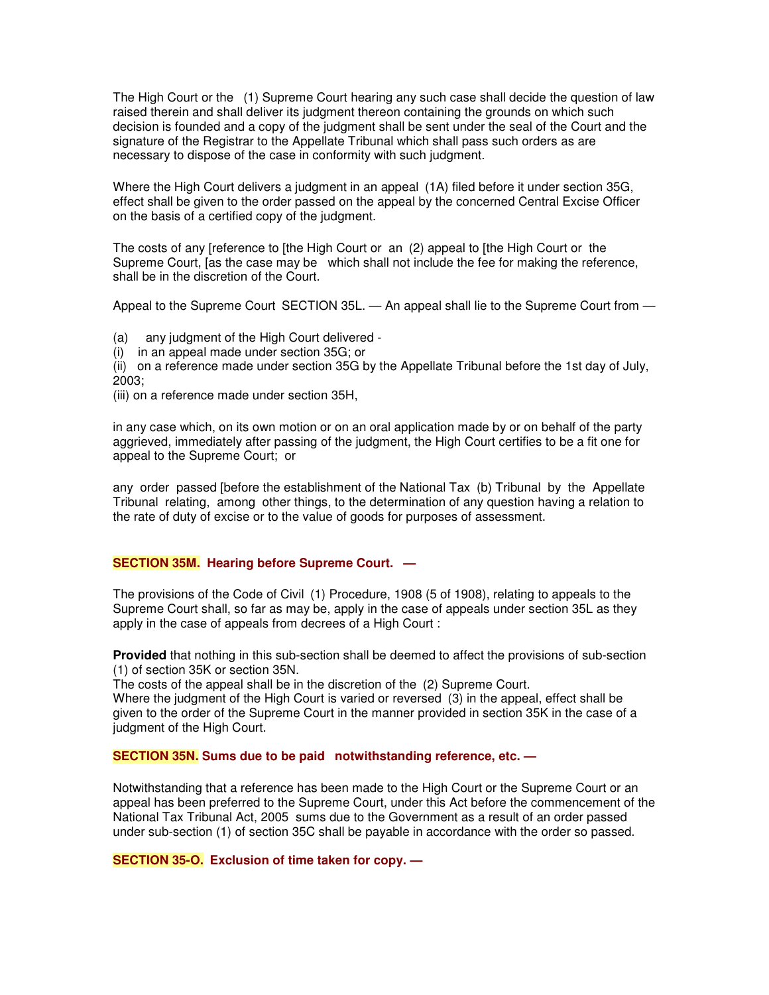The High Court or the (1) Supreme Court hearing any such case shall decide the question of law raised therein and shall deliver its judgment thereon containing the grounds on which such decision is founded and a copy of the judgment shall be sent under the seal of the Court and the signature of the Registrar to the Appellate Tribunal which shall pass such orders as are necessary to dispose of the case in conformity with such judgment.

Where the High Court delivers a judgment in an appeal (1A) filed before it under section 35G, effect shall be given to the order passed on the appeal by the concerned Central Excise Officer on the basis of a certified copy of the judgment.

The costs of any [reference to [the High Court or an (2) appeal to [the High Court or the Supreme Court, [as the case may be which shall not include the fee for making the reference, shall be in the discretion of the Court.

Appeal to the Supreme Court SECTION 35L. — An appeal shall lie to the Supreme Court from —

(a) any judgment of the High Court delivered -

(i) in an appeal made under section 35G; or

(ii) on a reference made under section 35G by the Appellate Tribunal before the 1st day of July, 2003;

(iii) on a reference made under section 35H,

in any case which, on its own motion or on an oral application made by or on behalf of the party aggrieved, immediately after passing of the judgment, the High Court certifies to be a fit one for appeal to the Supreme Court; or

any order passed [before the establishment of the National Tax (b) Tribunal by the Appellate Tribunal relating, among other things, to the determination of any question having a relation to the rate of duty of excise or to the value of goods for purposes of assessment.

## **SECTION 35M. Hearing before Supreme Court. —**

The provisions of the Code of Civil (1) Procedure, 1908 (5 of 1908), relating to appeals to the Supreme Court shall, so far as may be, apply in the case of appeals under section 35L as they apply in the case of appeals from decrees of a High Court :

**Provided** that nothing in this sub-section shall be deemed to affect the provisions of sub-section (1) of section 35K or section 35N.

The costs of the appeal shall be in the discretion of the (2) Supreme Court. Where the judgment of the High Court is varied or reversed (3) in the appeal, effect shall be given to the order of the Supreme Court in the manner provided in section 35K in the case of a judgment of the High Court.

## **SECTION 35N. Sums due to be paid notwithstanding reference, etc. —**

Notwithstanding that a reference has been made to the High Court or the Supreme Court or an appeal has been preferred to the Supreme Court, under this Act before the commencement of the National Tax Tribunal Act, 2005 sums due to the Government as a result of an order passed under sub-section (1) of section 35C shall be payable in accordance with the order so passed.

**SECTION 35-O. Exclusion of time taken for copy. —**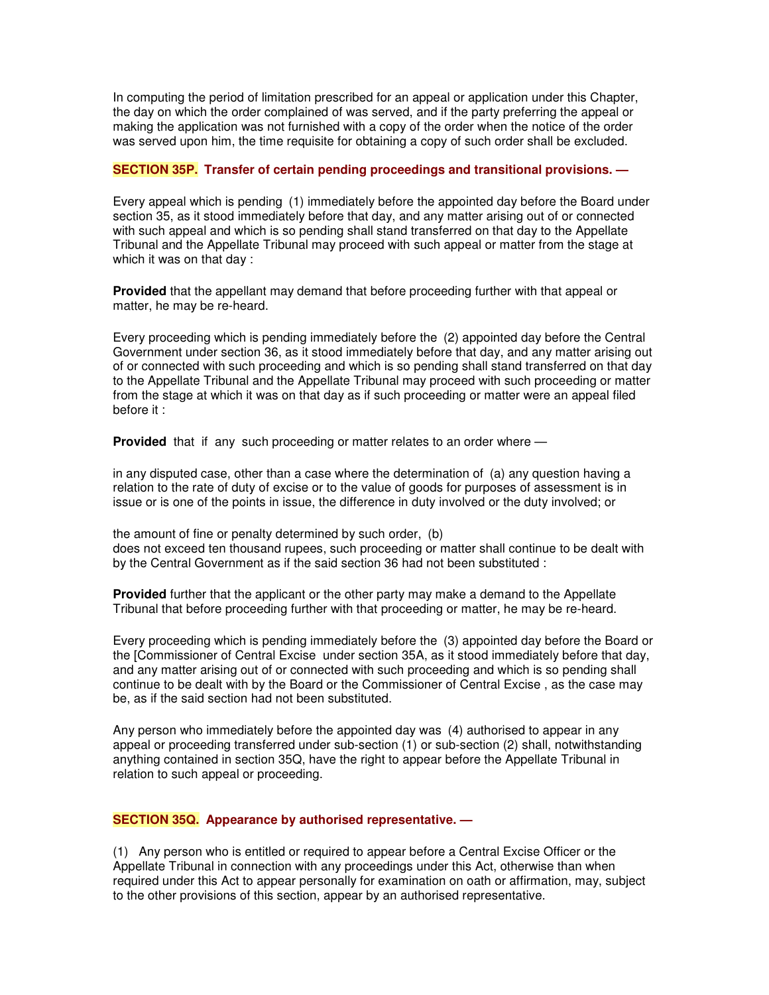In computing the period of limitation prescribed for an appeal or application under this Chapter, the day on which the order complained of was served, and if the party preferring the appeal or making the application was not furnished with a copy of the order when the notice of the order was served upon him, the time requisite for obtaining a copy of such order shall be excluded.

# **SECTION 35P. Transfer of certain pending proceedings and transitional provisions. —**

Every appeal which is pending (1) immediately before the appointed day before the Board under section 35, as it stood immediately before that day, and any matter arising out of or connected with such appeal and which is so pending shall stand transferred on that day to the Appellate Tribunal and the Appellate Tribunal may proceed with such appeal or matter from the stage at which it was on that day :

**Provided** that the appellant may demand that before proceeding further with that appeal or matter, he may be re-heard.

Every proceeding which is pending immediately before the (2) appointed day before the Central Government under section 36, as it stood immediately before that day, and any matter arising out of or connected with such proceeding and which is so pending shall stand transferred on that day to the Appellate Tribunal and the Appellate Tribunal may proceed with such proceeding or matter from the stage at which it was on that day as if such proceeding or matter were an appeal filed before it :

**Provided** that if any such proceeding or matter relates to an order where —

in any disputed case, other than a case where the determination of (a) any question having a relation to the rate of duty of excise or to the value of goods for purposes of assessment is in issue or is one of the points in issue, the difference in duty involved or the duty involved; or

the amount of fine or penalty determined by such order, (b) does not exceed ten thousand rupees, such proceeding or matter shall continue to be dealt with by the Central Government as if the said section 36 had not been substituted :

**Provided** further that the applicant or the other party may make a demand to the Appellate Tribunal that before proceeding further with that proceeding or matter, he may be re-heard.

Every proceeding which is pending immediately before the (3) appointed day before the Board or the [Commissioner of Central Excise under section 35A, as it stood immediately before that day, and any matter arising out of or connected with such proceeding and which is so pending shall continue to be dealt with by the Board or the Commissioner of Central Excise , as the case may be, as if the said section had not been substituted.

Any person who immediately before the appointed day was (4) authorised to appear in any appeal or proceeding transferred under sub-section (1) or sub-section (2) shall, notwithstanding anything contained in section 35Q, have the right to appear before the Appellate Tribunal in relation to such appeal or proceeding.

## **SECTION 35Q. Appearance by authorised representative. —**

(1) Any person who is entitled or required to appear before a Central Excise Officer or the Appellate Tribunal in connection with any proceedings under this Act, otherwise than when required under this Act to appear personally for examination on oath or affirmation, may, subject to the other provisions of this section, appear by an authorised representative.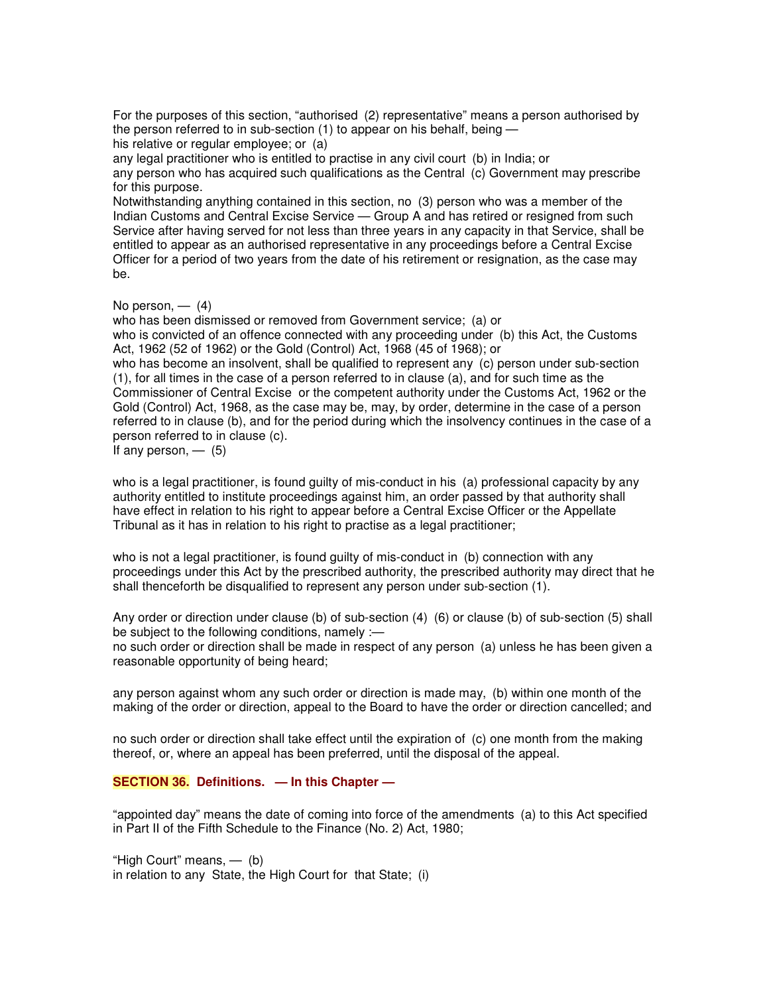For the purposes of this section, "authorised (2) representative" means a person authorised by the person referred to in sub-section (1) to appear on his behalf, being —

his relative or regular employee; or (a)

any legal practitioner who is entitled to practise in any civil court (b) in India; or any person who has acquired such qualifications as the Central (c) Government may prescribe for this purpose.

Notwithstanding anything contained in this section, no (3) person who was a member of the Indian Customs and Central Excise Service — Group A and has retired or resigned from such Service after having served for not less than three years in any capacity in that Service, shall be entitled to appear as an authorised representative in any proceedings before a Central Excise Officer for a period of two years from the date of his retirement or resignation, as the case may be.

No person,  $-$  (4)

who has been dismissed or removed from Government service; (a) or

who is convicted of an offence connected with any proceeding under (b) this Act, the Customs Act, 1962 (52 of 1962) or the Gold (Control) Act, 1968 (45 of 1968); or

who has become an insolvent, shall be qualified to represent any (c) person under sub-section (1), for all times in the case of a person referred to in clause (a), and for such time as the Commissioner of Central Excise or the competent authority under the Customs Act, 1962 or the Gold (Control) Act, 1968, as the case may be, may, by order, determine in the case of a person referred to in clause (b), and for the period during which the insolvency continues in the case of a person referred to in clause (c).

If any person,  $-$  (5)

who is a legal practitioner, is found guilty of mis-conduct in his (a) professional capacity by any authority entitled to institute proceedings against him, an order passed by that authority shall have effect in relation to his right to appear before a Central Excise Officer or the Appellate Tribunal as it has in relation to his right to practise as a legal practitioner;

who is not a legal practitioner, is found guilty of mis-conduct in (b) connection with any proceedings under this Act by the prescribed authority, the prescribed authority may direct that he shall thenceforth be disqualified to represent any person under sub-section (1).

Any order or direction under clause (b) of sub-section (4) (6) or clause (b) of sub-section (5) shall be subject to the following conditions, namely :—

no such order or direction shall be made in respect of any person (a) unless he has been given a reasonable opportunity of being heard;

any person against whom any such order or direction is made may, (b) within one month of the making of the order or direction, appeal to the Board to have the order or direction cancelled; and

no such order or direction shall take effect until the expiration of (c) one month from the making thereof, or, where an appeal has been preferred, until the disposal of the appeal.

# **SECTION 36. Definitions. — In this Chapter —**

"appointed day" means the date of coming into force of the amendments (a) to this Act specified in Part II of the Fifth Schedule to the Finance (No. 2) Act, 1980;

"High Court" means, — (b) in relation to any State, the High Court for that State; (i)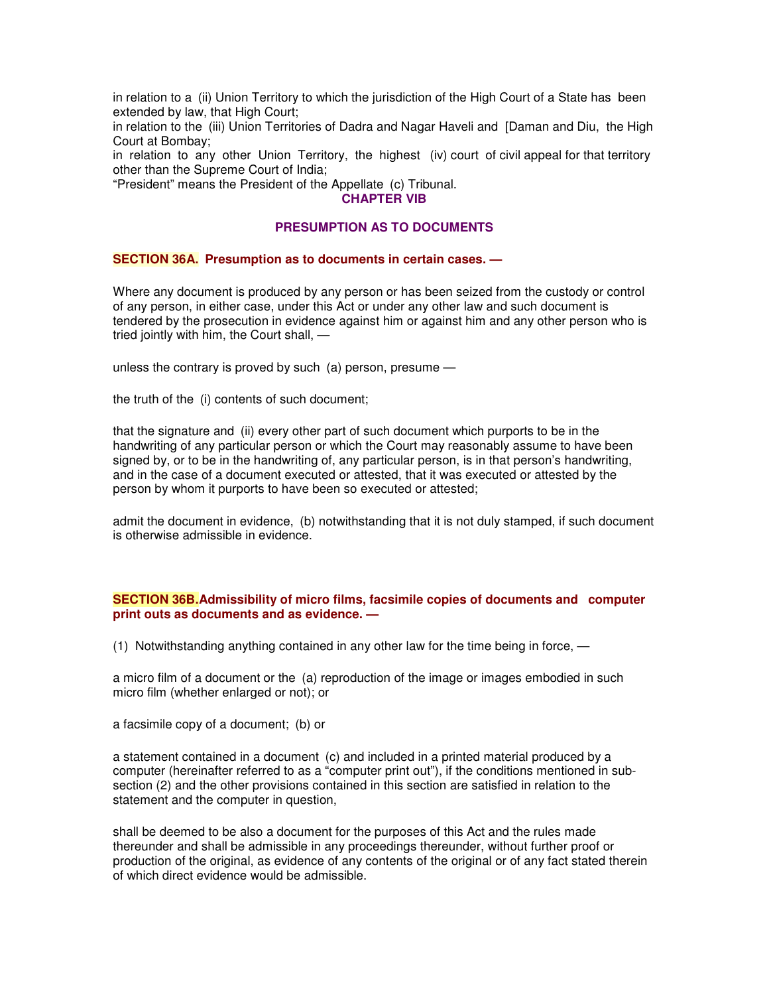in relation to a (ii) Union Territory to which the jurisdiction of the High Court of a State has been extended by law, that High Court;

in relation to the (iii) Union Territories of Dadra and Nagar Haveli and [Daman and Diu, the High Court at Bombay;

in relation to any other Union Territory, the highest (iv) court of civil appeal for that territory other than the Supreme Court of India;

"President" means the President of the Appellate (c) Tribunal.

## **CHAPTER VIB**

# **PRESUMPTION AS TO DOCUMENTS**

## **SECTION 36A. Presumption as to documents in certain cases. —**

Where any document is produced by any person or has been seized from the custody or control of any person, in either case, under this Act or under any other law and such document is tendered by the prosecution in evidence against him or against him and any other person who is tried jointly with him, the Court shall, —

unless the contrary is proved by such (a) person, presume —

the truth of the (i) contents of such document;

that the signature and (ii) every other part of such document which purports to be in the handwriting of any particular person or which the Court may reasonably assume to have been signed by, or to be in the handwriting of, any particular person, is in that person's handwriting, and in the case of a document executed or attested, that it was executed or attested by the person by whom it purports to have been so executed or attested;

admit the document in evidence, (b) notwithstanding that it is not duly stamped, if such document is otherwise admissible in evidence.

#### **SECTION 36B.Admissibility of micro films, facsimile copies of documents and computer print outs as documents and as evidence. —**

(1) Notwithstanding anything contained in any other law for the time being in force, —

a micro film of a document or the (a) reproduction of the image or images embodied in such micro film (whether enlarged or not); or

a facsimile copy of a document; (b) or

a statement contained in a document (c) and included in a printed material produced by a computer (hereinafter referred to as a "computer print out"), if the conditions mentioned in subsection (2) and the other provisions contained in this section are satisfied in relation to the statement and the computer in question,

shall be deemed to be also a document for the purposes of this Act and the rules made thereunder and shall be admissible in any proceedings thereunder, without further proof or production of the original, as evidence of any contents of the original or of any fact stated therein of which direct evidence would be admissible.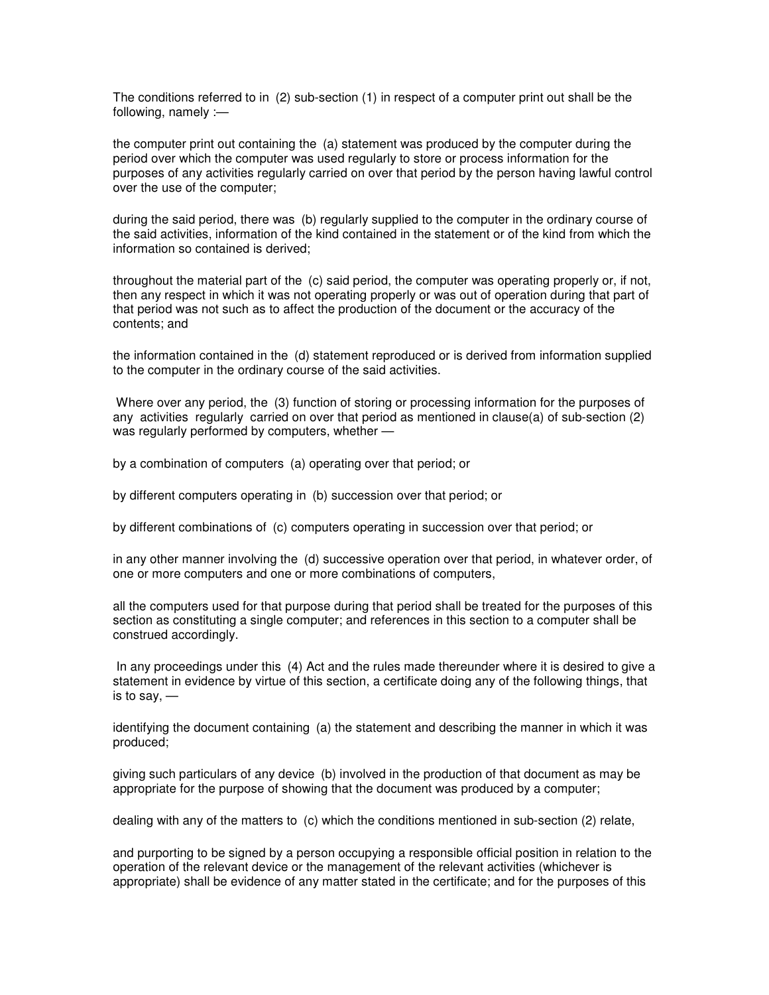The conditions referred to in (2) sub-section (1) in respect of a computer print out shall be the following, namely :—

the computer print out containing the (a) statement was produced by the computer during the period over which the computer was used regularly to store or process information for the purposes of any activities regularly carried on over that period by the person having lawful control over the use of the computer;

during the said period, there was (b) regularly supplied to the computer in the ordinary course of the said activities, information of the kind contained in the statement or of the kind from which the information so contained is derived;

throughout the material part of the (c) said period, the computer was operating properly or, if not, then any respect in which it was not operating properly or was out of operation during that part of that period was not such as to affect the production of the document or the accuracy of the contents; and

the information contained in the (d) statement reproduced or is derived from information supplied to the computer in the ordinary course of the said activities.

Where over any period, the (3) function of storing or processing information for the purposes of any activities regularly carried on over that period as mentioned in clause(a) of sub-section (2) was regularly performed by computers, whether —

by a combination of computers (a) operating over that period; or

by different computers operating in (b) succession over that period; or

by different combinations of (c) computers operating in succession over that period; or

in any other manner involving the (d) successive operation over that period, in whatever order, of one or more computers and one or more combinations of computers,

all the computers used for that purpose during that period shall be treated for the purposes of this section as constituting a single computer; and references in this section to a computer shall be construed accordingly.

In any proceedings under this (4) Act and the rules made thereunder where it is desired to give a statement in evidence by virtue of this section, a certificate doing any of the following things, that is to say, —

identifying the document containing (a) the statement and describing the manner in which it was produced;

giving such particulars of any device (b) involved in the production of that document as may be appropriate for the purpose of showing that the document was produced by a computer;

dealing with any of the matters to (c) which the conditions mentioned in sub-section (2) relate,

and purporting to be signed by a person occupying a responsible official position in relation to the operation of the relevant device or the management of the relevant activities (whichever is appropriate) shall be evidence of any matter stated in the certificate; and for the purposes of this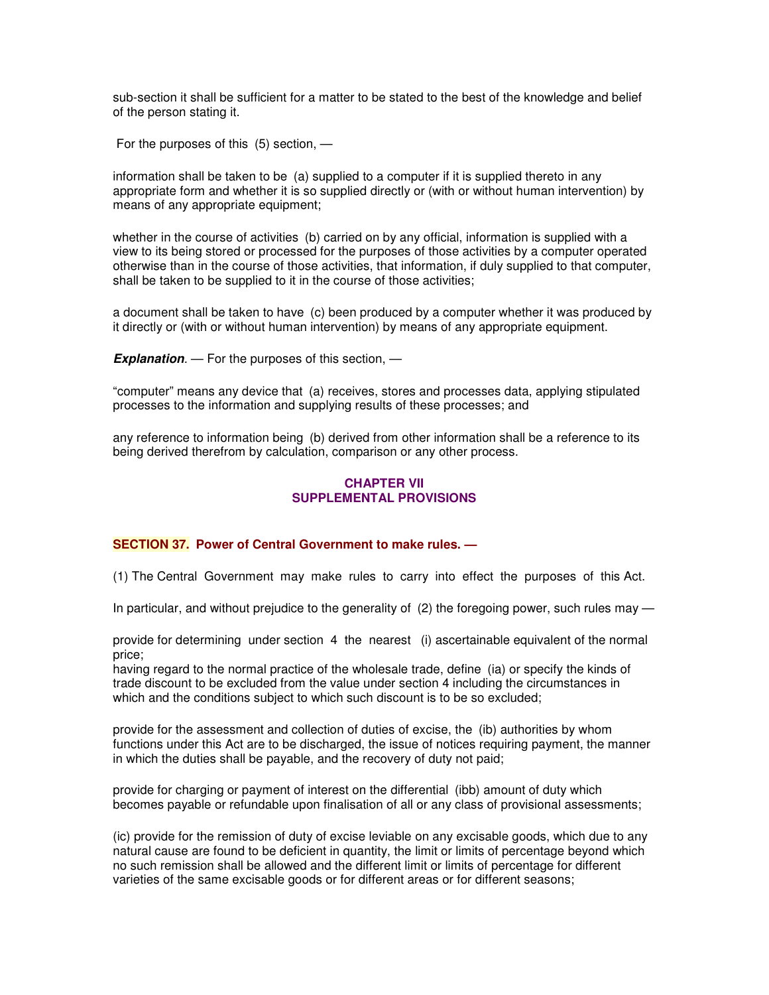sub-section it shall be sufficient for a matter to be stated to the best of the knowledge and belief of the person stating it.

For the purposes of this (5) section, —

information shall be taken to be (a) supplied to a computer if it is supplied thereto in any appropriate form and whether it is so supplied directly or (with or without human intervention) by means of any appropriate equipment;

whether in the course of activities (b) carried on by any official, information is supplied with a view to its being stored or processed for the purposes of those activities by a computer operated otherwise than in the course of those activities, that information, if duly supplied to that computer, shall be taken to be supplied to it in the course of those activities;

a document shall be taken to have (c) been produced by a computer whether it was produced by it directly or (with or without human intervention) by means of any appropriate equipment.

*Explanation.* — For the purposes of this section, —

"computer" means any device that (a) receives, stores and processes data, applying stipulated processes to the information and supplying results of these processes; and

any reference to information being (b) derived from other information shall be a reference to its being derived therefrom by calculation, comparison or any other process.

## **CHAPTER VII SUPPLEMENTAL PROVISIONS**

## **SECTION 37. Power of Central Government to make rules. —**

(1) The Central Government may make rules to carry into effect the purposes of this Act.

In particular, and without prejudice to the generality of (2) the foregoing power, such rules may —

provide for determining under section 4 the nearest (i) ascertainable equivalent of the normal price;

having regard to the normal practice of the wholesale trade, define (ia) or specify the kinds of trade discount to be excluded from the value under section 4 including the circumstances in which and the conditions subject to which such discount is to be so excluded;

provide for the assessment and collection of duties of excise, the (ib) authorities by whom functions under this Act are to be discharged, the issue of notices requiring payment, the manner in which the duties shall be payable, and the recovery of duty not paid;

provide for charging or payment of interest on the differential (ibb) amount of duty which becomes payable or refundable upon finalisation of all or any class of provisional assessments;

(ic) provide for the remission of duty of excise leviable on any excisable goods, which due to any natural cause are found to be deficient in quantity, the limit or limits of percentage beyond which no such remission shall be allowed and the different limit or limits of percentage for different varieties of the same excisable goods or for different areas or for different seasons;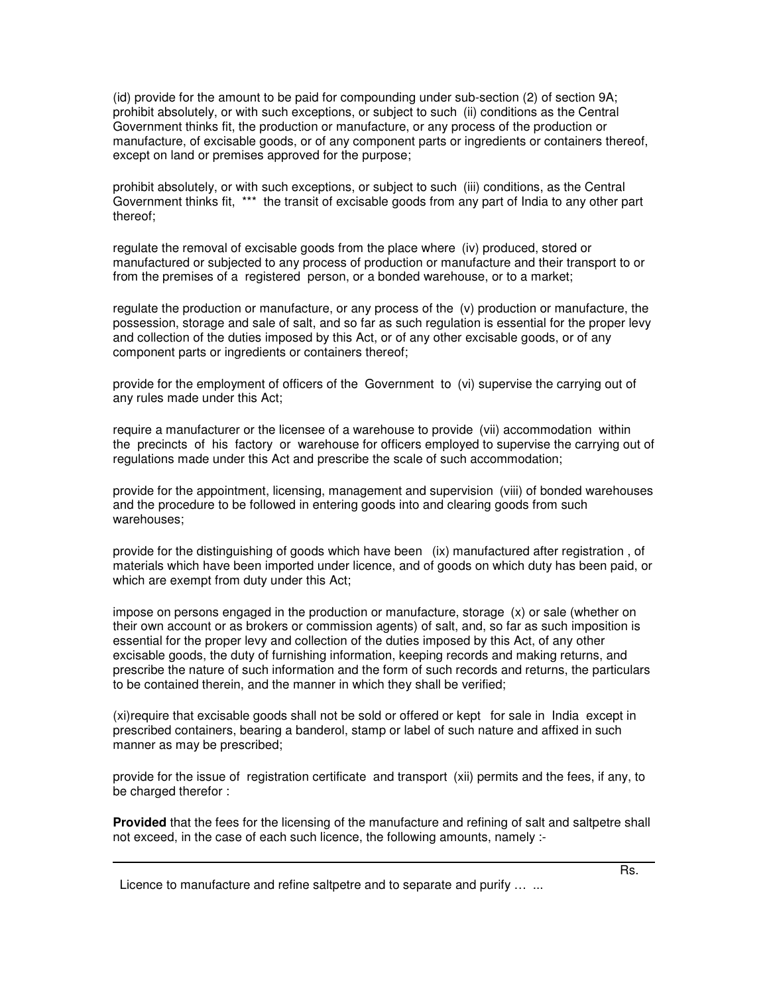(id) provide for the amount to be paid for compounding under sub-section (2) of section 9A; prohibit absolutely, or with such exceptions, or subject to such (ii) conditions as the Central Government thinks fit, the production or manufacture, or any process of the production or manufacture, of excisable goods, or of any component parts or ingredients or containers thereof, except on land or premises approved for the purpose;

prohibit absolutely, or with such exceptions, or subject to such (iii) conditions, as the Central Government thinks fit, \*\*\* the transit of excisable goods from any part of India to any other part thereof;

regulate the removal of excisable goods from the place where (iv) produced, stored or manufactured or subjected to any process of production or manufacture and their transport to or from the premises of a registered person, or a bonded warehouse, or to a market;

regulate the production or manufacture, or any process of the (v) production or manufacture, the possession, storage and sale of salt, and so far as such regulation is essential for the proper levy and collection of the duties imposed by this Act, or of any other excisable goods, or of any component parts or ingredients or containers thereof;

provide for the employment of officers of the Government to (vi) supervise the carrying out of any rules made under this Act;

require a manufacturer or the licensee of a warehouse to provide (vii) accommodation within the precincts of his factory or warehouse for officers employed to supervise the carrying out of regulations made under this Act and prescribe the scale of such accommodation;

provide for the appointment, licensing, management and supervision (viii) of bonded warehouses and the procedure to be followed in entering goods into and clearing goods from such warehouses;

provide for the distinguishing of goods which have been (ix) manufactured after registration , of materials which have been imported under licence, and of goods on which duty has been paid, or which are exempt from duty under this Act;

impose on persons engaged in the production or manufacture, storage (x) or sale (whether on their own account or as brokers or commission agents) of salt, and, so far as such imposition is essential for the proper levy and collection of the duties imposed by this Act, of any other excisable goods, the duty of furnishing information, keeping records and making returns, and prescribe the nature of such information and the form of such records and returns, the particulars to be contained therein, and the manner in which they shall be verified;

(xi)require that excisable goods shall not be sold or offered or kept for sale in India except in prescribed containers, bearing a banderol, stamp or label of such nature and affixed in such manner as may be prescribed;

provide for the issue of registration certificate and transport (xii) permits and the fees, if any, to be charged therefor :

**Provided** that the fees for the licensing of the manufacture and refining of salt and saltpetre shall not exceed, in the case of each such licence, the following amounts, namely :-

Licence to manufacture and refine saltpetre and to separate and purify ... ...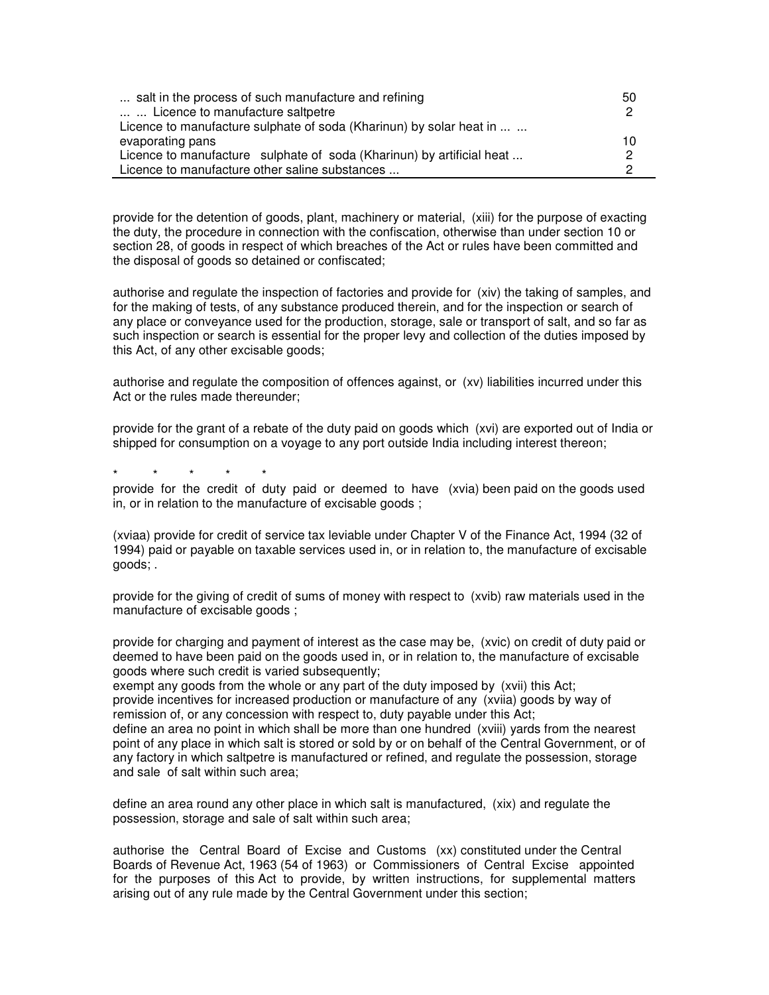| salt in the process of such manufacture and refining                  | 50 |
|-----------------------------------------------------------------------|----|
| Licence to manufacture saltpetre                                      | 2  |
| Licence to manufacture sulphate of soda (Kharinun) by solar heat in   |    |
| evaporating pans                                                      | 10 |
| Licence to manufacture sulphate of soda (Kharinun) by artificial heat | 2  |
| Licence to manufacture other saline substances                        |    |

provide for the detention of goods, plant, machinery or material, (xiii) for the purpose of exacting the duty, the procedure in connection with the confiscation, otherwise than under section 10 or section 28, of goods in respect of which breaches of the Act or rules have been committed and the disposal of goods so detained or confiscated;

authorise and regulate the inspection of factories and provide for (xiv) the taking of samples, and for the making of tests, of any substance produced therein, and for the inspection or search of any place or conveyance used for the production, storage, sale or transport of salt, and so far as such inspection or search is essential for the proper levy and collection of the duties imposed by this Act, of any other excisable goods;

authorise and regulate the composition of offences against, or (xv) liabilities incurred under this Act or the rules made thereunder:

provide for the grant of a rebate of the duty paid on goods which (xvi) are exported out of India or shipped for consumption on a voyage to any port outside India including interest thereon;

\* \* \* \* \*

provide for the credit of duty paid or deemed to have (xvia) been paid on the goods used in, or in relation to the manufacture of excisable goods ;

(xviaa) provide for credit of service tax leviable under Chapter V of the Finance Act, 1994 (32 of 1994) paid or payable on taxable services used in, or in relation to, the manufacture of excisable goods; .

provide for the giving of credit of sums of money with respect to (xvib) raw materials used in the manufacture of excisable goods ;

provide for charging and payment of interest as the case may be, (xvic) on credit of duty paid or deemed to have been paid on the goods used in, or in relation to, the manufacture of excisable goods where such credit is varied subsequently;

exempt any goods from the whole or any part of the duty imposed by (xvii) this Act; provide incentives for increased production or manufacture of any (xviia) goods by way of remission of, or any concession with respect to, duty payable under this Act; define an area no point in which shall be more than one hundred (xviii) yards from the nearest point of any place in which salt is stored or sold by or on behalf of the Central Government, or of any factory in which saltpetre is manufactured or refined, and regulate the possession, storage and sale of salt within such area;

define an area round any other place in which salt is manufactured, (xix) and regulate the possession, storage and sale of salt within such area;

authorise the Central Board of Excise and Customs (xx) constituted under the Central Boards of Revenue Act, 1963 (54 of 1963) or Commissioners of Central Excise appointed for the purposes of this Act to provide, by written instructions, for supplemental matters arising out of any rule made by the Central Government under this section;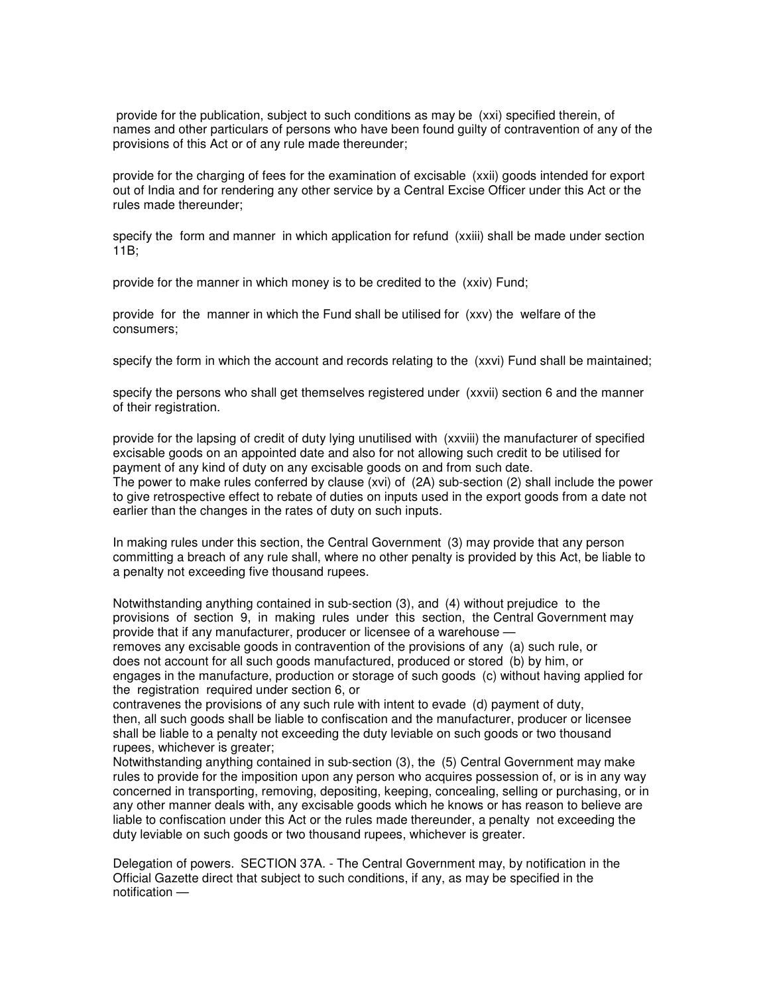provide for the publication, subject to such conditions as may be (xxi) specified therein, of names and other particulars of persons who have been found guilty of contravention of any of the provisions of this Act or of any rule made thereunder;

provide for the charging of fees for the examination of excisable (xxii) goods intended for export out of India and for rendering any other service by a Central Excise Officer under this Act or the rules made thereunder;

specify the form and manner in which application for refund (xxiii) shall be made under section 11B;

provide for the manner in which money is to be credited to the (xxiv) Fund;

provide for the manner in which the Fund shall be utilised for (xxv) the welfare of the consumers;

specify the form in which the account and records relating to the (xxvi) Fund shall be maintained;

specify the persons who shall get themselves registered under (xxvii) section 6 and the manner of their registration.

provide for the lapsing of credit of duty lying unutilised with (xxviii) the manufacturer of specified excisable goods on an appointed date and also for not allowing such credit to be utilised for payment of any kind of duty on any excisable goods on and from such date.

The power to make rules conferred by clause (xvi) of (2A) sub-section (2) shall include the power to give retrospective effect to rebate of duties on inputs used in the export goods from a date not earlier than the changes in the rates of duty on such inputs.

In making rules under this section, the Central Government (3) may provide that any person committing a breach of any rule shall, where no other penalty is provided by this Act, be liable to a penalty not exceeding five thousand rupees.

Notwithstanding anything contained in sub-section (3), and (4) without prejudice to the provisions of section 9, in making rules under this section, the Central Government may provide that if any manufacturer, producer or licensee of a warehouse —

removes any excisable goods in contravention of the provisions of any (a) such rule, or does not account for all such goods manufactured, produced or stored (b) by him, or engages in the manufacture, production or storage of such goods (c) without having applied for the registration required under section 6, or

contravenes the provisions of any such rule with intent to evade (d) payment of duty, then, all such goods shall be liable to confiscation and the manufacturer, producer or licensee shall be liable to a penalty not exceeding the duty leviable on such goods or two thousand rupees, whichever is greater;

Notwithstanding anything contained in sub-section (3), the (5) Central Government may make rules to provide for the imposition upon any person who acquires possession of, or is in any way concerned in transporting, removing, depositing, keeping, concealing, selling or purchasing, or in any other manner deals with, any excisable goods which he knows or has reason to believe are liable to confiscation under this Act or the rules made thereunder, a penalty not exceeding the duty leviable on such goods or two thousand rupees, whichever is greater.

Delegation of powers. SECTION 37A. - The Central Government may, by notification in the Official Gazette direct that subject to such conditions, if any, as may be specified in the notification —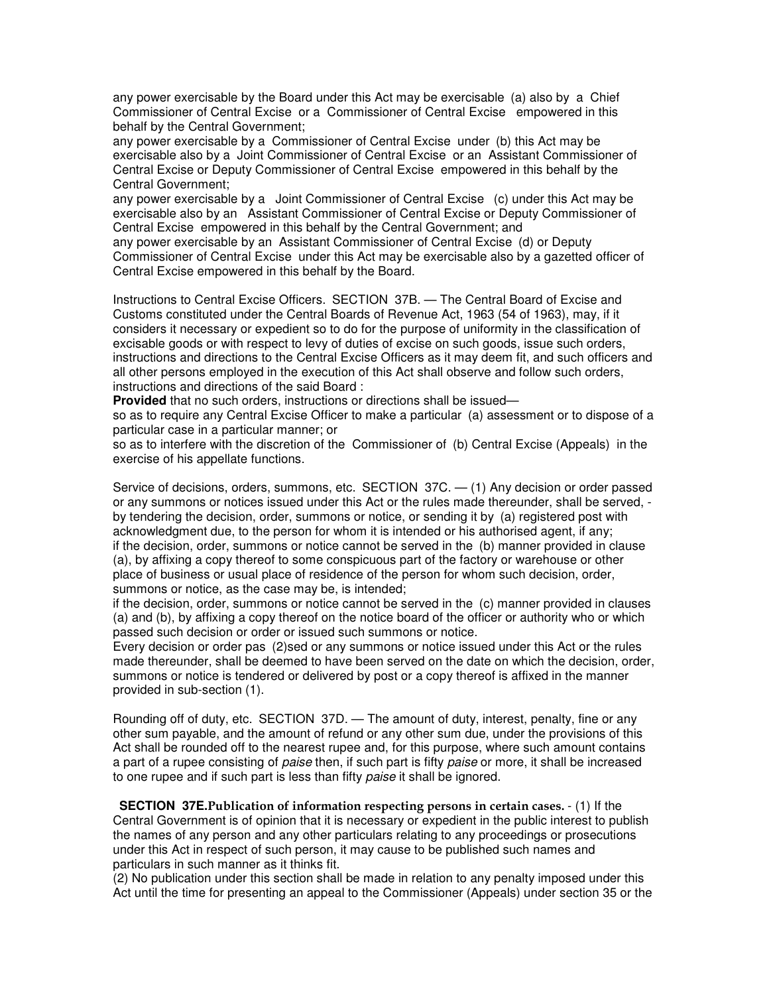any power exercisable by the Board under this Act may be exercisable (a) also by a Chief Commissioner of Central Excise or a Commissioner of Central Excise empowered in this behalf by the Central Government;

any power exercisable by a Commissioner of Central Excise under (b) this Act may be exercisable also by a Joint Commissioner of Central Excise or an Assistant Commissioner of Central Excise or Deputy Commissioner of Central Excise empowered in this behalf by the Central Government;

any power exercisable by a Joint Commissioner of Central Excise (c) under this Act may be exercisable also by an Assistant Commissioner of Central Excise or Deputy Commissioner of Central Excise empowered in this behalf by the Central Government; and

any power exercisable by an Assistant Commissioner of Central Excise (d) or Deputy Commissioner of Central Excise under this Act may be exercisable also by a gazetted officer of Central Excise empowered in this behalf by the Board.

Instructions to Central Excise Officers. SECTION 37B. — The Central Board of Excise and Customs constituted under the Central Boards of Revenue Act, 1963 (54 of 1963), may, if it considers it necessary or expedient so to do for the purpose of uniformity in the classification of excisable goods or with respect to levy of duties of excise on such goods, issue such orders, instructions and directions to the Central Excise Officers as it may deem fit, and such officers and all other persons employed in the execution of this Act shall observe and follow such orders, instructions and directions of the said Board :

**Provided** that no such orders, instructions or directions shall be issued—

so as to require any Central Excise Officer to make a particular (a) assessment or to dispose of a particular case in a particular manner; or

so as to interfere with the discretion of the Commissioner of (b) Central Excise (Appeals) in the exercise of his appellate functions.

Service of decisions, orders, summons, etc. SECTION 37C. — (1) Any decision or order passed or any summons or notices issued under this Act or the rules made thereunder, shall be served, by tendering the decision, order, summons or notice, or sending it by (a) registered post with acknowledgment due, to the person for whom it is intended or his authorised agent, if any; if the decision, order, summons or notice cannot be served in the (b) manner provided in clause (a), by affixing a copy thereof to some conspicuous part of the factory or warehouse or other place of business or usual place of residence of the person for whom such decision, order, summons or notice, as the case may be, is intended;

if the decision, order, summons or notice cannot be served in the (c) manner provided in clauses (a) and (b), by affixing a copy thereof on the notice board of the officer or authority who or which passed such decision or order or issued such summons or notice.

Every decision or order pas (2)sed or any summons or notice issued under this Act or the rules made thereunder, shall be deemed to have been served on the date on which the decision, order, summons or notice is tendered or delivered by post or a copy thereof is affixed in the manner provided in sub-section (1).

Rounding off of duty, etc. SECTION 37D. — The amount of duty, interest, penalty, fine or any other sum payable, and the amount of refund or any other sum due, under the provisions of this Act shall be rounded off to the nearest rupee and, for this purpose, where such amount contains a part of a rupee consisting of *paise* then, if such part is fifty *paise* or more, it shall be increased to one rupee and if such part is less than fifty *paise* it shall be ignored.

**SECTION 37E. Publication of information respecting persons in certain cases.**  $\cdot$  **(1) If the** Central Government is of opinion that it is necessary or expedient in the public interest to publish the names of any person and any other particulars relating to any proceedings or prosecutions under this Act in respect of such person, it may cause to be published such names and particulars in such manner as it thinks fit.

(2) No publication under this section shall be made in relation to any penalty imposed under this Act until the time for presenting an appeal to the Commissioner (Appeals) under section 35 or the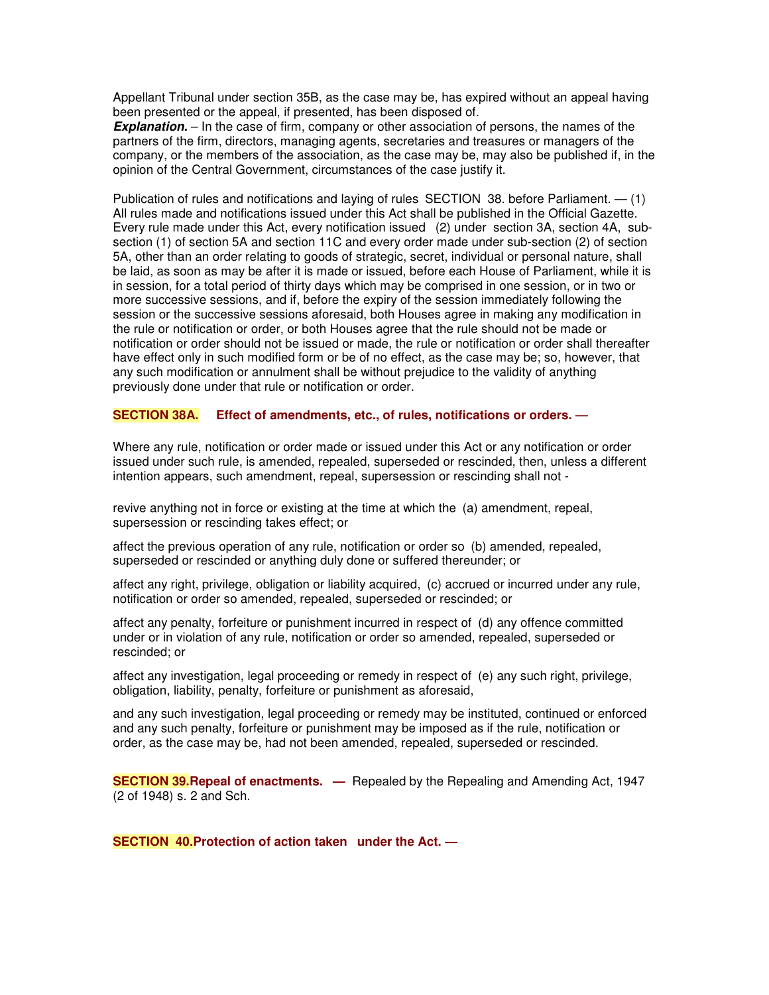Appellant Tribunal under section 35B, as the case may be, has expired without an appeal having been presented or the appeal, if presented, has been disposed of.

**Explanation.** – In the case of firm, company or other association of persons, the names of the partners of the firm, directors, managing agents, secretaries and treasures or managers of the company, or the members of the association, as the case may be, may also be published if, in the opinion of the Central Government, circumstances of the case justify it.

Publication of rules and notifications and laying of rules SECTION 38. before Parliament. — (1) All rules made and notifications issued under this Act shall be published in the Official Gazette. Every rule made under this Act, every notification issued (2) under section 3A, section 4A, subsection (1) of section 5A and section 11C and every order made under sub-section (2) of section 5A, other than an order relating to goods of strategic, secret, individual or personal nature, shall be laid, as soon as may be after it is made or issued, before each House of Parliament, while it is in session, for a total period of thirty days which may be comprised in one session, or in two or more successive sessions, and if, before the expiry of the session immediately following the session or the successive sessions aforesaid, both Houses agree in making any modification in the rule or notification or order, or both Houses agree that the rule should not be made or notification or order should not be issued or made, the rule or notification or order shall thereafter have effect only in such modified form or be of no effect, as the case may be; so, however, that any such modification or annulment shall be without prejudice to the validity of anything previously done under that rule or notification or order.

## **SECTION 38A. Effect of amendments, etc., of rules, notifications or orders.** —

Where any rule, notification or order made or issued under this Act or any notification or order issued under such rule, is amended, repealed, superseded or rescinded, then, unless a different intention appears, such amendment, repeal, supersession or rescinding shall not -

revive anything not in force or existing at the time at which the (a) amendment, repeal, supersession or rescinding takes effect; or

affect the previous operation of any rule, notification or order so (b) amended, repealed, superseded or rescinded or anything duly done or suffered thereunder; or

affect any right, privilege, obligation or liability acquired, (c) accrued or incurred under any rule, notification or order so amended, repealed, superseded or rescinded; or

affect any penalty, forfeiture or punishment incurred in respect of (d) any offence committed under or in violation of any rule, notification or order so amended, repealed, superseded or rescinded; or

affect any investigation, legal proceeding or remedy in respect of (e) any such right, privilege, obligation, liability, penalty, forfeiture or punishment as aforesaid,

and any such investigation, legal proceeding or remedy may be instituted, continued or enforced and any such penalty, forfeiture or punishment may be imposed as if the rule, notification or order, as the case may be, had not been amended, repealed, superseded or rescinded.

**SECTION 39.Repeal of enactments. —** Repealed by the Repealing and Amending Act, 1947 (2 of 1948) s. 2 and Sch.

**SECTION 40.Protection of action taken under the Act. —**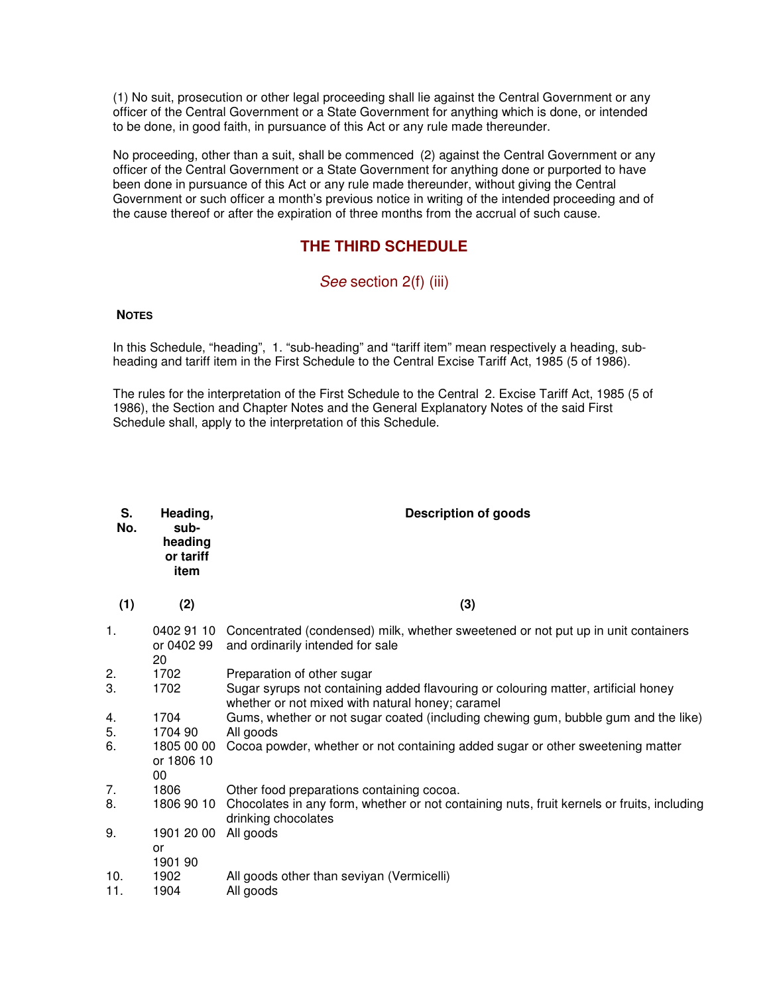(1) No suit, prosecution or other legal proceeding shall lie against the Central Government or any officer of the Central Government or a State Government for anything which is done, or intended to be done, in good faith, in pursuance of this Act or any rule made thereunder.

No proceeding, other than a suit, shall be commenced (2) against the Central Government or any officer of the Central Government or a State Government for anything done or purported to have been done in pursuance of this Act or any rule made thereunder, without giving the Central Government or such officer a month's previous notice in writing of the intended proceeding and of the cause thereof or after the expiration of three months from the accrual of such cause.

# **THE THIRD SCHEDULE**

# *See* section 2(f) (iii)

## **NOTES**

In this Schedule, "heading", 1. "sub-heading" and "tariff item" mean respectively a heading, subheading and tariff item in the First Schedule to the Central Excise Tariff Act, 1985 (5 of 1986).

The rules for the interpretation of the First Schedule to the Central 2. Excise Tariff Act, 1985 (5 of 1986), the Section and Chapter Notes and the General Explanatory Notes of the said First Schedule shall, apply to the interpretation of this Schedule.

| S.<br>No.  | Heading,<br>sub-<br>heading<br>or tariff<br>item | Description of goods                                                                                                                   |
|------------|--------------------------------------------------|----------------------------------------------------------------------------------------------------------------------------------------|
| (1)        | (2)                                              | (3)                                                                                                                                    |
| 1.         | or 0402 99<br>20                                 | 0402 91 10 Concentrated (condensed) milk, whether sweetened or not put up in unit containers<br>and ordinarily intended for sale       |
| 2.         | 1702                                             | Preparation of other sugar                                                                                                             |
| 3.         | 1702                                             | Sugar syrups not containing added flavouring or colouring matter, artificial honey<br>whether or not mixed with natural honey; caramel |
| 4.         | 1704                                             | Gums, whether or not sugar coated (including chewing gum, bubble gum and the like)                                                     |
| 5.         | 1704 90                                          | All goods                                                                                                                              |
| 6.         | 1805 00 00<br>or 1806 10<br>00                   | Cocoa powder, whether or not containing added sugar or other sweetening matter                                                         |
| 7.         | 1806                                             | Other food preparations containing cocoa.                                                                                              |
| 8.         |                                                  | 1806 90 10 Chocolates in any form, whether or not containing nuts, fruit kernels or fruits, including<br>drinking chocolates           |
| 9.         | 1901 20 00                                       | All goods                                                                                                                              |
| 10.<br>11. | or<br>1901 90<br>1902<br>1904                    | All goods other than seviyan (Vermicelli)<br>All goods                                                                                 |
|            |                                                  |                                                                                                                                        |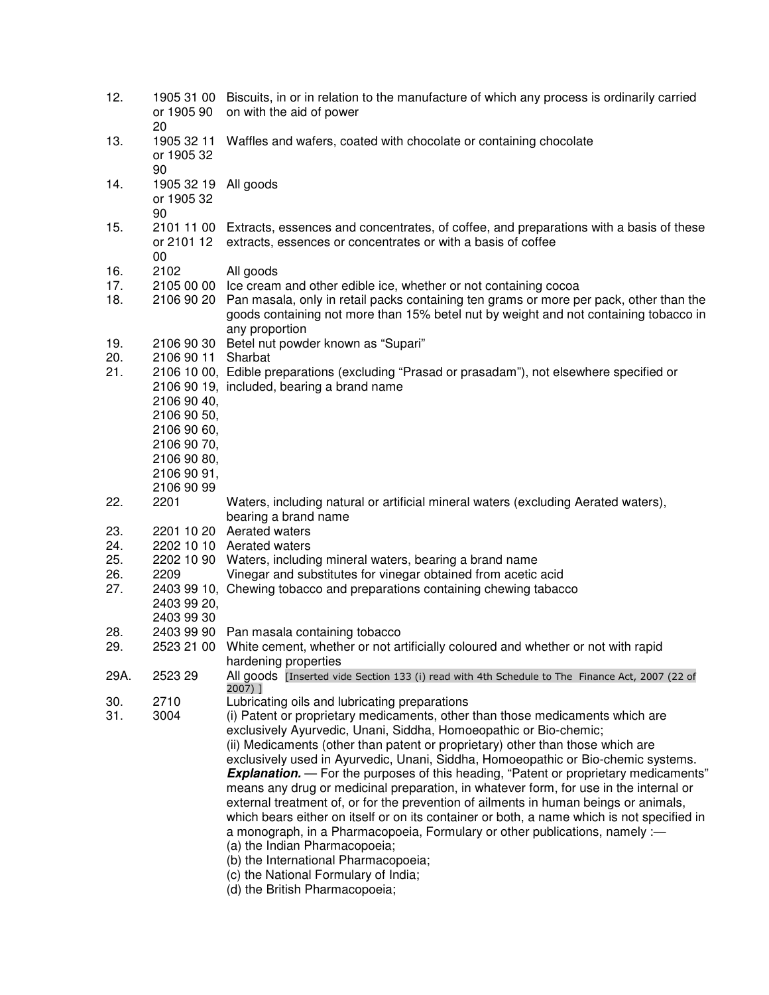| 12.        | 1905 31 00<br>or 1905 90<br>20                                         | Biscuits, in or in relation to the manufacture of which any process is ordinarily carried<br>on with the aid of power                                                                                                                                                                     |
|------------|------------------------------------------------------------------------|-------------------------------------------------------------------------------------------------------------------------------------------------------------------------------------------------------------------------------------------------------------------------------------------|
| 13.        | 1905 32 11<br>or 1905 32<br>90                                         | Waffles and wafers, coated with chocolate or containing chocolate                                                                                                                                                                                                                         |
| 14.        | 1905 32 19<br>or 1905 32                                               | All goods                                                                                                                                                                                                                                                                                 |
| 15.        | 90<br>or 2101 12<br>00                                                 | 2101 11 00 Extracts, essences and concentrates, of coffee, and preparations with a basis of these<br>extracts, essences or concentrates or with a basis of coffee                                                                                                                         |
| 16.        | 2102                                                                   | All goods                                                                                                                                                                                                                                                                                 |
| 17.<br>18. |                                                                        | 2105 00 00 Ice cream and other edible ice, whether or not containing cocoa<br>2106 90 20 Pan masala, only in retail packs containing ten grams or more per pack, other than the<br>goods containing not more than 15% betel nut by weight and not containing tobacco in<br>any proportion |
| 19.<br>20. | 2106 90 11                                                             | 2106 90 30 Betel nut powder known as "Supari"<br>Sharbat                                                                                                                                                                                                                                  |
| 21.        | 2106 90 40,<br>2106 90 50,                                             | 2106 10 00, Edible preparations (excluding "Prasad or prasadam"), not elsewhere specified or<br>2106 90 19, included, bearing a brand name                                                                                                                                                |
|            | 2106 90 60,<br>2106 90 70,<br>2106 90 80,<br>2106 90 91,<br>2106 90 99 |                                                                                                                                                                                                                                                                                           |
| 22.        | 2201                                                                   | Waters, including natural or artificial mineral waters (excluding Aerated waters),<br>bearing a brand name                                                                                                                                                                                |
| 23.        |                                                                        | 2201 10 20 Aerated waters                                                                                                                                                                                                                                                                 |
| 24.        |                                                                        | 2202 10 10 Aerated waters                                                                                                                                                                                                                                                                 |
| 25.<br>26. | 2209                                                                   | 2202 10 90 Waters, including mineral waters, bearing a brand name<br>Vinegar and substitutes for vinegar obtained from acetic acid                                                                                                                                                        |
| 27.        |                                                                        | 2403 99 10, Chewing tobacco and preparations containing chewing tabacco                                                                                                                                                                                                                   |
|            | 2403 99 20,<br>2403 99 30                                              |                                                                                                                                                                                                                                                                                           |
| 28.        |                                                                        | 2403 99 90 Pan masala containing tobacco                                                                                                                                                                                                                                                  |
| 29.        |                                                                        | 2523 21 00 White cement, whether or not artificially coloured and whether or not with rapid<br>hardening properties                                                                                                                                                                       |
| 29A.       | 2523 29                                                                | All goods [Inserted vide Section 133 (i) read with 4th Schedule to The Finance Act, 2007 (22 of<br>2007) ]                                                                                                                                                                                |
| 30.        | 2710                                                                   | Lubricating oils and lubricating preparations                                                                                                                                                                                                                                             |
| 31.        | 3004                                                                   | (i) Patent or proprietary medicaments, other than those medicaments which are<br>exclusively Ayurvedic, Unani, Siddha, Homoeopathic or Bio-chemic;                                                                                                                                        |
|            |                                                                        | (ii) Medicaments (other than patent or proprietary) other than those which are                                                                                                                                                                                                            |
|            |                                                                        | exclusively used in Ayurvedic, Unani, Siddha, Homoeopathic or Bio-chemic systems.<br><b>Explanation.</b> - For the purposes of this heading, "Patent or proprietary medicaments"                                                                                                          |
|            |                                                                        | means any drug or medicinal preparation, in whatever form, for use in the internal or<br>external treatment of, or for the prevention of ailments in human beings or animals,                                                                                                             |
|            |                                                                        | which bears either on itself or on its container or both, a name which is not specified in<br>a monograph, in a Pharmacopoeia, Formulary or other publications, namely :-                                                                                                                 |
|            |                                                                        | (a) the Indian Pharmacopoeia;                                                                                                                                                                                                                                                             |
|            |                                                                        | (b) the International Pharmacopoeia;                                                                                                                                                                                                                                                      |
|            |                                                                        | (c) the National Formulary of India;                                                                                                                                                                                                                                                      |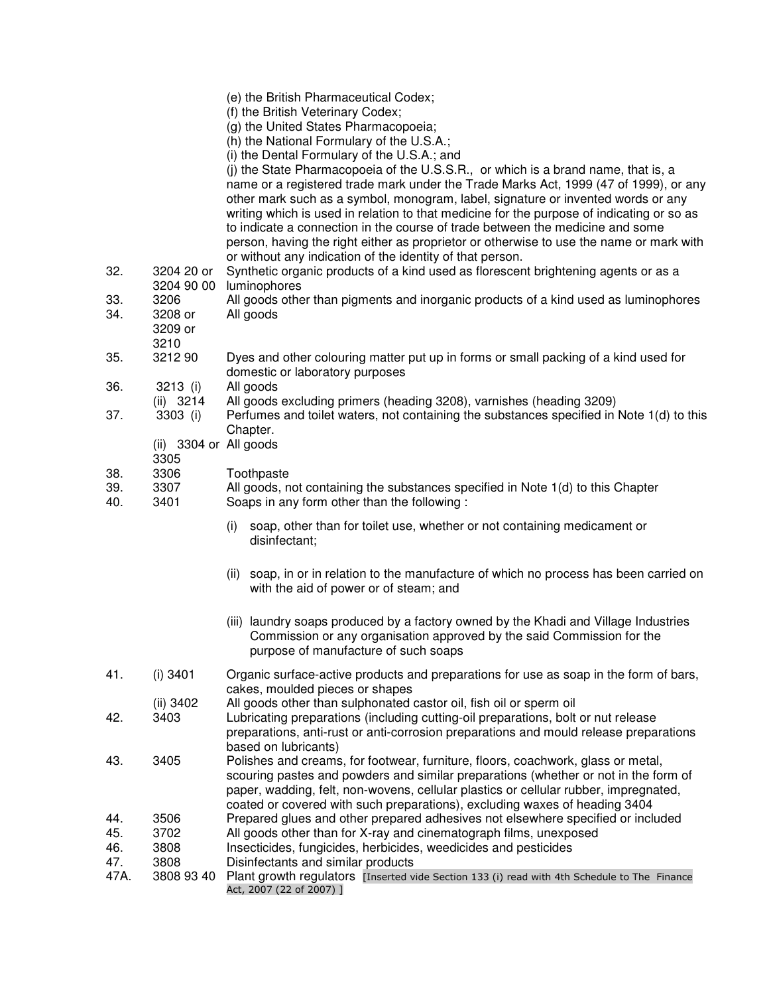|                   |                                    | (e) the British Pharmaceutical Codex;<br>(f) the British Veterinary Codex;<br>(g) the United States Pharmacopoeia;                                                                                                                                                                                                                                                                                                                                                                                                                                                                                  |
|-------------------|------------------------------------|-----------------------------------------------------------------------------------------------------------------------------------------------------------------------------------------------------------------------------------------------------------------------------------------------------------------------------------------------------------------------------------------------------------------------------------------------------------------------------------------------------------------------------------------------------------------------------------------------------|
|                   |                                    | (h) the National Formulary of the U.S.A.;                                                                                                                                                                                                                                                                                                                                                                                                                                                                                                                                                           |
|                   |                                    | (i) the Dental Formulary of the U.S.A.; and                                                                                                                                                                                                                                                                                                                                                                                                                                                                                                                                                         |
|                   |                                    | (j) the State Pharmacopoeia of the U.S.S.R., or which is a brand name, that is, a<br>name or a registered trade mark under the Trade Marks Act, 1999 (47 of 1999), or any<br>other mark such as a symbol, monogram, label, signature or invented words or any<br>writing which is used in relation to that medicine for the purpose of indicating or so as<br>to indicate a connection in the course of trade between the medicine and some<br>person, having the right either as proprietor or otherwise to use the name or mark with<br>or without any indication of the identity of that person. |
| 32.               | 3204 20 or<br>3204 90 00           | Synthetic organic products of a kind used as florescent brightening agents or as a<br>luminophores                                                                                                                                                                                                                                                                                                                                                                                                                                                                                                  |
| 33.<br>34.        | 3206<br>3208 or<br>3209 or<br>3210 | All goods other than pigments and inorganic products of a kind used as luminophores<br>All goods                                                                                                                                                                                                                                                                                                                                                                                                                                                                                                    |
| 35.               | 3212 90                            | Dyes and other colouring matter put up in forms or small packing of a kind used for<br>domestic or laboratory purposes                                                                                                                                                                                                                                                                                                                                                                                                                                                                              |
| 36.               | 3213 (i)<br>(ii) 3214              | All goods<br>All goods excluding primers (heading 3208), varnishes (heading 3209)                                                                                                                                                                                                                                                                                                                                                                                                                                                                                                                   |
| 37.               | 3303 (i)                           | Perfumes and toilet waters, not containing the substances specified in Note 1(d) to this<br>Chapter.                                                                                                                                                                                                                                                                                                                                                                                                                                                                                                |
|                   | (ii) 3304 or All goods<br>3305     |                                                                                                                                                                                                                                                                                                                                                                                                                                                                                                                                                                                                     |
| 38.<br>39.<br>40. | 3306<br>3307<br>3401               | Toothpaste<br>All goods, not containing the substances specified in Note 1(d) to this Chapter<br>Soaps in any form other than the following :                                                                                                                                                                                                                                                                                                                                                                                                                                                       |
|                   |                                    | soap, other than for toilet use, whether or not containing medicament or<br>(i)<br>disinfectant;                                                                                                                                                                                                                                                                                                                                                                                                                                                                                                    |
|                   |                                    | (ii) soap, in or in relation to the manufacture of which no process has been carried on<br>with the aid of power or of steam; and                                                                                                                                                                                                                                                                                                                                                                                                                                                                   |
|                   |                                    | (iii) laundry soaps produced by a factory owned by the Khadi and Village Industries<br>Commission or any organisation approved by the said Commission for the<br>purpose of manufacture of such soaps                                                                                                                                                                                                                                                                                                                                                                                               |
| 41.               | $(i)$ 3401                         | Organic surface-active products and preparations for use as soap in the form of bars,<br>cakes, moulded pieces or shapes                                                                                                                                                                                                                                                                                                                                                                                                                                                                            |
| 42.               | (ii) 3402<br>3403                  | All goods other than sulphonated castor oil, fish oil or sperm oil<br>Lubricating preparations (including cutting-oil preparations, bolt or nut release<br>preparations, anti-rust or anti-corrosion preparations and mould release preparations<br>based on lubricants)                                                                                                                                                                                                                                                                                                                            |
| 43.               | 3405                               | Polishes and creams, for footwear, furniture, floors, coachwork, glass or metal,<br>scouring pastes and powders and similar preparations (whether or not in the form of<br>paper, wadding, felt, non-wovens, cellular plastics or cellular rubber, impregnated,                                                                                                                                                                                                                                                                                                                                     |
| 44.<br>45.<br>46. | 3506<br>3702<br>3808               | coated or covered with such preparations), excluding waxes of heading 3404<br>Prepared glues and other prepared adhesives not elsewhere specified or included<br>All goods other than for X-ray and cinematograph films, unexposed<br>Insecticides, fungicides, herbicides, weedicides and pesticides                                                                                                                                                                                                                                                                                               |
| 47.<br>47A.       | 3808<br>3808 93 40                 | Disinfectants and similar products<br>Plant growth regulators [Inserted vide Section 133 (i) read with 4th Schedule to The Finance<br>Act, 2007 (22 of 2007) ]                                                                                                                                                                                                                                                                                                                                                                                                                                      |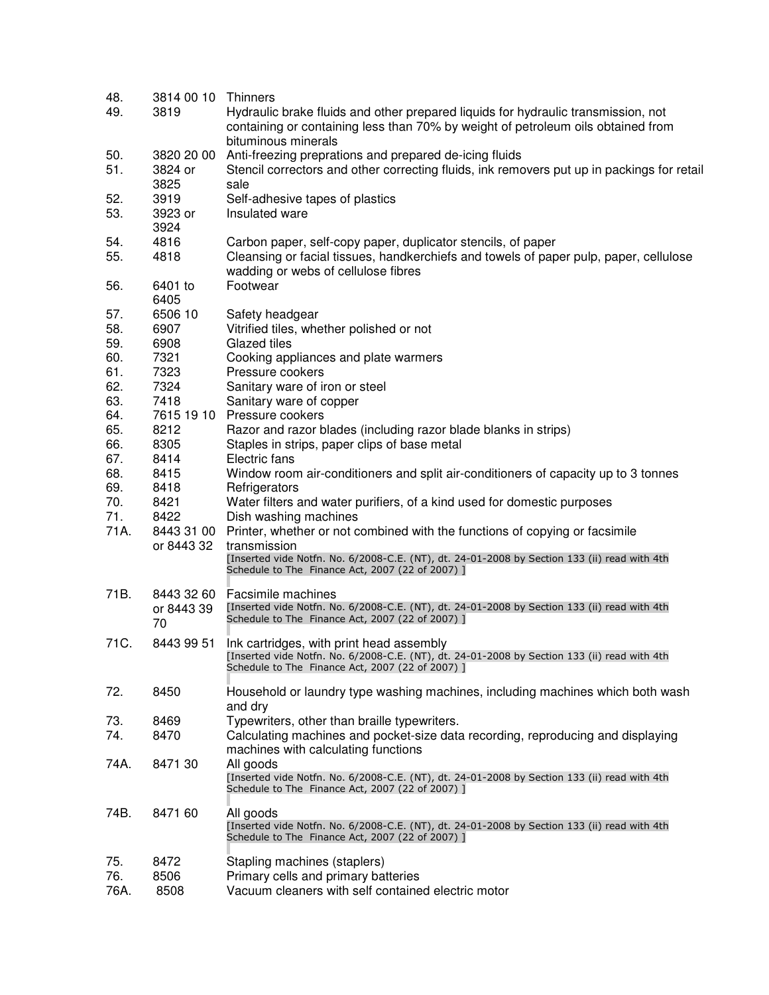| 48.<br>49. | 3814 00 10 Thinners<br>3819 | Hydraulic brake fluids and other prepared liquids for hydraulic transmission, not<br>containing or containing less than 70% by weight of petroleum oils obtained from |
|------------|-----------------------------|-----------------------------------------------------------------------------------------------------------------------------------------------------------------------|
|            |                             | bituminous minerals                                                                                                                                                   |
| 50.        | 3820 20 00                  | Anti-freezing preprations and prepared de-icing fluids                                                                                                                |
| 51.        | 3824 or                     | Stencil correctors and other correcting fluids, ink removers put up in packings for retail                                                                            |
|            | 3825                        | sale                                                                                                                                                                  |
| 52.<br>53. | 3919<br>3923 or             | Self-adhesive tapes of plastics<br>Insulated ware                                                                                                                     |
|            | 3924                        |                                                                                                                                                                       |
| 54.        | 4816                        | Carbon paper, self-copy paper, duplicator stencils, of paper                                                                                                          |
| 55.        | 4818                        | Cleansing or facial tissues, handkerchiefs and towels of paper pulp, paper, cellulose<br>wadding or webs of cellulose fibres                                          |
| 56.        | 6401 to<br>6405             | Footwear                                                                                                                                                              |
| 57.        | 6506 10                     | Safety headgear                                                                                                                                                       |
| 58.        | 6907                        | Vitrified tiles, whether polished or not                                                                                                                              |
| 59.        | 6908                        | Glazed tiles                                                                                                                                                          |
| 60.        | 7321                        | Cooking appliances and plate warmers                                                                                                                                  |
| 61.        | 7323                        | Pressure cookers                                                                                                                                                      |
| 62.<br>63. | 7324<br>7418                | Sanitary ware of iron or steel<br>Sanitary ware of copper                                                                                                             |
| 64.        |                             | 7615 19 10 Pressure cookers                                                                                                                                           |
| 65.        | 8212                        | Razor and razor blades (including razor blade blanks in strips)                                                                                                       |
| 66.        | 8305                        | Staples in strips, paper clips of base metal                                                                                                                          |
| 67.        | 8414                        | Electric fans                                                                                                                                                         |
| 68.        | 8415                        | Window room air-conditioners and split air-conditioners of capacity up to 3 tonnes                                                                                    |
| 69.        | 8418                        | Refrigerators                                                                                                                                                         |
| 70.        | 8421                        | Water filters and water purifiers, of a kind used for domestic purposes                                                                                               |
| 71.        | 8422                        | Dish washing machines                                                                                                                                                 |
| 71A.       | 8443 31 00                  | Printer, whether or not combined with the functions of copying or facsimile                                                                                           |
|            | or 8443 32                  | transmission<br>[Inserted vide Notfn. No. 6/2008-C.E. (NT), dt. 24-01-2008 by Section 133 (ii) read with 4th                                                          |
|            |                             | Schedule to The Finance Act, 2007 (22 of 2007) ]                                                                                                                      |
| 71B.       | 8443 32 60                  | Facsimile machines                                                                                                                                                    |
|            | or 8443 39                  | [Inserted vide Notfn. No. 6/2008-C.E. (NT), dt. 24-01-2008 by Section 133 (ii) read with 4th                                                                          |
|            | 70                          | Schedule to The Finance Act, 2007 (22 of 2007) ]                                                                                                                      |
| 71C.       | 8443 99 51                  | Ink cartridges, with print head assembly                                                                                                                              |
|            |                             | [Inserted vide Notfn. No. 6/2008-C.E. (NT), dt. 24-01-2008 by Section 133 (ii) read with 4th                                                                          |
|            |                             | Schedule to The Finance Act, 2007 (22 of 2007) ]                                                                                                                      |
| 72.        | 8450                        | Household or laundry type washing machines, including machines which both wash                                                                                        |
| 73.        | 8469                        | and dry<br>Typewriters, other than braille typewriters.                                                                                                               |
| 74.        | 8470                        | Calculating machines and pocket-size data recording, reproducing and displaying                                                                                       |
|            |                             | machines with calculating functions                                                                                                                                   |
| 74A.       | 8471 30                     | All goods                                                                                                                                                             |
|            |                             | [Inserted vide Notfn. No. 6/2008-C.E. (NT), dt. 24-01-2008 by Section 133 (ii) read with 4th                                                                          |
|            |                             | Schedule to The Finance Act, 2007 (22 of 2007) ]                                                                                                                      |
| 74B.       | 8471 60                     | All goods                                                                                                                                                             |
|            |                             | [Inserted vide Notfn. No. 6/2008-C.E. (NT), dt. 24-01-2008 by Section 133 (ii) read with 4th                                                                          |
|            |                             | Schedule to The Finance Act, 2007 (22 of 2007) ]                                                                                                                      |
| 75.        | 8472                        | Stapling machines (staplers)                                                                                                                                          |
| 76.        | 8506                        | Primary cells and primary batteries                                                                                                                                   |
| 76A.       | 8508                        | Vacuum cleaners with self contained electric motor                                                                                                                    |
|            |                             |                                                                                                                                                                       |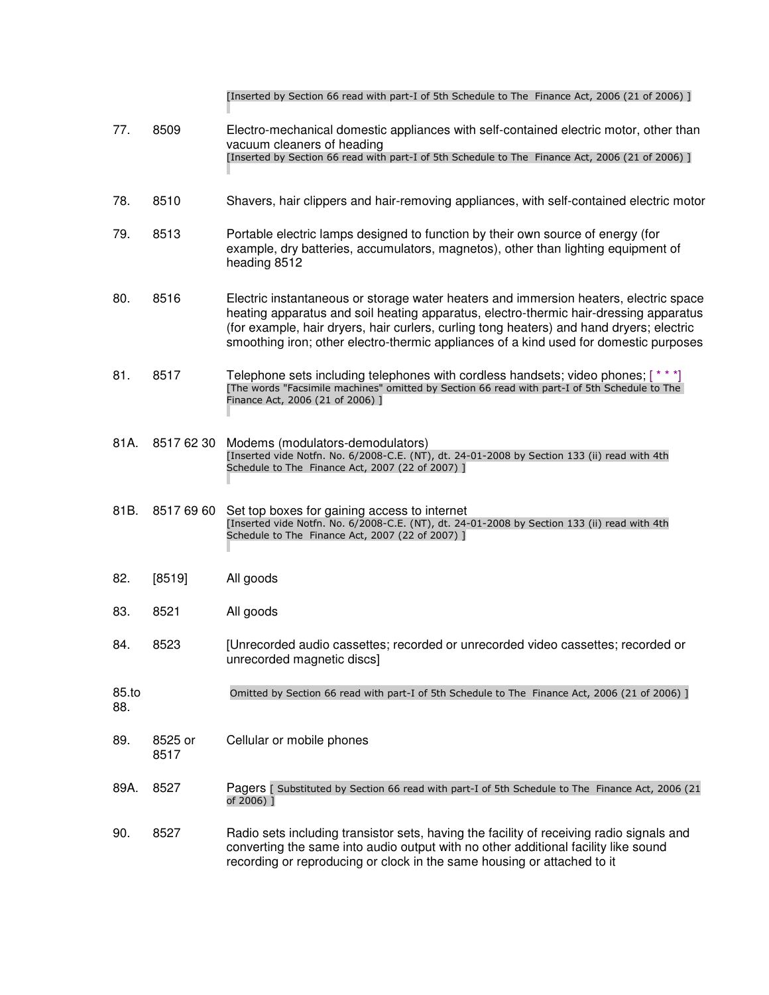|              |                 | [Inserted by Section 66 read with part-I of 5th Schedule to The Finance Act, 2006 (21 of 2006)]                                                                                                                                                                                                                                                                     |
|--------------|-----------------|---------------------------------------------------------------------------------------------------------------------------------------------------------------------------------------------------------------------------------------------------------------------------------------------------------------------------------------------------------------------|
| 77.          | 8509            | Electro-mechanical domestic appliances with self-contained electric motor, other than<br>vacuum cleaners of heading<br>[Inserted by Section 66 read with part-I of 5th Schedule to The Finance Act, 2006 (21 of 2006)]                                                                                                                                              |
| 78.          | 8510            | Shavers, hair clippers and hair-removing appliances, with self-contained electric motor                                                                                                                                                                                                                                                                             |
| 79.          | 8513            | Portable electric lamps designed to function by their own source of energy (for<br>example, dry batteries, accumulators, magnetos), other than lighting equipment of<br>heading 8512                                                                                                                                                                                |
| 80.          | 8516            | Electric instantaneous or storage water heaters and immersion heaters, electric space<br>heating apparatus and soil heating apparatus, electro-thermic hair-dressing apparatus<br>(for example, hair dryers, hair curlers, curling tong heaters) and hand dryers; electric<br>smoothing iron; other electro-thermic appliances of a kind used for domestic purposes |
| 81.          | 8517            | Telephone sets including telephones with cordless handsets; video phones; [***]<br>[The words "Facsimile machines" omitted by Section 66 read with part-I of 5th Schedule to The<br>Finance Act, 2006 (21 of 2006) ]                                                                                                                                                |
| 81A.         | 8517 62 30      | Modems (modulators-demodulators)<br>[Inserted vide Notfn. No. 6/2008-C.E. (NT), dt. 24-01-2008 by Section 133 (ii) read with 4th<br>Schedule to The Finance Act, 2007 (22 of 2007) ]                                                                                                                                                                                |
| 81B.         | 8517 69 60      | Set top boxes for gaining access to internet<br>[Inserted vide Notfn. No. 6/2008-C.E. (NT), dt. 24-01-2008 by Section 133 (ii) read with 4th<br>Schedule to The Finance Act, 2007 (22 of 2007) ]                                                                                                                                                                    |
| 82.          | [8519]          | All goods                                                                                                                                                                                                                                                                                                                                                           |
| 83.          | 8521            | All goods                                                                                                                                                                                                                                                                                                                                                           |
| 84.          | 8523            | [Unrecorded audio cassettes; recorded or unrecorded video cassettes; recorded or<br>unrecorded magnetic discs]                                                                                                                                                                                                                                                      |
| 85.to<br>88. |                 | Omitted by Section 66 read with part-I of 5th Schedule to The Finance Act, 2006 (21 of 2006) ]                                                                                                                                                                                                                                                                      |
| 89.          | 8525 or<br>8517 | Cellular or mobile phones                                                                                                                                                                                                                                                                                                                                           |
| 89A.         | 8527            | Pagers [ Substituted by Section 66 read with part-I of 5th Schedule to The Finance Act, 2006 (21<br>of 2006) 1                                                                                                                                                                                                                                                      |
| 90.          | 8527            | Radio sets including transistor sets, having the facility of receiving radio signals and<br>converting the same into audio output with no other additional facility like sound<br>recording or reproducing or clock in the same housing or attached to it                                                                                                           |